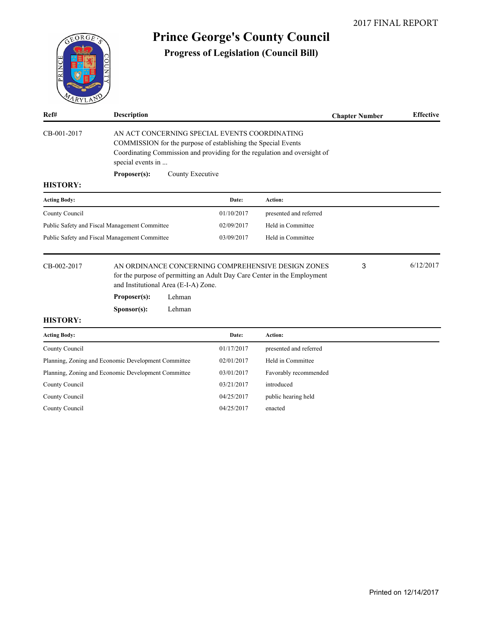

# **Prince George's County Council**

**Progress of Legislation (Council Bill)**

| Ref#                                                | <b>Description</b>                                                                                                                                                                                               |                  |            |                        | <b>Chapter Number</b> | <b>Effective</b> |
|-----------------------------------------------------|------------------------------------------------------------------------------------------------------------------------------------------------------------------------------------------------------------------|------------------|------------|------------------------|-----------------------|------------------|
| CB-001-2017                                         | AN ACT CONCERNING SPECIAL EVENTS COORDINATING<br>COMMISSION for the purpose of establishing the Special Events<br>Coordinating Commission and providing for the regulation and oversight of<br>special events in |                  |            |                        |                       |                  |
|                                                     | Proposer(s):                                                                                                                                                                                                     | County Executive |            |                        |                       |                  |
| <b>HISTORY:</b>                                     |                                                                                                                                                                                                                  |                  |            |                        |                       |                  |
| <b>Acting Body:</b>                                 |                                                                                                                                                                                                                  |                  | Date:      | Action:                |                       |                  |
| County Council                                      |                                                                                                                                                                                                                  |                  | 01/10/2017 | presented and referred |                       |                  |
|                                                     | Public Safety and Fiscal Management Committee                                                                                                                                                                    |                  | 02/09/2017 | Held in Committee      |                       |                  |
| Public Safety and Fiscal Management Committee       |                                                                                                                                                                                                                  |                  | 03/09/2017 | Held in Committee      |                       |                  |
| CB-002-2017                                         | AN ORDINANCE CONCERNING COMPREHENSIVE DESIGN ZONES<br>for the purpose of permitting an Adult Day Care Center in the Employment<br>and Institutional Area (E-I-A) Zone.                                           |                  |            |                        | 3                     | 6/12/2017        |
|                                                     | Proposer(s):                                                                                                                                                                                                     | Lehman           |            |                        |                       |                  |
|                                                     | Sponsor(s):                                                                                                                                                                                                      | Lehman           |            |                        |                       |                  |
| <b>HISTORY:</b>                                     |                                                                                                                                                                                                                  |                  |            |                        |                       |                  |
| <b>Acting Body:</b>                                 |                                                                                                                                                                                                                  |                  | Date:      | Action:                |                       |                  |
| County Council                                      |                                                                                                                                                                                                                  |                  | 01/17/2017 | presented and referred |                       |                  |
| Planning, Zoning and Economic Development Committee |                                                                                                                                                                                                                  |                  | 02/01/2017 | Held in Committee      |                       |                  |
| Planning, Zoning and Economic Development Committee |                                                                                                                                                                                                                  |                  | 03/01/2017 | Favorably recommended  |                       |                  |
| County Council                                      |                                                                                                                                                                                                                  |                  | 03/21/2017 | introduced             |                       |                  |

County Council 04/25/2017 public hearing held

County Council 04/25/2017 enacted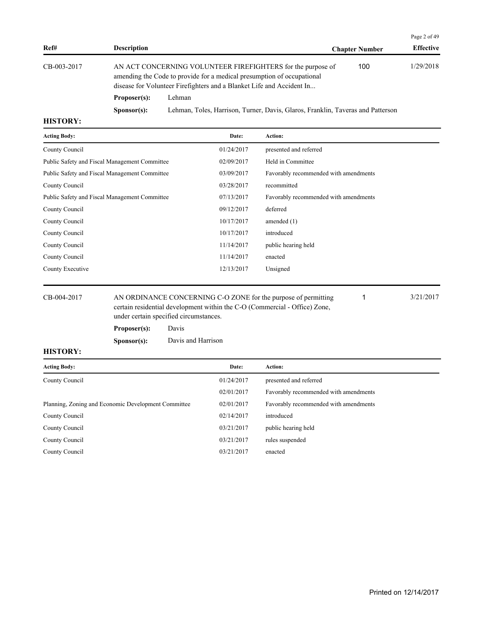|             |                                                                                                                                                                                                                |                                                                                 |                       | Page 2 of 49     |
|-------------|----------------------------------------------------------------------------------------------------------------------------------------------------------------------------------------------------------------|---------------------------------------------------------------------------------|-----------------------|------------------|
| Ref#        | <b>Description</b>                                                                                                                                                                                             |                                                                                 | <b>Chapter Number</b> | <b>Effective</b> |
| CB-003-2017 | AN ACT CONCERNING VOLUNTEER FIREFIGHTERS for the purpose of<br>amending the Code to provide for a medical presumption of occupational<br>disease for Volunteer Firefighters and a Blanket Life and Accident In |                                                                                 | 100                   | 1/29/2018        |
|             | Proposer(s):                                                                                                                                                                                                   | Lehman                                                                          |                       |                  |
|             | S <b>p</b> onsor(s):                                                                                                                                                                                           | Lehman, Toles, Harrison, Turner, Davis, Glaros, Franklin, Taveras and Patterson |                       |                  |

| <b>Acting Body:</b>                                                           | Date:      | Action:                               |
|-------------------------------------------------------------------------------|------------|---------------------------------------|
| County Council                                                                | 01/24/2017 | presented and referred                |
| Public Safety and Fiscal Management Committee                                 | 02/09/2017 | Held in Committee                     |
| Public Safety and Fiscal Management Committee                                 | 03/09/2017 | Favorably recommended with amendments |
| County Council                                                                | 03/28/2017 | recommitted                           |
| Public Safety and Fiscal Management Committee                                 | 07/13/2017 | Favorably recommended with amendments |
| County Council                                                                | 09/12/2017 | deferred                              |
| County Council                                                                | 10/17/2017 | amended $(1)$                         |
| County Council                                                                | 10/17/2017 | introduced                            |
| County Council                                                                | 11/14/2017 | public hearing held                   |
| County Council                                                                | 11/14/2017 | enacted                               |
| County Executive                                                              | 12/13/2017 | Unsigned                              |
|                                                                               |            |                                       |
| AN ORDINANCE CONCERNING C-O ZONE for the purpose of permitting<br>CB-004-2017 |            | 3/21/2017                             |

certain residential development within the C-O (Commercial - Office) Zone, under certain specified circumstances.

| Proposer(s):         | Davis              |
|----------------------|--------------------|
| S <b>p</b> onsor(s): | Davis and Harrison |

| <b>Acting Body:</b>                                 | Date:      | Action:                               |
|-----------------------------------------------------|------------|---------------------------------------|
| County Council                                      | 01/24/2017 | presented and referred                |
|                                                     | 02/01/2017 | Favorably recommended with amendments |
| Planning, Zoning and Economic Development Committee | 02/01/2017 | Favorably recommended with amendments |
| County Council                                      | 02/14/2017 | introduced                            |
| County Council                                      | 03/21/2017 | public hearing held                   |
| County Council                                      | 03/21/2017 | rules suspended                       |
| County Council                                      | 03/21/2017 | enacted                               |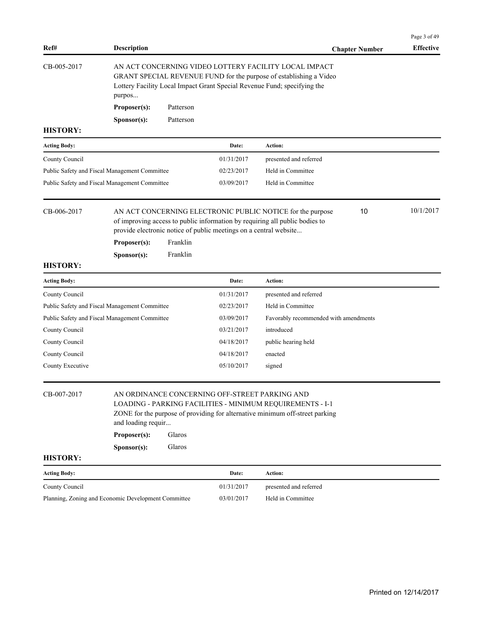|                                               |                                                     |                                                                                                                                                                                                                                        |            |                                       |                       | Page 3 of 49     |
|-----------------------------------------------|-----------------------------------------------------|----------------------------------------------------------------------------------------------------------------------------------------------------------------------------------------------------------------------------------------|------------|---------------------------------------|-----------------------|------------------|
| Ref#                                          | <b>Description</b>                                  |                                                                                                                                                                                                                                        |            |                                       | <b>Chapter Number</b> | <b>Effective</b> |
| CB-005-2017                                   | purpos                                              | AN ACT CONCERNING VIDEO LOTTERY FACILITY LOCAL IMPACT<br>GRANT SPECIAL REVENUE FUND for the purpose of establishing a Video<br>Lottery Facility Local Impact Grant Special Revenue Fund; specifying the                                |            |                                       |                       |                  |
|                                               | Proposer(s):                                        | Patterson                                                                                                                                                                                                                              |            |                                       |                       |                  |
|                                               | Sponsor(s):                                         | Patterson                                                                                                                                                                                                                              |            |                                       |                       |                  |
| <b>HISTORY:</b>                               |                                                     |                                                                                                                                                                                                                                        |            |                                       |                       |                  |
| <b>Acting Body:</b>                           |                                                     | Date:                                                                                                                                                                                                                                  | Action:    |                                       |                       |                  |
| County Council                                |                                                     | 01/31/2017                                                                                                                                                                                                                             |            | presented and referred                |                       |                  |
|                                               | Public Safety and Fiscal Management Committee       | 02/23/2017                                                                                                                                                                                                                             |            | Held in Committee                     |                       |                  |
|                                               | Public Safety and Fiscal Management Committee       | 03/09/2017                                                                                                                                                                                                                             |            | Held in Committee                     |                       |                  |
| CB-006-2017<br><b>HISTORY:</b>                | Proposer(s):<br>Sponsor(s):                         | AN ACT CONCERNING ELECTRONIC PUBLIC NOTICE for the purpose<br>of improving access to public information by requiring all public bodies to<br>provide electronic notice of public meetings on a central website<br>Franklin<br>Franklin |            |                                       | 10                    | 10/1/2017        |
| <b>Acting Body:</b>                           |                                                     | Date:                                                                                                                                                                                                                                  | Action:    |                                       |                       |                  |
| County Council                                |                                                     | 01/31/2017                                                                                                                                                                                                                             |            | presented and referred                |                       |                  |
| Public Safety and Fiscal Management Committee |                                                     | 02/23/2017                                                                                                                                                                                                                             |            | Held in Committee                     |                       |                  |
|                                               | Public Safety and Fiscal Management Committee       | 03/09/2017                                                                                                                                                                                                                             |            | Favorably recommended with amendments |                       |                  |
| County Council                                |                                                     | 03/21/2017                                                                                                                                                                                                                             | introduced |                                       |                       |                  |
| County Council                                |                                                     | 04/18/2017                                                                                                                                                                                                                             |            | public hearing held                   |                       |                  |
| County Council                                |                                                     | 04/18/2017                                                                                                                                                                                                                             | enacted    |                                       |                       |                  |
| County Executive                              |                                                     | 05/10/2017                                                                                                                                                                                                                             | signed     |                                       |                       |                  |
| CB-007-2017<br><b>HISTORY:</b>                | and loading requir<br>Proposer(s):<br>Sponsor(s):   | AN ORDINANCE CONCERNING OFF-STREET PARKING AND<br>LOADING - PARKING FACILITIES - MINIMUM REQUIREMENTS - I-1<br>ZONE for the purpose of providing for alternative minimum off-street parking<br>Glaros<br>Glaros                        |            |                                       |                       |                  |
| <b>Acting Body:</b>                           |                                                     | Date:                                                                                                                                                                                                                                  | Action:    |                                       |                       |                  |
| County Council                                |                                                     | 01/31/2017                                                                                                                                                                                                                             |            | presented and referred                |                       |                  |
|                                               | Planning, Zoning and Economic Development Committee | 03/01/2017                                                                                                                                                                                                                             |            | Held in Committee                     |                       |                  |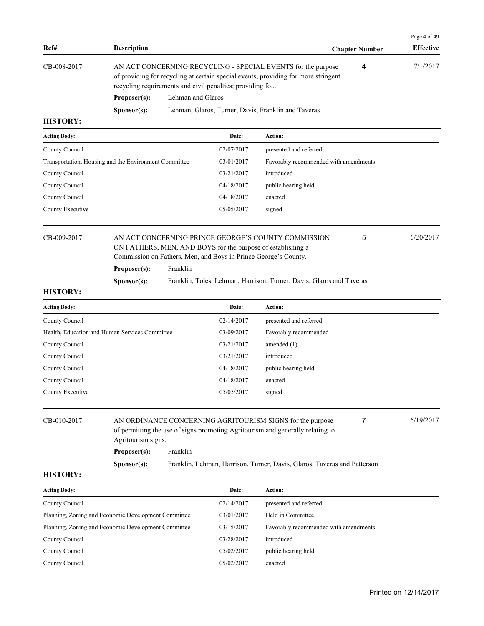|                 |                      |                                                                                                                                                                                                                |                       | Page 4 of 49     |
|-----------------|----------------------|----------------------------------------------------------------------------------------------------------------------------------------------------------------------------------------------------------------|-----------------------|------------------|
| Ref#            | <b>Description</b>   |                                                                                                                                                                                                                | <b>Chapter Number</b> | <b>Effective</b> |
| CB-008-2017     |                      | AN ACT CONCERNING RECYCLING - SPECIAL EVENTS for the purpose<br>of providing for recycling at certain special events; providing for more stringent<br>recycling requirements and civil penalties; providing fo | 4                     | 7/1/2017         |
|                 | Proposer(s):         | Lehman and Glaros                                                                                                                                                                                              |                       |                  |
|                 | S <b>p</b> onsor(s): | Lehman, Glaros, Turner, Davis, Franklin and Taveras                                                                                                                                                            |                       |                  |
| <b>HISTORY:</b> |                      |                                                                                                                                                                                                                |                       |                  |

| <b>Acting Body:</b>                                   | Date:      | <b>Action:</b>                        |
|-------------------------------------------------------|------------|---------------------------------------|
| County Council                                        | 02/07/2017 | presented and referred                |
| Transportation, Housing and the Environment Committee | 03/01/2017 | Favorably recommended with amendments |
| County Council                                        | 03/21/2017 | introduced                            |
| County Council                                        | 04/18/2017 | public hearing held                   |
| County Council                                        | 04/18/2017 | enacted                               |
| County Executive                                      | 05/05/2017 | signed                                |
|                                                       |            |                                       |

| CB-009-2017 |  |
|-------------|--|
|-------------|--|

## AN ACT CONCERNING PRINCE GEORGE'S COUNTY COMMISSION 6/20/2017 ON FATHERS, MEN, AND BOYS for the purpose of establishing a Commission on Fathers, Men, and Boys in Prince George's County. **Proposer(s):** Franklin

**Sponsor(s):** Franklin, Toles, Lehman, Harrison, Turner, Davis, Glaros and Taveras

## **HISTORY:**

| <b>Acting Body:</b>                            | Date:      | <b>Action:</b>         |
|------------------------------------------------|------------|------------------------|
| County Council                                 | 02/14/2017 | presented and referred |
| Health, Education and Human Services Committee | 03/09/2017 | Favorably recommended  |
| County Council                                 | 03/21/2017 | amended $(1)$          |
| County Council                                 | 03/21/2017 | introduced             |
| County Council                                 | 04/18/2017 | public hearing held    |
| County Council                                 | 04/18/2017 | enacted                |
| County Executive                               | 05/05/2017 | signed                 |
|                                                |            |                        |

| CB-010-2017 | Agritourism signs.   | AN ORDINANCE CONCERNING AGRITOURISM SIGNS for the purpose<br>of permitting the use of signs promoting Agritourism and generally relating to |  | 6/19/2017 |
|-------------|----------------------|---------------------------------------------------------------------------------------------------------------------------------------------|--|-----------|
|             | Proposer(s):         | Franklin                                                                                                                                    |  |           |
|             | S <b>p</b> onsor(s): | Franklin, Lehman, Harrison, Turner, Davis, Glaros, Taveras and Patterson                                                                    |  |           |

## **HISTORY:**

| <b>Acting Body:</b>                                 | Date:      | Action:                               |
|-----------------------------------------------------|------------|---------------------------------------|
| County Council                                      | 02/14/2017 | presented and referred                |
| Planning, Zoning and Economic Development Committee | 03/01/2017 | Held in Committee                     |
| Planning, Zoning and Economic Development Committee | 03/15/2017 | Favorably recommended with amendments |
| County Council                                      | 03/28/2017 | introduced                            |
| County Council                                      | 05/02/2017 | public hearing held                   |
| County Council                                      | 05/02/2017 | enacted                               |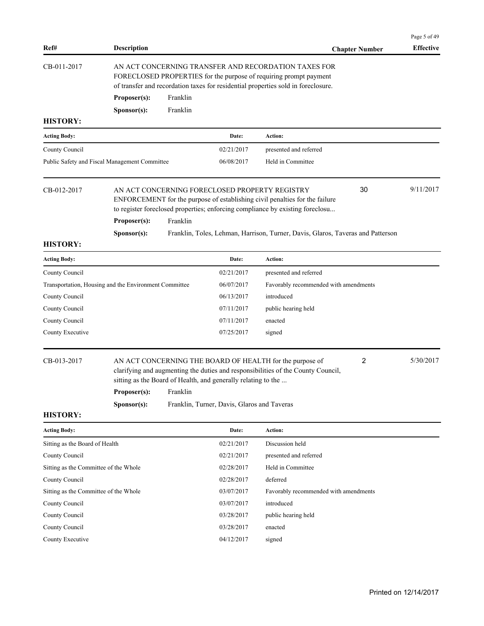| Ref#                                                  | <b>Description</b> |          |                                                               |                                                                                                                                                                                                                | <b>Chapter Number</b> | Page 5 of 49<br><b>Effective</b> |
|-------------------------------------------------------|--------------------|----------|---------------------------------------------------------------|----------------------------------------------------------------------------------------------------------------------------------------------------------------------------------------------------------------|-----------------------|----------------------------------|
| CB-011-2017                                           |                    |          |                                                               | AN ACT CONCERNING TRANSFER AND RECORDATION TAXES FOR<br>FORECLOSED PROPERTIES for the purpose of requiring prompt payment<br>of transfer and recordation taxes for residential properties sold in foreclosure. |                       |                                  |
|                                                       | Proposer(s):       | Franklin |                                                               |                                                                                                                                                                                                                |                       |                                  |
|                                                       | Sponsor(s):        | Franklin |                                                               |                                                                                                                                                                                                                |                       |                                  |
| <b>HISTORY:</b>                                       |                    |          |                                                               |                                                                                                                                                                                                                |                       |                                  |
| <b>Acting Body:</b>                                   |                    |          | Date:                                                         | Action:                                                                                                                                                                                                        |                       |                                  |
| County Council                                        |                    |          | 02/21/2017                                                    | presented and referred                                                                                                                                                                                         |                       |                                  |
| Public Safety and Fiscal Management Committee         |                    |          | 06/08/2017                                                    | Held in Committee                                                                                                                                                                                              |                       |                                  |
| CB-012-2017                                           | Proposer(s):       | Franklin |                                                               | AN ACT CONCERNING FORECLOSED PROPERTY REGISTRY<br>ENFORCEMENT for the purpose of establishing civil penalties for the failure<br>to register foreclosed properties; enforcing compliance by existing foreclosu | 30                    | 9/11/2017                        |
|                                                       |                    |          |                                                               |                                                                                                                                                                                                                |                       |                                  |
| <b>HISTORY:</b>                                       | Sponsor(s):        |          |                                                               | Franklin, Toles, Lehman, Harrison, Turner, Davis, Glaros, Taveras and Patterson                                                                                                                                |                       |                                  |
| <b>Acting Body:</b>                                   |                    |          | Date:                                                         | Action:                                                                                                                                                                                                        |                       |                                  |
| County Council                                        |                    |          | 02/21/2017                                                    | presented and referred                                                                                                                                                                                         |                       |                                  |
| Transportation, Housing and the Environment Committee |                    |          | 06/07/2017                                                    | Favorably recommended with amendments                                                                                                                                                                          |                       |                                  |
| County Council                                        |                    |          | 06/13/2017                                                    | introduced                                                                                                                                                                                                     |                       |                                  |
| County Council                                        |                    |          | 07/11/2017                                                    | public hearing held                                                                                                                                                                                            |                       |                                  |
| County Council                                        |                    |          | 07/11/2017                                                    | enacted                                                                                                                                                                                                        |                       |                                  |
| County Executive                                      |                    |          | 07/25/2017                                                    | signed                                                                                                                                                                                                         |                       |                                  |
| CB-013-2017                                           | Proposer(s):       | Franklin | sitting as the Board of Health, and generally relating to the | AN ACT CONCERNING THE BOARD OF HEALTH for the purpose of<br>clarifying and augmenting the duties and responsibilities of the County Council,                                                                   | 2                     | 5/30/2017                        |
| <b>HISTORY:</b>                                       | Sponsor(s):        |          | Franklin, Turner, Davis, Glaros and Taveras                   |                                                                                                                                                                                                                |                       |                                  |
| <b>Acting Body:</b>                                   |                    |          | Date:                                                         | Action:                                                                                                                                                                                                        |                       |                                  |
| Sitting as the Board of Health                        |                    |          | 02/21/2017                                                    | Discussion held                                                                                                                                                                                                |                       |                                  |
| County Council                                        |                    |          | 02/21/2017                                                    | presented and referred                                                                                                                                                                                         |                       |                                  |
| Sitting as the Committee of the Whole                 |                    |          | 02/28/2017                                                    | Held in Committee                                                                                                                                                                                              |                       |                                  |
| County Council                                        |                    |          | 02/28/2017                                                    | deferred                                                                                                                                                                                                       |                       |                                  |
| Sitting as the Committee of the Whole                 |                    |          | 03/07/2017                                                    | Favorably recommended with amendments                                                                                                                                                                          |                       |                                  |
| County Council                                        |                    |          | 03/07/2017                                                    | introduced                                                                                                                                                                                                     |                       |                                  |
| County Council                                        |                    |          | 03/28/2017                                                    | public hearing held                                                                                                                                                                                            |                       |                                  |
| County Council                                        |                    |          | 03/28/2017                                                    | enacted                                                                                                                                                                                                        |                       |                                  |
| County Executive                                      |                    |          | 04/12/2017                                                    | signed                                                                                                                                                                                                         |                       |                                  |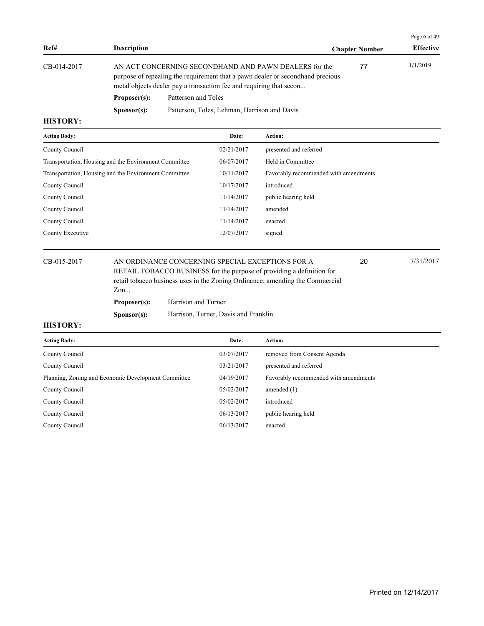|                 |                      |                                                                                                                                                                                                                 |                       | Page 6 of 49     |
|-----------------|----------------------|-----------------------------------------------------------------------------------------------------------------------------------------------------------------------------------------------------------------|-----------------------|------------------|
| Ref#            | <b>Description</b>   |                                                                                                                                                                                                                 | <b>Chapter Number</b> | <b>Effective</b> |
| CB-014-2017     |                      | AN ACT CONCERNING SECONDHAND AND PAWN DEALERS for the<br>purpose of repealing the requirement that a pawn dealer or second hand precious<br>metal objects dealer pay a transaction fee and requiring that secon | 77                    | 1/1/2019         |
|                 | <b>Proposer(s):</b>  | Patterson and Toles                                                                                                                                                                                             |                       |                  |
|                 | S <b>p</b> onsor(s): | Patterson, Toles, Lehman, Harrison and Davis                                                                                                                                                                    |                       |                  |
| <b>TITODODI</b> |                      |                                                                                                                                                                                                                 |                       |                  |

| <b>Acting Body:</b>                                   | Date:      | Action:                               |
|-------------------------------------------------------|------------|---------------------------------------|
| County Council                                        | 02/21/2017 | presented and referred                |
| Transportation, Housing and the Environment Committee | 06/07/2017 | Held in Committee                     |
| Transportation, Housing and the Environment Committee | 10/11/2017 | Favorably recommended with amendments |
| County Council                                        | 10/17/2017 | introduced                            |
| County Council                                        | 11/14/2017 | public hearing held                   |
| County Council                                        | 11/14/2017 | amended                               |
| County Council                                        | 11/14/2017 | enacted                               |
| County Executive                                      | 12/07/2017 | signed                                |
|                                                       |            |                                       |

CB-015-2017 AN ORDINANCE CONCERNING SPECIAL EXCEPTIONS FOR A 20 7/31/2017 RETAIL TOBACCO BUSINESS for the purpose of providing a definition for retail tobacco business uses in the Zoning Ordinance; amending the Commercial Zon...

20

| Zon                  |                                      |
|----------------------|--------------------------------------|
| Proposer(s):         | Harrison and Turner                  |
| S <b>p</b> onsor(s): | Harrison, Turner, Davis and Franklin |

| <b>Acting Body:</b>                                 | Date:      | Action:                               |
|-----------------------------------------------------|------------|---------------------------------------|
| County Council                                      | 03/07/2017 | removed from Consent Agenda           |
| County Council                                      | 03/21/2017 | presented and referred                |
| Planning, Zoning and Economic Development Committee | 04/19/2017 | Favorably recommended with amendments |
| County Council                                      | 05/02/2017 | amended $(1)$                         |
| County Council                                      | 05/02/2017 | introduced                            |
| County Council                                      | 06/13/2017 | public hearing held                   |
| County Council                                      | 06/13/2017 | enacted                               |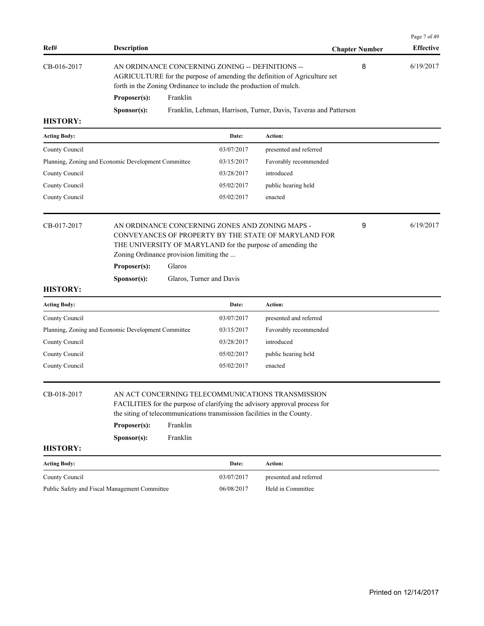| Ref#                | <b>Description</b>                                      |          |                                                                                                                       |                                                                                                                                                                       | <b>Chapter Number</b> | Page 7 of 49<br><b>Effective</b> |
|---------------------|---------------------------------------------------------|----------|-----------------------------------------------------------------------------------------------------------------------|-----------------------------------------------------------------------------------------------------------------------------------------------------------------------|-----------------------|----------------------------------|
| CB-016-2017         |                                                         |          | AN ORDINANCE CONCERNING ZONING -- DEFINITIONS --<br>forth in the Zoning Ordinance to include the production of mulch. | AGRICULTURE for the purpose of amending the definition of Agriculture set                                                                                             | 8                     | 6/19/2017                        |
|                     | Proposer(s):                                            | Franklin |                                                                                                                       |                                                                                                                                                                       |                       |                                  |
|                     | Sponsor(s):                                             |          |                                                                                                                       | Franklin, Lehman, Harrison, Turner, Davis, Taveras and Patterson                                                                                                      |                       |                                  |
| <b>HISTORY:</b>     |                                                         |          |                                                                                                                       |                                                                                                                                                                       |                       |                                  |
| <b>Acting Body:</b> |                                                         |          | Date:                                                                                                                 | Action:                                                                                                                                                               |                       |                                  |
| County Council      |                                                         |          | 03/07/2017                                                                                                            | presented and referred                                                                                                                                                |                       |                                  |
|                     | Planning, Zoning and Economic Development Committee     |          | 03/15/2017                                                                                                            | Favorably recommended                                                                                                                                                 |                       |                                  |
| County Council      |                                                         |          | 03/28/2017                                                                                                            | introduced                                                                                                                                                            |                       |                                  |
| County Council      |                                                         |          | 05/02/2017                                                                                                            | public hearing held                                                                                                                                                   |                       |                                  |
| County Council      |                                                         |          | 05/02/2017                                                                                                            | enacted                                                                                                                                                               |                       |                                  |
| CB-017-2017         | Zoning Ordinance provision limiting the<br>Proposer(s): | Glaros   |                                                                                                                       | AN ORDINANCE CONCERNING ZONES AND ZONING MAPS -<br>CONVEYANCES OF PROPERTY BY THE STATE OF MARYLAND FOR<br>THE UNIVERSITY OF MARYLAND for the purpose of amending the | 9                     | 6/19/2017                        |
|                     | Sponsor(s):                                             |          | Glaros, Turner and Davis                                                                                              |                                                                                                                                                                       |                       |                                  |
| <b>HISTORY:</b>     |                                                         |          |                                                                                                                       |                                                                                                                                                                       |                       |                                  |
| <b>Acting Body:</b> |                                                         |          | Date:                                                                                                                 | Action:                                                                                                                                                               |                       |                                  |
| County Council      |                                                         |          | 03/07/2017                                                                                                            | presented and referred                                                                                                                                                |                       |                                  |
|                     | Planning, Zoning and Economic Development Committee     |          | 03/15/2017                                                                                                            | Favorably recommended                                                                                                                                                 |                       |                                  |
| County Council      |                                                         |          | 03/28/2017                                                                                                            | introduced                                                                                                                                                            |                       |                                  |
| County Council      |                                                         |          | 05/02/2017                                                                                                            | public hearing held                                                                                                                                                   |                       |                                  |
| County Council      |                                                         |          | 05/02/2017                                                                                                            | enacted                                                                                                                                                               |                       |                                  |
| CB-018-2017         |                                                         |          |                                                                                                                       | AN ACT CONCERNING TELECOMMUNICATIONS TRANSMISSION<br>FACILITIES for the purpose of clarifying the advisory approval process for                                       |                       |                                  |

| the siting of telecommunications transmission facilities in the County. |  |
|-------------------------------------------------------------------------|--|
|-------------------------------------------------------------------------|--|

| Proposer(s):         | Franklin |
|----------------------|----------|
| S <b>p</b> onsor(s): | Franklin |

| <b>Acting Body:</b>                           | Date:      | Action:                |
|-----------------------------------------------|------------|------------------------|
| County Council                                | 03/07/2017 | presented and referred |
| Public Safety and Fiscal Management Committee | 06/08/2017 | Held in Committee      |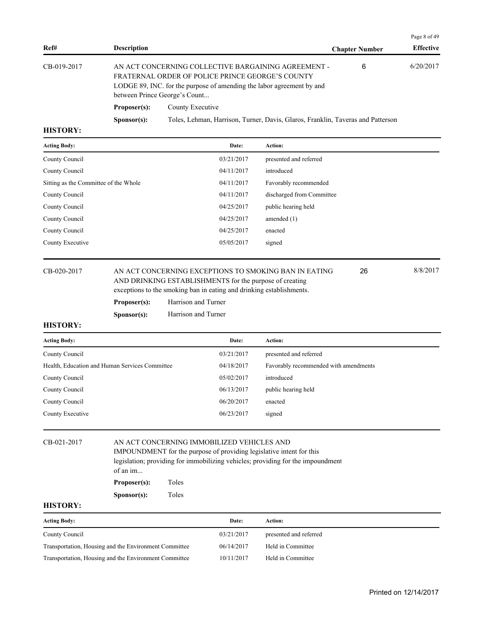|             |                                                                                                                                                                                                                   |                                                                                 |                       | Page 8 of 49     |  |
|-------------|-------------------------------------------------------------------------------------------------------------------------------------------------------------------------------------------------------------------|---------------------------------------------------------------------------------|-----------------------|------------------|--|
| Ref#        | <b>Description</b>                                                                                                                                                                                                |                                                                                 | <b>Chapter Number</b> | <b>Effective</b> |  |
| CB-019-2017 | AN ACT CONCERNING COLLECTIVE BARGAINING AGREEMENT -<br>FRATERNAL ORDER OF POLICE PRINCE GEORGE'S COUNTY<br>LODGE 89, INC. for the purpose of amending the labor agreement by and<br>between Prince George's Count |                                                                                 | 6                     | 6/20/2017        |  |
|             | Proposer(s):                                                                                                                                                                                                      | County Executive                                                                |                       |                  |  |
|             | S <b>p</b> onsor(s):                                                                                                                                                                                              | Toles, Lehman, Harrison, Turner, Davis, Glaros, Franklin, Taveras and Patterson |                       |                  |  |
|             |                                                                                                                                                                                                                   |                                                                                 |                       |                  |  |

| <b>Acting Body:</b>                   | Date:      | <b>Action:</b>            |
|---------------------------------------|------------|---------------------------|
| County Council                        | 03/21/2017 | presented and referred    |
| County Council                        | 04/11/2017 | introduced                |
| Sitting as the Committee of the Whole | 04/11/2017 | Favorably recommended     |
| County Council                        | 04/11/2017 | discharged from Committee |
| County Council                        | 04/25/2017 | public hearing held       |
| County Council                        | 04/25/2017 | amended $(1)$             |
| County Council                        | 04/25/2017 | enacted                   |
| County Executive                      | 05/05/2017 | signed                    |
|                                       |            |                           |

## CB-020-2017 AN ACT CONCERNING EXCEPTIONS TO SMOKING BAN IN EATING 26 8/8/2017 AND DRINKING ESTABLISHMENTS for the purpose of creating

exceptions to the smoking ban in eating and drinking establishments.

| Proposer(s):         | Harrison and Turner |
|----------------------|---------------------|
| S <b>p</b> onsor(s): | Harrison and Turner |

### **HISTORY:**

| <b>Acting Body:</b>                            | Date:      | Action:                               |
|------------------------------------------------|------------|---------------------------------------|
| County Council                                 | 03/21/2017 | presented and referred                |
| Health, Education and Human Services Committee | 04/18/2017 | Favorably recommended with amendments |
| County Council                                 | 05/02/2017 | introduced                            |
| County Council                                 | 06/13/2017 | public hearing held                   |
| County Council                                 | 06/20/2017 | enacted                               |
| County Executive                               | 06/23/2017 | signed                                |
|                                                |            |                                       |

## CB-021-2017 AN ACT CONCERNING IMMOBILIZED VEHICLES AND

IMPOUNDMENT for the purpose of providing legislative intent for this legislation; providing for immobilizing vehicles; providing for the impoundment of an im...

| Toles<br>Proposer(s): |
|-----------------------|
|                       |

**Sponsor(s):** Toles

### **HISTORY:**

| <b>Acting Body:</b>                                   | Date:      | Action:                |
|-------------------------------------------------------|------------|------------------------|
| County Council                                        | 03/21/2017 | presented and referred |
| Transportation, Housing and the Environment Committee | 06/14/2017 | Held in Committee      |
| Transportation, Housing and the Environment Committee | 10/11/2017 | Held in Committee      |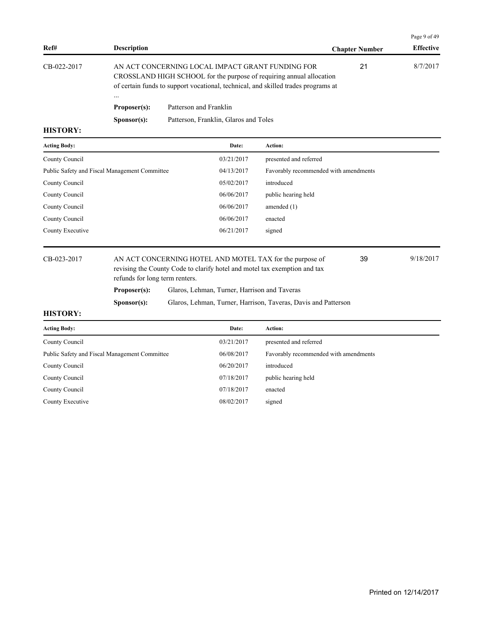| Ref#            | <b>Description</b>       |                                                                                                                                                                                                               | <b>Chapter Number</b> | <b>Effective</b> |
|-----------------|--------------------------|---------------------------------------------------------------------------------------------------------------------------------------------------------------------------------------------------------------|-----------------------|------------------|
| CB-022-2017     |                          | AN ACT CONCERNING LOCAL IMPACT GRANT FUNDING FOR<br>CROSSLAND HIGH SCHOOL for the purpose of requiring annual allocation<br>of certain funds to support vocational, technical, and skilled trades programs at | 21                    | 8/7/2017         |
|                 | $\cdots$<br>Proposer(s): | Patterson and Franklin                                                                                                                                                                                        |                       |                  |
|                 | S <b>p</b> onsor(s):     | Patterson, Franklin, Glaros and Toles                                                                                                                                                                         |                       |                  |
| <b>HISTORY:</b> |                          |                                                                                                                                                                                                               |                       |                  |

| <b>Acting Body:</b>                           | Date:      | Action:                               |
|-----------------------------------------------|------------|---------------------------------------|
| County Council                                | 03/21/2017 | presented and referred                |
| Public Safety and Fiscal Management Committee | 04/13/2017 | Favorably recommended with amendments |
| County Council                                | 05/02/2017 | introduced                            |
| County Council                                | 06/06/2017 | public hearing held                   |
| County Council                                | 06/06/2017 | amended $(1)$                         |
| County Council                                | 06/06/2017 | enacted                               |
| County Executive                              | 06/21/2017 | signed                                |
|                                               |            |                                       |

CB-023-2017 AN ACT CONCERNING HOTEL AND MOTEL TAX for the purpose of 39 9/18/2017 revising the County Code to clarify hotel and motel tax exemption and tax refunds for long term renters. 39 Proposer(s): Glaros, Lehman, Turner, Harrison and Taveras **Sponsor(s):** Glaros, Lehman, Turner, Harrison, Taveras, Davis and Patterson

### **HISTORY:**

| Date:      | Action:                               |
|------------|---------------------------------------|
| 03/21/2017 | presented and referred                |
| 06/08/2017 | Favorably recommended with amendments |
| 06/20/2017 | introduced                            |
| 07/18/2017 | public hearing held                   |
| 07/18/2017 | enacted                               |
| 08/02/2017 | signed                                |
|            |                                       |

Page 9 of 49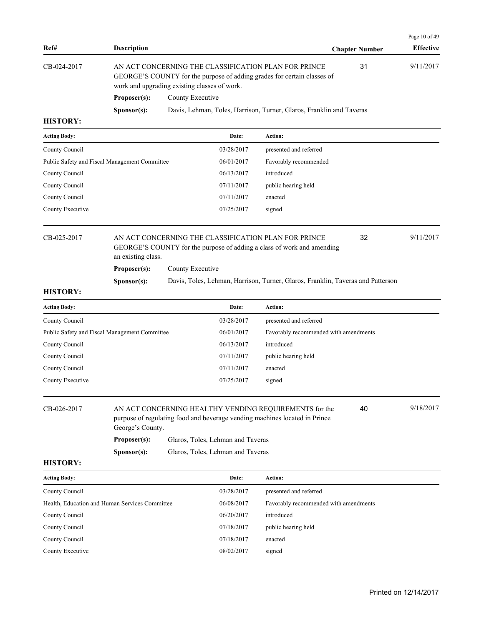|                 |                      |                                                                                                                                                                                 |                       | Page 10 of 49    |
|-----------------|----------------------|---------------------------------------------------------------------------------------------------------------------------------------------------------------------------------|-----------------------|------------------|
| Ref#            | <b>Description</b>   |                                                                                                                                                                                 | <b>Chapter Number</b> | <b>Effective</b> |
| CB-024-2017     |                      | AN ACT CONCERNING THE CLASSIFICATION PLAN FOR PRINCE<br>GEORGE'S COUNTY for the purpose of adding grades for certain classes of<br>work and upgrading existing classes of work. | 31                    | 9/11/2017        |
|                 | Proposer(s):         | County Executive                                                                                                                                                                |                       |                  |
|                 | S <b>p</b> onsor(s): | Davis, Lehman, Toles, Harrison, Turner, Glaros, Franklin and Taveras                                                                                                            |                       |                  |
| <b>HISTORY:</b> |                      |                                                                                                                                                                                 |                       |                  |
| Acting Rody.    |                      | Action:<br>Date:                                                                                                                                                                |                       |                  |

| <b>Acting Body:</b> |                                               | Date:                                                                                                                          | Action:                |    |           |
|---------------------|-----------------------------------------------|--------------------------------------------------------------------------------------------------------------------------------|------------------------|----|-----------|
| County Council      |                                               | 03/28/2017                                                                                                                     | presented and referred |    |           |
|                     | Public Safety and Fiscal Management Committee | 06/01/2017                                                                                                                     | Favorably recommended  |    |           |
| County Council      |                                               | 06/13/2017                                                                                                                     | introduced             |    |           |
| County Council      |                                               | 07/11/2017                                                                                                                     | public hearing held    |    |           |
| County Council      |                                               | 07/11/2017                                                                                                                     | enacted                |    |           |
| County Executive    |                                               | 07/25/2017                                                                                                                     | signed                 |    |           |
| CB-025-2017         | an existing class.                            | AN ACT CONCERNING THE CLASSIFICATION PLAN FOR PRINCE<br>GEORGE'S COUNTY for the purpose of adding a class of work and amending |                        | 32 | 9/11/2017 |
|                     | Proposer(s):                                  | County Executive                                                                                                               |                        |    |           |

**Sponsor(s):** Davis, Toles, Lehman, Harrison, Turner, Glaros, Franklin, Taveras and Patterson

## **HISTORY:**

CB-026-2017 AN ACT CONCERNING HEALTHY VENDING REQUIREMENTS for the 40 9/18/2017 purpose of regulating food and beverage vending machines located in Prince George's County. 40 **Proposer(s):** Glaros, Toles, Lehman and Taveras

**Sponsor(s):** Glaros, Toles, Lehman and Taveras

| <b>Acting Body:</b>                            | Date:      | Action:                               |
|------------------------------------------------|------------|---------------------------------------|
| County Council                                 | 03/28/2017 | presented and referred                |
| Health, Education and Human Services Committee | 06/08/2017 | Favorably recommended with amendments |
| County Council                                 | 06/20/2017 | introduced                            |
| County Council                                 | 07/18/2017 | public hearing held                   |
| County Council                                 | 07/18/2017 | enacted                               |
| County Executive                               | 08/02/2017 | signed                                |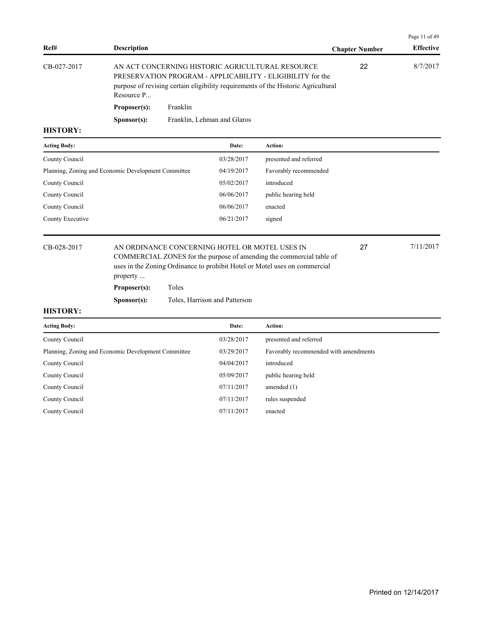| Ref#            | <b>Description</b>   |                                                                                                                                                                                                     | <b>Chapter Number</b> | <b>Effective</b> |
|-----------------|----------------------|-----------------------------------------------------------------------------------------------------------------------------------------------------------------------------------------------------|-----------------------|------------------|
| CB-027-2017     | Resource P           | AN ACT CONCERNING HISTORIC AGRICULTURAL RESOURCE<br>PRESERVATION PROGRAM - APPLICABILITY - ELIGIBILITY for the<br>purpose of revising certain eligibility requirements of the Historic Agricultural | 22                    | 8/7/2017         |
|                 | Proposer(s):         | Franklin                                                                                                                                                                                            |                       |                  |
|                 | S <b>p</b> onsor(s): | Franklin, Lehman and Glaros                                                                                                                                                                         |                       |                  |
| <b>HISTORY:</b> |                      |                                                                                                                                                                                                     |                       |                  |

| <b>Acting Body:</b>                                 | Date:      | Action:                |
|-----------------------------------------------------|------------|------------------------|
| County Council                                      | 03/28/2017 | presented and referred |
| Planning, Zoning and Economic Development Committee | 04/19/2017 | Favorably recommended  |
| County Council                                      | 05/02/2017 | introduced             |
| County Council                                      | 06/06/2017 | public hearing held    |
| County Council                                      | 06/06/2017 | enacted                |
| County Executive                                    | 06/21/2017 | signed                 |
|                                                     |            |                        |

## CB-028-2017 AN ORDINANCE CONCERNING HOTEL OR MOTEL USES IN 27 7/11/2017 COMMERCIAL ZONES for the purpose of amending the commercial table of uses in the Zoning Ordinance to prohibit Hotel or Motel uses on commercial property ...

**Proposer(s):** Toles

**Sponsor(s):** Toles, Harrison and Patterson

#### **HISTORY:**

| Date:      | Action:                               |
|------------|---------------------------------------|
| 03/28/2017 | presented and referred                |
| 03/29/2017 | Favorably recommended with amendments |
| 04/04/2017 | introduced                            |
| 05/09/2017 | public hearing held                   |
| 07/11/2017 | amended $(1)$                         |
| 07/11/2017 | rules suspended                       |
| 07/11/2017 | enacted                               |
|            |                                       |

Page 11 of 49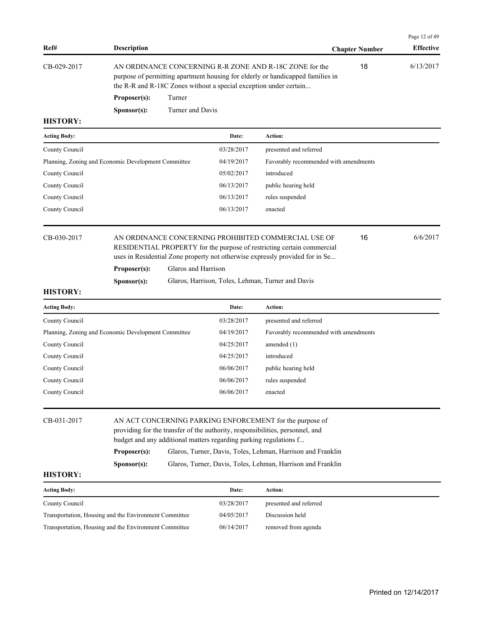|             |                      |                                                                                                                                                                                                                |                       | Page 12 of 49    |
|-------------|----------------------|----------------------------------------------------------------------------------------------------------------------------------------------------------------------------------------------------------------|-----------------------|------------------|
| Ref#        | <b>Description</b>   |                                                                                                                                                                                                                | <b>Chapter Number</b> | <b>Effective</b> |
| CB-029-2017 |                      | AN ORDINANCE CONCERNING R-R ZONE AND R-18C ZONE for the<br>purpose of permitting apartment housing for elderly or handicapped families in<br>the R-R and R-18C Zones without a special exception under certain | 18                    | 6/13/2017        |
|             | Proposer(s):         | Turner                                                                                                                                                                                                         |                       |                  |
|             | S <b>p</b> onsor(s): | Turner and Davis                                                                                                                                                                                               |                       |                  |

| <b>Acting Body:</b>                                 | Date:      | <b>Action:</b>                        |
|-----------------------------------------------------|------------|---------------------------------------|
| County Council                                      | 03/28/2017 | presented and referred                |
| Planning, Zoning and Economic Development Committee | 04/19/2017 | Favorably recommended with amendments |
| County Council                                      | 05/02/2017 | introduced                            |
| County Council                                      | 06/13/2017 | public hearing held                   |
| County Council                                      | 06/13/2017 | rules suspended                       |
| County Council                                      | 06/13/2017 | enacted                               |
|                                                     |            |                                       |

CB-030-2017 AN ORDINANCE CONCERNING PROHIBITED COMMERCIAL USE OF 6/6/2017 RESIDENTIAL PROPERTY for the purpose of restricting certain commercial uses in Residential Zone property not otherwise expressly provided for in Se...

**Proposer(s):** Glaros and Harrison

Sponsor(s): Glaros, Harrison, Toles, Lehman, Turner and Davis

## **HISTORY:**

| <b>Acting Body:</b>                                 | Date:      | <b>Action:</b>                        |
|-----------------------------------------------------|------------|---------------------------------------|
| County Council                                      | 03/28/2017 | presented and referred                |
| Planning, Zoning and Economic Development Committee | 04/19/2017 | Favorably recommended with amendments |
| County Council                                      | 04/25/2017 | amended $(1)$                         |
| County Council                                      | 04/25/2017 | introduced                            |
| County Council                                      | 06/06/2017 | public hearing held                   |
| County Council                                      | 06/06/2017 | rules suspended                       |
| County Council                                      | 06/06/2017 | enacted                               |
|                                                     |            |                                       |

| CB-031-2017         | AN ACT CONCERNING PARKING ENFORCEMENT for the purpose of<br>providing for the transfer of the authority, responsibilities, personnel, and<br>budget and any additional matters regarding parking regulations f |                                                             |  |  |  |
|---------------------|----------------------------------------------------------------------------------------------------------------------------------------------------------------------------------------------------------------|-------------------------------------------------------------|--|--|--|
|                     | Proposer(s):                                                                                                                                                                                                   | Glaros, Turner, Davis, Toles, Lehman, Harrison and Franklin |  |  |  |
|                     | S <b>p</b> onsor(s):                                                                                                                                                                                           | Glaros, Turner, Davis, Toles, Lehman, Harrison and Franklin |  |  |  |
| <b>HISTORY:</b>     |                                                                                                                                                                                                                |                                                             |  |  |  |
| <b>Acting Body:</b> |                                                                                                                                                                                                                | Date:<br>Action:                                            |  |  |  |

| County Council                                        | 03/28/2017 | presented and referred |
|-------------------------------------------------------|------------|------------------------|
| Transportation, Housing and the Environment Committee | 04/05/2017 | Discussion held        |
| Transportation, Housing and the Environment Committee | 06/14/2017 | removed from agenda    |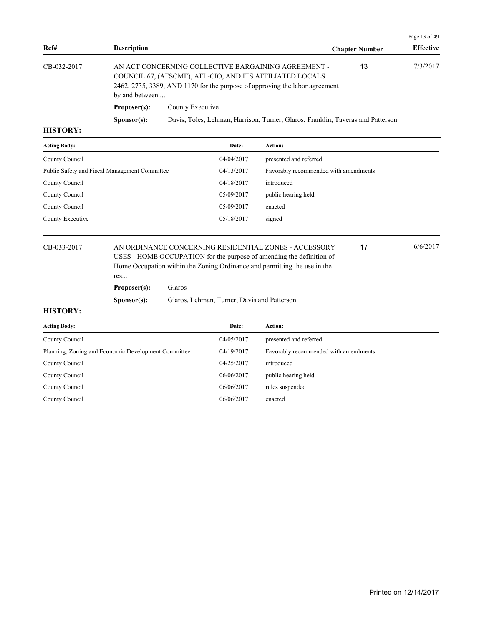|             |                      |                                                                                                                                                                                                |                       | Page 13 of 49    |
|-------------|----------------------|------------------------------------------------------------------------------------------------------------------------------------------------------------------------------------------------|-----------------------|------------------|
| Ref#        | <b>Description</b>   |                                                                                                                                                                                                | <b>Chapter Number</b> | <b>Effective</b> |
| CB-032-2017 | by and between       | AN ACT CONCERNING COLLECTIVE BARGAINING AGREEMENT -<br>COUNCIL 67, (AFSCME), AFL-CIO, AND ITS AFFILIATED LOCALS<br>2462, 2735, 3389, AND 1170 for the purpose of approving the labor agreement | 13                    | 7/3/2017         |
|             | Proposer(s):         | County Executive                                                                                                                                                                               |                       |                  |
|             | S <b>p</b> onsor(s): | Davis, Toles, Lehman, Harrison, Turner, Glaros, Franklin, Taveras and Patterson                                                                                                                |                       |                  |
| итетору.    |                      |                                                                                                                                                                                                |                       |                  |

| <b>Acting Body:</b>                           | Date:      | <b>Action:</b>                        |
|-----------------------------------------------|------------|---------------------------------------|
| County Council                                | 04/04/2017 | presented and referred                |
| Public Safety and Fiscal Management Committee | 04/13/2017 | Favorably recommended with amendments |
| County Council                                | 04/18/2017 | introduced                            |
| County Council                                | 05/09/2017 | public hearing held                   |
| County Council                                | 05/09/2017 | enacted                               |
| County Executive                              | 05/18/2017 | signed                                |
|                                               |            |                                       |

CB-033-2017 AN ORDINANCE CONCERNING RESIDENTIAL ZONES - ACCESSORY 6/6/2017 USES - HOME OCCUPATION for the purpose of amending the definition of Home Occupation within the Zoning Ordinance and permitting the use in the res...

**Proposer(s):** Glaros

**Sponsor(s):** Glaros, Lehman, Turner, Davis and Patterson

#### **HISTORY:**

| Date:      | <b>Action:</b>                        |
|------------|---------------------------------------|
| 04/05/2017 | presented and referred                |
| 04/19/2017 | Favorably recommended with amendments |
| 04/25/2017 | introduced                            |
| 06/06/2017 | public hearing held                   |
| 06/06/2017 | rules suspended                       |
| 06/06/2017 | enacted                               |
|            |                                       |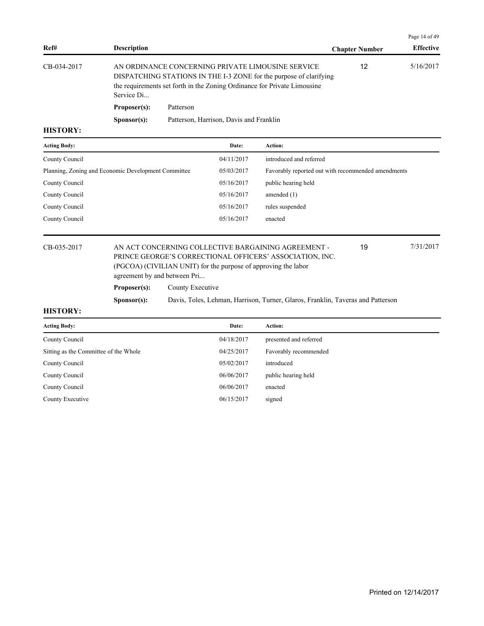|             |                      |                                                                                                                                                                                                     |                       | Page 14 of 49    |
|-------------|----------------------|-----------------------------------------------------------------------------------------------------------------------------------------------------------------------------------------------------|-----------------------|------------------|
| Ref#        | <b>Description</b>   |                                                                                                                                                                                                     | <b>Chapter Number</b> | <b>Effective</b> |
| CB-034-2017 | Service Di           | AN ORDINANCE CONCERNING PRIVATE LIMOUSINE SERVICE<br>DISPATCHING STATIONS IN THE I-3 ZONE for the purpose of clarifying<br>the requirements set forth in the Zoning Ordinance for Private Limousine | 12                    | 5/16/2017        |
|             | Proposer(s):         | Patterson                                                                                                                                                                                           |                       |                  |
|             | S <b>p</b> onsor(s): | Patterson, Harrison, Davis and Franklin                                                                                                                                                             |                       |                  |
| TITCTANDV.  |                      |                                                                                                                                                                                                     |                       |                  |

| <b>Acting Body:</b>                                 | Date:      | Action:                                            |
|-----------------------------------------------------|------------|----------------------------------------------------|
| County Council                                      | 04/11/2017 | introduced and referred                            |
| Planning, Zoning and Economic Development Committee | 05/03/2017 | Favorably reported out with recommended amendments |
| County Council                                      | 05/16/2017 | public hearing held                                |
| County Council                                      | 05/16/2017 | amended $(1)$                                      |
| County Council                                      | 05/16/2017 | rules suspended                                    |
| County Council                                      | 05/16/2017 | enacted                                            |
|                                                     |            |                                                    |

## CB-035-2017 AN ACT CONCERNING COLLECTIVE BARGAINING AGREEMENT - 7/31/2017 PRINCE GEORGE'S CORRECTIONAL OFFICERS' ASSOCIATION, INC. (PGCOA) (CIVILIAN UNIT) for the purpose of approving the labor agreement by and between Pri...

**Proposer(s):** County Executive

**Sponsor(s):** Davis, Toles, Lehman, Harrison, Turner, Glaros, Franklin, Taveras and Patterson

#### **HISTORY:**

| Date:      | <b>Action:</b>         |
|------------|------------------------|
| 04/18/2017 | presented and referred |
| 04/25/2017 | Favorably recommended  |
| 05/02/2017 | introduced             |
| 06/06/2017 | public hearing held    |
| 06/06/2017 | enacted                |
| 06/15/2017 | signed                 |
|            |                        |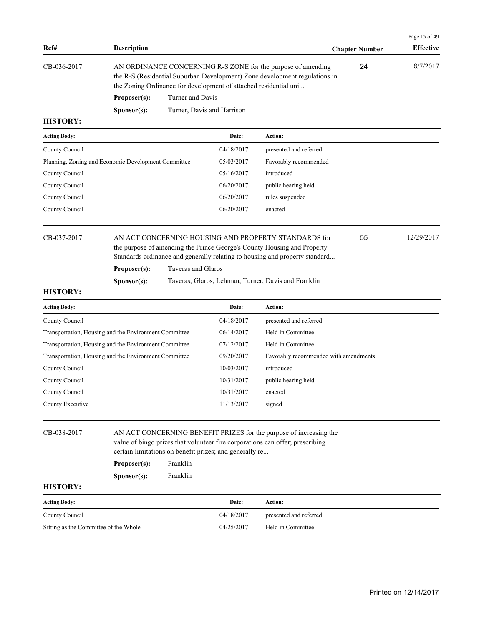|                 |                                                                                                                                                                                                                |                            |                  | Page 15 of 49 |
|-----------------|----------------------------------------------------------------------------------------------------------------------------------------------------------------------------------------------------------------|----------------------------|------------------|---------------|
| Ref#            | <b>Description</b>                                                                                                                                                                                             | <b>Chapter Number</b>      | <b>Effective</b> |               |
| CB-036-2017     | AN ORDINANCE CONCERNING R-S ZONE for the purpose of amending<br>the R-S (Residential Suburban Development) Zone development regulations in<br>the Zoning Ordinance for development of attached residential uni |                            | 24               | 8/7/2017      |
|                 | Proposer(s):                                                                                                                                                                                                   | Turner and Davis           |                  |               |
|                 | S <b>p</b> onsor(s):                                                                                                                                                                                           | Turner, Davis and Harrison |                  |               |
| <b>HISTORY:</b> |                                                                                                                                                                                                                |                            |                  |               |

| <b>Acting Body:</b> |                                                            | Date:      | <b>Action:</b>         |            |  |
|---------------------|------------------------------------------------------------|------------|------------------------|------------|--|
| County Council      |                                                            | 04/18/2017 | presented and referred |            |  |
|                     | Planning, Zoning and Economic Development Committee        | 05/03/2017 | Favorably recommended  |            |  |
| County Council      |                                                            | 05/16/2017 | introduced             |            |  |
| County Council      |                                                            | 06/20/2017 | public hearing held    |            |  |
| County Council      |                                                            | 06/20/2017 | rules suspended        |            |  |
| County Council      |                                                            | 06/20/2017 | enacted                |            |  |
|                     |                                                            |            |                        |            |  |
| CB-037-2017         | 55<br>AN ACT CONCERNING HOUSING AND PROPERTY STANDARDS for |            |                        | 12/29/2017 |  |

the purpose of amending the Prince George's County Housing and Property Standards ordinance and generally relating to housing and property standard...

**Proposer(s):** Taveras and Glaros

**Sponsor(s):** Taveras, Glaros, Lehman, Turner, Davis and Franklin

## **HISTORY:**

| <b>Acting Body:</b>                                   | Date:      | <b>Action:</b>                        |
|-------------------------------------------------------|------------|---------------------------------------|
| County Council                                        | 04/18/2017 | presented and referred                |
| Transportation, Housing and the Environment Committee | 06/14/2017 | Held in Committee                     |
| Transportation, Housing and the Environment Committee | 07/12/2017 | Held in Committee                     |
| Transportation, Housing and the Environment Committee | 09/20/2017 | Favorably recommended with amendments |
| County Council                                        | 10/03/2017 | introduced                            |
| County Council                                        | 10/31/2017 | public hearing held                   |
| County Council                                        | 10/31/2017 | enacted                               |
| County Executive                                      | 11/13/2017 | signed                                |

CB-038-2017 AN ACT CONCERNING BENEFIT PRIZES for the purpose of increasing the value of bingo prizes that volunteer fire corporations can offer; prescribing certain limitations on benefit prizes; and generally re...

| Proposer(s): | Franklin |
|--------------|----------|
|              |          |

**Sponsor(s):** Franklin

| <b>Acting Body:</b>                   | Date:      | Action:                |
|---------------------------------------|------------|------------------------|
| County Council                        | 04/18/2017 | presented and referred |
| Sitting as the Committee of the Whole | 04/25/2017 | Held in Committee      |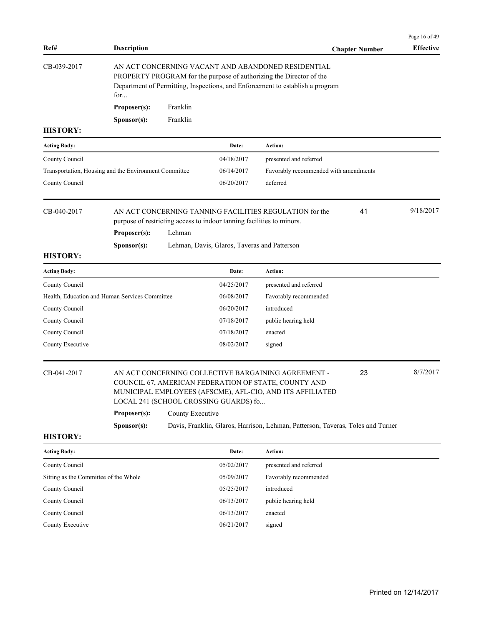|                                                       |                    |                  |                                                                       |                                                                                                                                                                                                            |                       | Page 16 of 49    |
|-------------------------------------------------------|--------------------|------------------|-----------------------------------------------------------------------|------------------------------------------------------------------------------------------------------------------------------------------------------------------------------------------------------------|-----------------------|------------------|
| Ref#                                                  | <b>Description</b> |                  |                                                                       |                                                                                                                                                                                                            | <b>Chapter Number</b> | <b>Effective</b> |
| CB-039-2017                                           | for                |                  |                                                                       | AN ACT CONCERNING VACANT AND ABANDONED RESIDENTIAL<br>PROPERTY PROGRAM for the purpose of authorizing the Director of the<br>Department of Permitting, Inspections, and Enforcement to establish a program |                       |                  |
|                                                       | Proposer(s):       | Franklin         |                                                                       |                                                                                                                                                                                                            |                       |                  |
|                                                       | Sponsor(s):        | Franklin         |                                                                       |                                                                                                                                                                                                            |                       |                  |
| <b>HISTORY:</b>                                       |                    |                  |                                                                       |                                                                                                                                                                                                            |                       |                  |
| <b>Acting Body:</b>                                   |                    |                  | Date:                                                                 | Action:                                                                                                                                                                                                    |                       |                  |
| County Council                                        |                    |                  | 04/18/2017                                                            | presented and referred                                                                                                                                                                                     |                       |                  |
| Transportation, Housing and the Environment Committee |                    |                  | 06/14/2017                                                            | Favorably recommended with amendments                                                                                                                                                                      |                       |                  |
| County Council                                        |                    |                  | 06/20/2017                                                            | deferred                                                                                                                                                                                                   |                       |                  |
| CB-040-2017                                           | Proposer(s):       | Lehman           | purpose of restricting access to indoor tanning facilities to minors. | AN ACT CONCERNING TANNING FACILITIES REGULATION for the                                                                                                                                                    | 41                    | 9/18/2017        |
| <b>HISTORY:</b>                                       | Sponsor(s):        |                  | Lehman, Davis, Glaros, Taveras and Patterson                          |                                                                                                                                                                                                            |                       |                  |
|                                                       |                    |                  |                                                                       |                                                                                                                                                                                                            |                       |                  |
| <b>Acting Body:</b>                                   |                    |                  | Date:                                                                 | Action:                                                                                                                                                                                                    |                       |                  |
| County Council                                        |                    |                  | 04/25/2017                                                            | presented and referred                                                                                                                                                                                     |                       |                  |
| Health, Education and Human Services Committee        |                    |                  | 06/08/2017                                                            | Favorably recommended<br>introduced                                                                                                                                                                        |                       |                  |
| County Council                                        |                    |                  | 06/20/2017<br>07/18/2017                                              |                                                                                                                                                                                                            |                       |                  |
| County Council<br>County Council                      |                    |                  | 07/18/2017                                                            | public hearing held<br>enacted                                                                                                                                                                             |                       |                  |
| County Executive                                      |                    |                  | 08/02/2017                                                            | signed                                                                                                                                                                                                     |                       |                  |
|                                                       |                    |                  |                                                                       |                                                                                                                                                                                                            |                       |                  |
| CB-041-2017                                           |                    |                  | LOCAL 241 (SCHOOL CROSSING GUARDS) fo                                 | AN ACT CONCERNING COLLECTIVE BARGAINING AGREEMENT -<br>COUNCIL 67, AMERICAN FEDERATION OF STATE, COUNTY AND<br>MUNICIPAL EMPLOYEES (AFSCME), AFL-CIO, AND ITS AFFILIATED                                   | 23                    | 8/7/2017         |
|                                                       | Proposer(s):       | County Executive |                                                                       |                                                                                                                                                                                                            |                       |                  |
|                                                       | Sponsor(s):        |                  |                                                                       | Davis, Franklin, Glaros, Harrison, Lehman, Patterson, Taveras, Toles and Turner                                                                                                                            |                       |                  |
| <b>HISTORY:</b>                                       |                    |                  |                                                                       |                                                                                                                                                                                                            |                       |                  |
| <b>Acting Body:</b>                                   |                    |                  | Date:                                                                 | <b>Action:</b>                                                                                                                                                                                             |                       |                  |
| County Council                                        |                    |                  | 05/02/2017                                                            | presented and referred                                                                                                                                                                                     |                       |                  |
| Sitting as the Committee of the Whole                 |                    |                  | 05/09/2017                                                            | Favorably recommended                                                                                                                                                                                      |                       |                  |
| County Council                                        |                    |                  | 05/25/2017                                                            | introduced                                                                                                                                                                                                 |                       |                  |
| County Council                                        |                    |                  | 06/13/2017                                                            | public hearing held                                                                                                                                                                                        |                       |                  |

County Council 06/13/2017 enacted County Executive 06/21/2017 signed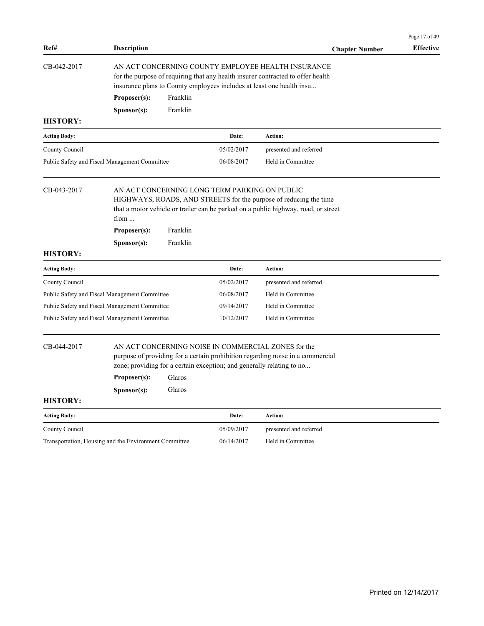|                                                                                                                                                                                                                               |                                                       |                                                                                                                                                                                                                |                                               |                                                                                                                                                         | Page 17 of 49    |  |  |  |
|-------------------------------------------------------------------------------------------------------------------------------------------------------------------------------------------------------------------------------|-------------------------------------------------------|----------------------------------------------------------------------------------------------------------------------------------------------------------------------------------------------------------------|-----------------------------------------------|---------------------------------------------------------------------------------------------------------------------------------------------------------|------------------|--|--|--|
| Ref#                                                                                                                                                                                                                          | <b>Description</b>                                    |                                                                                                                                                                                                                |                                               | <b>Chapter Number</b>                                                                                                                                   | <b>Effective</b> |  |  |  |
| CB-042-2017                                                                                                                                                                                                                   |                                                       | AN ACT CONCERNING COUNTY EMPLOYEE HEALTH INSURANCE<br>for the purpose of requiring that any health insurer contracted to offer health<br>insurance plans to County employees includes at least one health insu |                                               |                                                                                                                                                         |                  |  |  |  |
|                                                                                                                                                                                                                               | Proposer(s):                                          | Franklin                                                                                                                                                                                                       |                                               |                                                                                                                                                         |                  |  |  |  |
|                                                                                                                                                                                                                               | S <b>p</b> onsor(s):                                  | Franklin                                                                                                                                                                                                       |                                               |                                                                                                                                                         |                  |  |  |  |
| <b>HISTORY:</b>                                                                                                                                                                                                               |                                                       |                                                                                                                                                                                                                |                                               |                                                                                                                                                         |                  |  |  |  |
| <b>Acting Body:</b>                                                                                                                                                                                                           |                                                       |                                                                                                                                                                                                                | Date:                                         | Action:                                                                                                                                                 |                  |  |  |  |
| County Council                                                                                                                                                                                                                |                                                       |                                                                                                                                                                                                                | 05/02/2017                                    | presented and referred                                                                                                                                  |                  |  |  |  |
|                                                                                                                                                                                                                               | Public Safety and Fiscal Management Committee         |                                                                                                                                                                                                                | 06/08/2017                                    | Held in Committee                                                                                                                                       |                  |  |  |  |
| CB-043-2017                                                                                                                                                                                                                   | from<br>Proposer(s):<br>Sponsor(s):                   | Franklin<br>Franklin                                                                                                                                                                                           | AN ACT CONCERNING LONG TERM PARKING ON PUBLIC | HIGHWAYS, ROADS, AND STREETS for the purpose of reducing the time<br>that a motor vehicle or trailer can be parked on a public highway, road, or street |                  |  |  |  |
| <b>HISTORY:</b>                                                                                                                                                                                                               |                                                       |                                                                                                                                                                                                                |                                               |                                                                                                                                                         |                  |  |  |  |
| <b>Acting Body:</b>                                                                                                                                                                                                           |                                                       |                                                                                                                                                                                                                | Date:                                         | Action:                                                                                                                                                 |                  |  |  |  |
| County Council                                                                                                                                                                                                                |                                                       |                                                                                                                                                                                                                | 05/02/2017                                    | presented and referred                                                                                                                                  |                  |  |  |  |
|                                                                                                                                                                                                                               | Public Safety and Fiscal Management Committee         |                                                                                                                                                                                                                | 06/08/2017                                    | Held in Committee                                                                                                                                       |                  |  |  |  |
|                                                                                                                                                                                                                               | Public Safety and Fiscal Management Committee         |                                                                                                                                                                                                                | 09/14/2017                                    | Held in Committee                                                                                                                                       |                  |  |  |  |
|                                                                                                                                                                                                                               | Public Safety and Fiscal Management Committee         |                                                                                                                                                                                                                | 10/12/2017                                    | Held in Committee                                                                                                                                       |                  |  |  |  |
| CB-044-2017<br>AN ACT CONCERNING NOISE IN COMMERCIAL ZONES for the<br>purpose of providing for a certain prohibition regarding noise in a commercial<br>zone; providing for a certain exception; and generally relating to no |                                                       |                                                                                                                                                                                                                |                                               |                                                                                                                                                         |                  |  |  |  |
|                                                                                                                                                                                                                               | Proposer(s):                                          | Glaros                                                                                                                                                                                                         |                                               |                                                                                                                                                         |                  |  |  |  |
|                                                                                                                                                                                                                               | Sponsor(s):                                           | Glaros                                                                                                                                                                                                         |                                               |                                                                                                                                                         |                  |  |  |  |
| <b>HISTORY:</b>                                                                                                                                                                                                               |                                                       |                                                                                                                                                                                                                |                                               |                                                                                                                                                         |                  |  |  |  |
| <b>Acting Body:</b>                                                                                                                                                                                                           |                                                       |                                                                                                                                                                                                                | Date:                                         | Action:                                                                                                                                                 |                  |  |  |  |
| County Council                                                                                                                                                                                                                |                                                       |                                                                                                                                                                                                                | 05/09/2017                                    | presented and referred                                                                                                                                  |                  |  |  |  |
|                                                                                                                                                                                                                               | Transportation, Housing and the Environment Committee |                                                                                                                                                                                                                | 06/14/2017                                    | Held in Committee                                                                                                                                       |                  |  |  |  |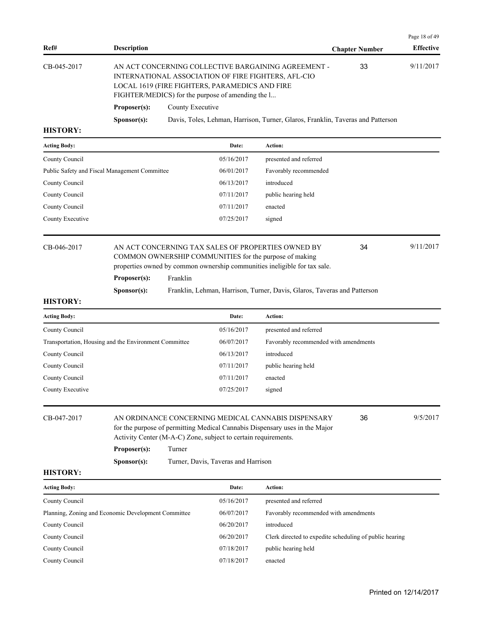|                 |                      |                                                                                                                                                                                                                   |                       | Page 18 of 49    |
|-----------------|----------------------|-------------------------------------------------------------------------------------------------------------------------------------------------------------------------------------------------------------------|-----------------------|------------------|
| Ref#            | <b>Description</b>   |                                                                                                                                                                                                                   | <b>Chapter Number</b> | <b>Effective</b> |
| CB-045-2017     |                      | AN ACT CONCERNING COLLECTIVE BARGAINING AGREEMENT -<br>INTERNATIONAL ASSOCIATION OF FIRE FIGHTERS, AFL-CIO<br>LOCAL 1619 (FIRE FIGHTERS, PARAMEDICS AND FIRE<br>FIGHTER/MEDICS) for the purpose of amending the l | 33                    | 9/11/2017        |
|                 | Proposer(s):         | County Executive                                                                                                                                                                                                  |                       |                  |
|                 | S <b>p</b> onsor(s): | Davis, Toles, Lehman, Harrison, Turner, Glaros, Franklin, Taveras and Patterson                                                                                                                                   |                       |                  |
| <b>HISTORY:</b> |                      |                                                                                                                                                                                                                   |                       |                  |

| <b>Acting Body:</b>                           | Date:      | Action:                |
|-----------------------------------------------|------------|------------------------|
| County Council                                | 05/16/2017 | presented and referred |
| Public Safety and Fiscal Management Committee | 06/01/2017 | Favorably recommended  |
| County Council                                | 06/13/2017 | introduced             |
| County Council                                | 07/11/2017 | public hearing held    |
| County Council                                | 07/11/2017 | enacted                |
| County Executive                              | 07/25/2017 | signed                 |
|                                               |            |                        |

## CB-046-2017 AN ACT CONCERNING TAX SALES OF PROPERTIES OWNED BY 34 9/11/2017 COMMON OWNERSHIP COMMUNITIES for the purpose of making properties owned by common ownership communities ineligible for tax sale.

Proposer(s): Franklin

**Sponsor(s):** Franklin, Lehman, Harrison, Turner, Davis, Glaros, Taveras and Patterson

### **HISTORY:**

| <b>Acting Body:</b>                                   | Date:      | Action:                               |
|-------------------------------------------------------|------------|---------------------------------------|
| County Council                                        | 05/16/2017 | presented and referred                |
| Transportation, Housing and the Environment Committee | 06/07/2017 | Favorably recommended with amendments |
| County Council                                        | 06/13/2017 | introduced                            |
| County Council                                        | 07/11/2017 | public hearing held                   |
| County Council                                        | 07/11/2017 | enacted                               |
| County Executive                                      | 07/25/2017 | signed                                |
|                                                       |            |                                       |

| CB-047-2017 | AN ORDINANCE CONCERNING MEDICAL CANNABIS DISPENSARY                         | 36 | 9/5/2017 |  |  |  |
|-------------|-----------------------------------------------------------------------------|----|----------|--|--|--|
|             | for the purpose of permitting Medical Cannabis Dispensary uses in the Major |    |          |  |  |  |
|             | Activity Center (M-A-C) Zone, subject to certain requirements.              |    |          |  |  |  |
|             | Turner<br>Proposer(s):                                                      |    |          |  |  |  |

**Sponsor(s):** Turner, Davis, Taveras and Harrison

## **HISTORY:**

| <b>Acting Body:</b>                                 | Date:      | <b>Action:</b>                                          |
|-----------------------------------------------------|------------|---------------------------------------------------------|
| County Council                                      | 05/16/2017 | presented and referred                                  |
| Planning, Zoning and Economic Development Committee | 06/07/2017 | Favorably recommended with amendments                   |
| County Council                                      | 06/20/2017 | introduced                                              |
| County Council                                      | 06/20/2017 | Clerk directed to expedite scheduling of public hearing |
| County Council                                      | 07/18/2017 | public hearing held                                     |
| County Council                                      | 07/18/2017 | enacted                                                 |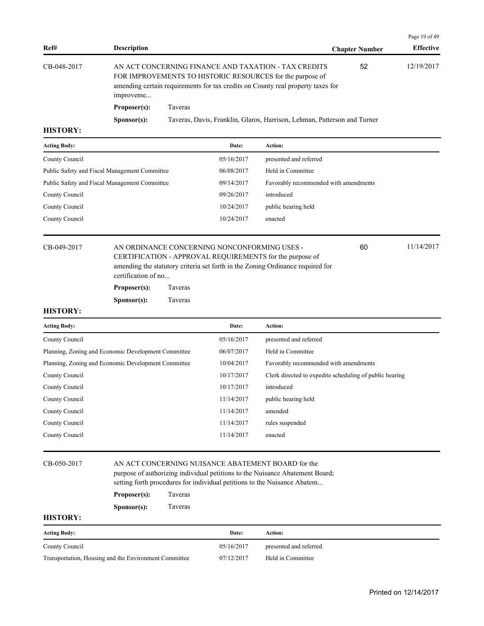|             |                      |                                                                                                                                                                                                      |                       | Page 19 of 49    |
|-------------|----------------------|------------------------------------------------------------------------------------------------------------------------------------------------------------------------------------------------------|-----------------------|------------------|
| Ref#        | Description          |                                                                                                                                                                                                      | <b>Chapter Number</b> | <b>Effective</b> |
| CB-048-2017 | improveme            | AN ACT CONCERNING FINANCE AND TAXATION - TAX CREDITS<br>FOR IMPROVEMENTS TO HISTORIC RESOURCES for the purpose of<br>amending certain requirements for tax credits on County real property taxes for | 52                    | 12/19/2017       |
|             | Proposer(s):         | <b>Taveras</b>                                                                                                                                                                                       |                       |                  |
|             | S <b>p</b> onsor(s): | Taveras, Davis, Franklin, Glaros, Harrison, Lehman, Patterson and Turner                                                                                                                             |                       |                  |
| итетору.    |                      |                                                                                                                                                                                                      |                       |                  |

| <b>Acting Body:</b>                           | Date:      | <b>Action:</b>                        |
|-----------------------------------------------|------------|---------------------------------------|
| County Council                                | 05/16/2017 | presented and referred                |
| Public Safety and Fiscal Management Committee | 06/08/2017 | Held in Committee                     |
| Public Safety and Fiscal Management Committee | 09/14/2017 | Favorably recommended with amendments |
| County Council                                | 09/26/2017 | introduced                            |
| County Council                                | 10/24/2017 | public hearing held                   |
| County Council                                | 10/24/2017 | enacted                               |
|                                               |            |                                       |

CB-049-2017 AN ORDINANCE CONCERNING NONCONFORMING USES - 60 11/14/2017 CERTIFICATION - APPROVAL REQUIREMENTS for the purpose of amending the statutory criteria set forth in the Zoning Ordinance required for certification of no...

60

| Proposer(s): | Taveras |
|--------------|---------|
|              |         |

**Sponsor(s):** Taveras

#### **HISTORY:**

| <b>Acting Body:</b>                                 | Date:      | <b>Action:</b>                                          |
|-----------------------------------------------------|------------|---------------------------------------------------------|
| County Council                                      | 05/16/2017 | presented and referred                                  |
| Planning, Zoning and Economic Development Committee | 06/07/2017 | Held in Committee                                       |
| Planning, Zoning and Economic Development Committee | 10/04/2017 | Favorably recommended with amendments                   |
| County Council                                      | 10/17/2017 | Clerk directed to expedite scheduling of public hearing |
| County Council                                      | 10/17/2017 | introduced                                              |
| County Council                                      | 11/14/2017 | public hearing held                                     |
| County Council                                      | 11/14/2017 | amended                                                 |
| County Council                                      | 11/14/2017 | rules suspended                                         |
| County Council                                      | 11/14/2017 | enacted                                                 |
|                                                     |            |                                                         |

### CB-050-2017 AN ACT CONCERNING NUISANCE ABATEMENT BOARD for the

purpose of authorizing individual petitions to the Nuisance Abatement Board; setting forth procedures for individual petitions to the Nuisance Abatem...

### **Proposer(s):** Taveras

**Sponsor(s):** Taveras

| <b>Acting Body:</b>                                   | Date:      | Action:                |
|-------------------------------------------------------|------------|------------------------|
| County Council                                        | 05/16/2017 | presented and referred |
| Transportation, Housing and the Environment Committee | 07/12/2017 | Held in Committee      |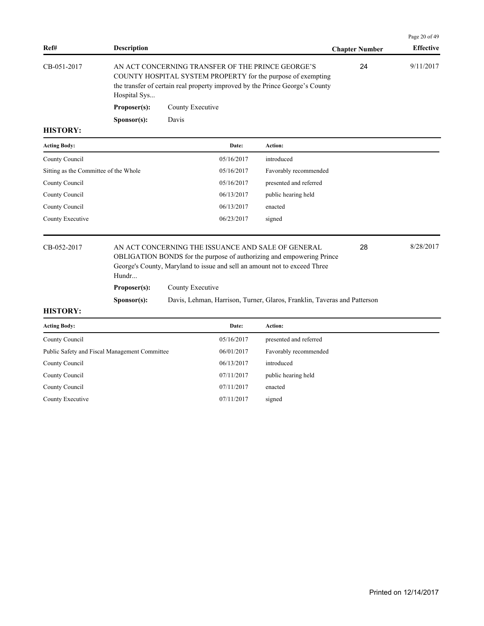|                  |                      |                                                                                                                                                                                                   |                       | Page 20 of 49    |
|------------------|----------------------|---------------------------------------------------------------------------------------------------------------------------------------------------------------------------------------------------|-----------------------|------------------|
| Ref#             | <b>Description</b>   |                                                                                                                                                                                                   | <b>Chapter Number</b> | <b>Effective</b> |
| CB-051-2017      | Hospital Sys         | AN ACT CONCERNING TRANSFER OF THE PRINCE GEORGE'S<br>COUNTY HOSPITAL SYSTEM PROPERTY for the purpose of exempting<br>the transfer of certain real property improved by the Prince George's County | 24                    | 9/11/2017        |
|                  | Proposer(s):         | County Executive                                                                                                                                                                                  |                       |                  |
|                  | S <b>p</b> onsor(s): | Davis                                                                                                                                                                                             |                       |                  |
| <b>TTTOMORTI</b> |                      |                                                                                                                                                                                                   |                       |                  |

| <b>Acting Body:</b>                   | Date:      | <b>Action:</b>         |
|---------------------------------------|------------|------------------------|
| County Council                        | 05/16/2017 | introduced             |
| Sitting as the Committee of the Whole | 05/16/2017 | Favorably recommended  |
| County Council                        | 05/16/2017 | presented and referred |
| County Council                        | 06/13/2017 | public hearing held    |
| County Council                        | 06/13/2017 | enacted                |
| County Executive                      | 06/23/2017 | signed                 |
|                                       |            |                        |

CB-052-2017 AN ACT CONCERNING THE ISSUANCE AND SALE OF GENERAL 28 8/28/2017 OBLIGATION BONDS for the purpose of authorizing and empowering Prince George's County, Maryland to issue and sell an amount not to exceed Three Hundr... **Proposer(s):** County Executive

**Sponsor(s):** Davis, Lehman, Harrison, Turner, Glaros, Franklin, Taveras and Patterson

#### **HISTORY:**

| <b>Acting Body:</b>                           | Date:      | <b>Action:</b>         |
|-----------------------------------------------|------------|------------------------|
| County Council                                | 05/16/2017 | presented and referred |
| Public Safety and Fiscal Management Committee | 06/01/2017 | Favorably recommended  |
| County Council                                | 06/13/2017 | introduced             |
| County Council                                | 07/11/2017 | public hearing held    |
| County Council                                | 07/11/2017 | enacted                |
| County Executive                              | 07/11/2017 | signed                 |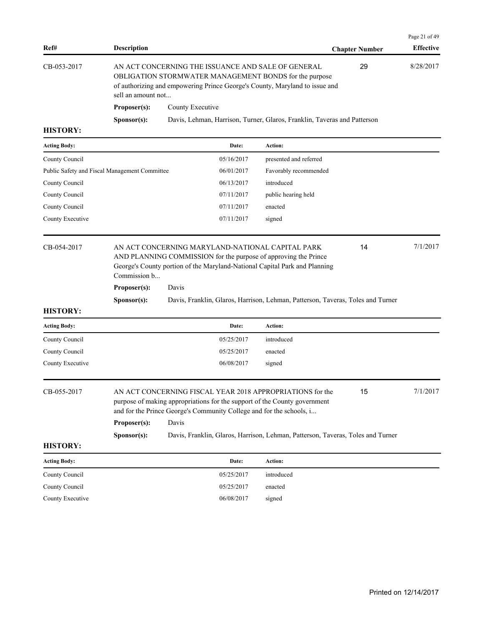| Ref#            | <b>Description</b>   |                                                                                                                                                                                                    | <b>Chapter Number</b> | <b>Effective</b> |
|-----------------|----------------------|----------------------------------------------------------------------------------------------------------------------------------------------------------------------------------------------------|-----------------------|------------------|
| CB-053-2017     | sell an amount not   | AN ACT CONCERNING THE ISSUANCE AND SALE OF GENERAL<br><b>OBLIGATION STORMWATER MANAGEMENT BONDS for the purpose</b><br>of authorizing and empowering Prince George's County, Maryland to issue and | 29                    | 8/28/2017        |
|                 | Proposer(s):         | County Executive                                                                                                                                                                                   |                       |                  |
|                 | S <b>p</b> onsor(s): | Davis, Lehman, Harrison, Turner, Glaros, Franklin, Taveras and Patterson                                                                                                                           |                       |                  |
| <b>HISTORY:</b> |                      |                                                                                                                                                                                                    |                       |                  |

| <b>Acting Body:</b>                           | Date:      | Action:                |
|-----------------------------------------------|------------|------------------------|
| County Council                                | 05/16/2017 | presented and referred |
| Public Safety and Fiscal Management Committee | 06/01/2017 | Favorably recommended  |
| County Council                                | 06/13/2017 | introduced             |
| County Council                                | 07/11/2017 | public hearing held    |
| County Council                                | 07/11/2017 | enacted                |
| County Executive                              | 07/11/2017 | signed                 |
|                                               |            |                        |

AN ACT CONCERNING MARYLAND-NATIONAL CAPITAL PARK 14 7/1/2017 AND PLANNING COMMISSION for the purpose of approving the Prince George's County portion of the Maryland-National Capital Park and Planning Commission b... 14 **Proposer(s):** Davis

**Sponsor(s):** Davis, Franklin, Glaros, Harrison, Lehman, Patterson, Taveras, Toles and Turner

### **HISTORY:**

| <b>Acting Body:</b> | Date:      | Action:    |  |
|---------------------|------------|------------|--|
| County Council      | 05/25/2017 | introduced |  |
| County Council      | 05/25/2017 | enacted    |  |
| County Executive    | 06/08/2017 | signed     |  |
|                     |            |            |  |

| CB-055-2017 |                      | AN ACT CONCERNING FISCAL YEAR 2018 APPROPRIATIONS for the<br>purpose of making appropriations for the support of the County government<br>and for the Prince George's Community College and for the schools, i | 15 | 7/1/2017 |
|-------------|----------------------|----------------------------------------------------------------------------------------------------------------------------------------------------------------------------------------------------------------|----|----------|
|             | Proposer(s):         | Davis                                                                                                                                                                                                          |    |          |
|             | S <b>p</b> onsor(s): | Davis, Franklin, Glaros, Harrison, Lehman, Patterson, Taveras, Toles and Turner                                                                                                                                |    |          |

### **HISTORY:**

| <b>Acting Body:</b> | Date:      | Action:    |
|---------------------|------------|------------|
| County Council      | 05/25/2017 | introduced |
| County Council      | 05/25/2017 | enacted    |
| County Executive    | 06/08/2017 | signed     |

Page 21 of 49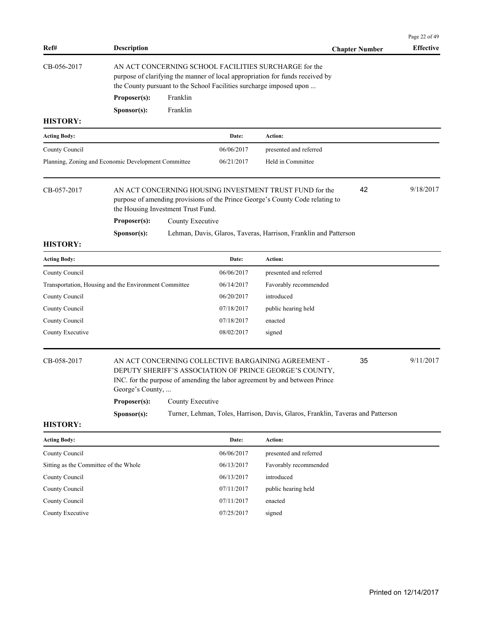| Ref#                                  | <b>Description</b>                                    |                                                                                                                                                                                                               |            |                                                                                                                                                                                              | <b>Chapter Number</b> | Page 22 of 49<br><b>Effective</b> |  |
|---------------------------------------|-------------------------------------------------------|---------------------------------------------------------------------------------------------------------------------------------------------------------------------------------------------------------------|------------|----------------------------------------------------------------------------------------------------------------------------------------------------------------------------------------------|-----------------------|-----------------------------------|--|
| CB-056-2017                           |                                                       | AN ACT CONCERNING SCHOOL FACILITIES SURCHARGE for the<br>purpose of clarifying the manner of local appropriation for funds received by<br>the County pursuant to the School Facilities surcharge imposed upon |            |                                                                                                                                                                                              |                       |                                   |  |
|                                       | Proposer(s):                                          | Franklin                                                                                                                                                                                                      |            |                                                                                                                                                                                              |                       |                                   |  |
|                                       | Sponsor(s):                                           | Franklin                                                                                                                                                                                                      |            |                                                                                                                                                                                              |                       |                                   |  |
| <b>HISTORY:</b>                       |                                                       |                                                                                                                                                                                                               |            |                                                                                                                                                                                              |                       |                                   |  |
| <b>Acting Body:</b>                   |                                                       |                                                                                                                                                                                                               | Date:      | Action:                                                                                                                                                                                      |                       |                                   |  |
| County Council                        |                                                       |                                                                                                                                                                                                               | 06/06/2017 | presented and referred                                                                                                                                                                       |                       |                                   |  |
|                                       | Planning, Zoning and Economic Development Committee   |                                                                                                                                                                                                               | 06/21/2017 | Held in Committee                                                                                                                                                                            |                       |                                   |  |
| CB-057-2017                           | the Housing Investment Trust Fund.                    |                                                                                                                                                                                                               |            | AN ACT CONCERNING HOUSING INVESTMENT TRUST FUND for the<br>purpose of amending provisions of the Prince George's County Code relating to                                                     | 42                    | 9/18/2017                         |  |
|                                       | Proposer(s):                                          | County Executive                                                                                                                                                                                              |            |                                                                                                                                                                                              |                       |                                   |  |
|                                       | Sponsor(s):                                           |                                                                                                                                                                                                               |            | Lehman, Davis, Glaros, Taveras, Harrison, Franklin and Patterson                                                                                                                             |                       |                                   |  |
| <b>HISTORY:</b>                       |                                                       |                                                                                                                                                                                                               |            |                                                                                                                                                                                              |                       |                                   |  |
| <b>Acting Body:</b>                   |                                                       |                                                                                                                                                                                                               | Date:      | Action:                                                                                                                                                                                      |                       |                                   |  |
| County Council                        |                                                       |                                                                                                                                                                                                               | 06/06/2017 | presented and referred                                                                                                                                                                       |                       |                                   |  |
|                                       | Transportation, Housing and the Environment Committee |                                                                                                                                                                                                               | 06/14/2017 | Favorably recommended                                                                                                                                                                        |                       |                                   |  |
| County Council                        |                                                       |                                                                                                                                                                                                               | 06/20/2017 | introduced                                                                                                                                                                                   |                       |                                   |  |
| County Council                        |                                                       |                                                                                                                                                                                                               | 07/18/2017 | public hearing held                                                                                                                                                                          |                       |                                   |  |
| County Council                        |                                                       |                                                                                                                                                                                                               | 07/18/2017 | enacted                                                                                                                                                                                      |                       |                                   |  |
| County Executive                      |                                                       |                                                                                                                                                                                                               | 08/02/2017 | signed                                                                                                                                                                                       |                       |                                   |  |
| CB-058-2017                           | George's County,                                      |                                                                                                                                                                                                               |            | AN ACT CONCERNING COLLECTIVE BARGAINING AGREEMENT -<br>DEPUTY SHERIFF'S ASSOCIATION OF PRINCE GEORGE'S COUNTY,<br>INC. for the purpose of amending the labor agreement by and between Prince | 35                    | 9/11/2017                         |  |
|                                       | Proposer(s):                                          | County Executive                                                                                                                                                                                              |            |                                                                                                                                                                                              |                       |                                   |  |
| <b>HISTORY:</b>                       | Sponsor(s):                                           |                                                                                                                                                                                                               |            | Turner, Lehman, Toles, Harrison, Davis, Glaros, Franklin, Taveras and Patterson                                                                                                              |                       |                                   |  |
| <b>Acting Body:</b>                   |                                                       |                                                                                                                                                                                                               | Date:      | Action:                                                                                                                                                                                      |                       |                                   |  |
| County Council                        |                                                       |                                                                                                                                                                                                               | 06/06/2017 | presented and referred                                                                                                                                                                       |                       |                                   |  |
| Sitting as the Committee of the Whole |                                                       |                                                                                                                                                                                                               | 06/13/2017 | Favorably recommended                                                                                                                                                                        |                       |                                   |  |
| County Council                        |                                                       |                                                                                                                                                                                                               | 06/13/2017 | introduced                                                                                                                                                                                   |                       |                                   |  |
| County Council                        |                                                       |                                                                                                                                                                                                               | 07/11/2017 | public hearing held                                                                                                                                                                          |                       |                                   |  |
| County Council                        |                                                       |                                                                                                                                                                                                               | 07/11/2017 | enacted                                                                                                                                                                                      |                       |                                   |  |
| County Executive                      |                                                       |                                                                                                                                                                                                               | 07/25/2017 | signed                                                                                                                                                                                       |                       |                                   |  |
|                                       |                                                       |                                                                                                                                                                                                               |            |                                                                                                                                                                                              |                       |                                   |  |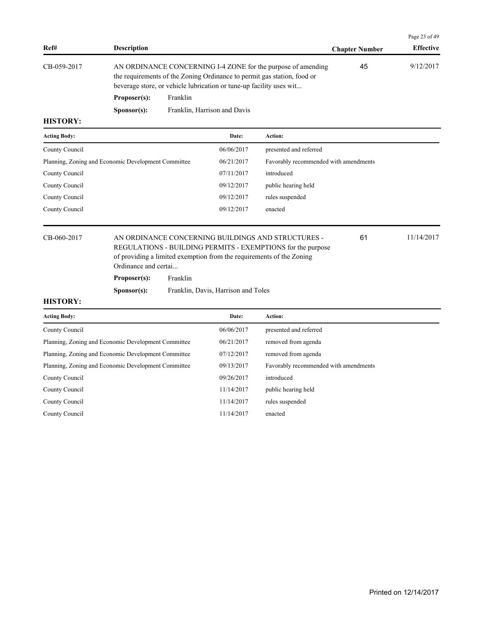|                 |                      |                                                                                                                                                                                                                |                       | Page 23 of 49    |
|-----------------|----------------------|----------------------------------------------------------------------------------------------------------------------------------------------------------------------------------------------------------------|-----------------------|------------------|
| Ref#            | <b>Description</b>   |                                                                                                                                                                                                                | <b>Chapter Number</b> | <b>Effective</b> |
| CB-059-2017     |                      | AN ORDINANCE CONCERNING I-4 ZONE for the purpose of amending<br>the requirements of the Zoning Ordinance to permit gas station, food or<br>beverage store, or vehicle lubrication or tune-up facility uses wit | 45                    | 9/12/2017        |
|                 | Proposer(s):         | Franklin                                                                                                                                                                                                       |                       |                  |
|                 | S <b>p</b> onsor(s): | Franklin, Harrison and Davis                                                                                                                                                                                   |                       |                  |
| <b>HISTORY:</b> |                      |                                                                                                                                                                                                                |                       |                  |

| <b>Acting Body:</b>                                 | Date:      | Action:                               |
|-----------------------------------------------------|------------|---------------------------------------|
| County Council                                      | 06/06/2017 | presented and referred                |
| Planning, Zoning and Economic Development Committee | 06/21/2017 | Favorably recommended with amendments |
| County Council                                      | 07/11/2017 | introduced                            |
| County Council                                      | 09/12/2017 | public hearing held                   |
| County Council                                      | 09/12/2017 | rules suspended                       |
| County Council                                      | 09/12/2017 | enacted                               |
|                                                     |            |                                       |

## CB-060-2017 AN ORDINANCE CONCERNING BUILDINGS AND STRUCTURES - 61 11/14/2017 REGULATIONS - BUILDING PERMITS - EXEMPTIONS for the purpose of providing a limited exemption from the requirements of the Zoning Ordinance and certai...

**Proposer(s):** Franklin

**Sponsor(s):** Franklin, Davis, Harrison and Toles

## **HISTORY:**

| <b>Acting Body:</b>                                 | Date:      | Action:                               |
|-----------------------------------------------------|------------|---------------------------------------|
| County Council                                      | 06/06/2017 | presented and referred                |
| Planning, Zoning and Economic Development Committee | 06/21/2017 | removed from agenda                   |
| Planning, Zoning and Economic Development Committee | 07/12/2017 | removed from agenda                   |
| Planning, Zoning and Economic Development Committee | 09/13/2017 | Favorably recommended with amendments |
| County Council                                      | 09/26/2017 | introduced                            |
| County Council                                      | 11/14/2017 | public hearing held                   |
| County Council                                      | 11/14/2017 | rules suspended                       |
| County Council                                      | 11/14/2017 | enacted                               |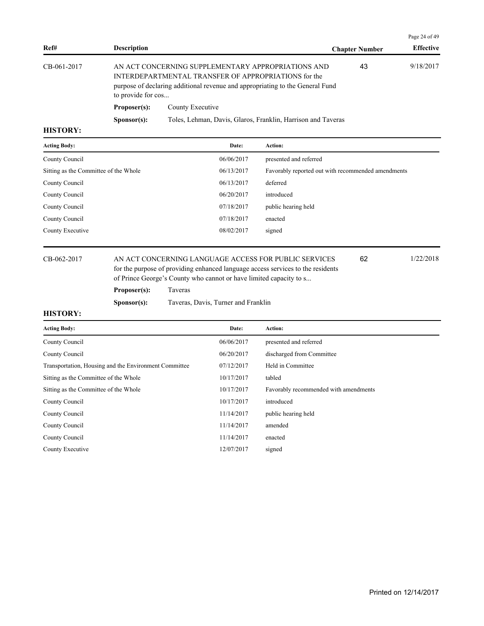|                 |                                                                                                                                                                                                                   |                                                              |                       | Page 24 of 49    |
|-----------------|-------------------------------------------------------------------------------------------------------------------------------------------------------------------------------------------------------------------|--------------------------------------------------------------|-----------------------|------------------|
| Ref#            | <b>Description</b>                                                                                                                                                                                                |                                                              | <b>Chapter Number</b> | <b>Effective</b> |
| CB-061-2017     | AN ACT CONCERNING SUPPLEMENTARY APPROPRIATIONS AND<br>INTERDEPARTMENTAL TRANSFER OF APPROPRIATIONS for the<br>purpose of declaring additional revenue and appropriating to the General Fund<br>to provide for cos |                                                              | 43                    | 9/18/2017        |
|                 | Proposer(s):                                                                                                                                                                                                      | County Executive                                             |                       |                  |
|                 | S <b>p</b> onsor(s):                                                                                                                                                                                              | Toles, Lehman, Davis, Glaros, Franklin, Harrison and Taveras |                       |                  |
| <b>HISTORY.</b> |                                                                                                                                                                                                                   |                                                              |                       |                  |

| <b>Acting Body:</b>                   | Date:      | <b>Action:</b>                                     |
|---------------------------------------|------------|----------------------------------------------------|
| County Council                        | 06/06/2017 | presented and referred                             |
| Sitting as the Committee of the Whole | 06/13/2017 | Favorably reported out with recommended amendments |
| County Council                        | 06/13/2017 | deferred                                           |
| County Council                        | 06/20/2017 | introduced                                         |
| County Council                        | 07/18/2017 | public hearing held                                |
| County Council                        | 07/18/2017 | enacted                                            |
| County Executive                      | 08/02/2017 | signed                                             |
|                                       |            |                                                    |

CB-062-2017 AN ACT CONCERNING LANGUAGE ACCESS FOR PUBLIC SERVICES 1/22/2018 for the purpose of providing enhanced language access services to the residents of Prince George's County who cannot or have limited capacity to s...

**Sponsor(s):** Taveras, Davis, Turner and Franklin

**Proposer(s):** Taveras

62

| <b>Acting Body:</b>                                   | Date:      | Action:                               |
|-------------------------------------------------------|------------|---------------------------------------|
| County Council                                        | 06/06/2017 | presented and referred                |
| County Council                                        | 06/20/2017 | discharged from Committee             |
| Transportation, Housing and the Environment Committee | 07/12/2017 | Held in Committee                     |
| Sitting as the Committee of the Whole                 | 10/17/2017 | tabled                                |
| Sitting as the Committee of the Whole                 | 10/17/2017 | Favorably recommended with amendments |
| County Council                                        | 10/17/2017 | introduced                            |
| County Council                                        | 11/14/2017 | public hearing held                   |
| County Council                                        | 11/14/2017 | amended                               |
| County Council                                        | 11/14/2017 | enacted                               |
| County Executive                                      | 12/07/2017 | signed                                |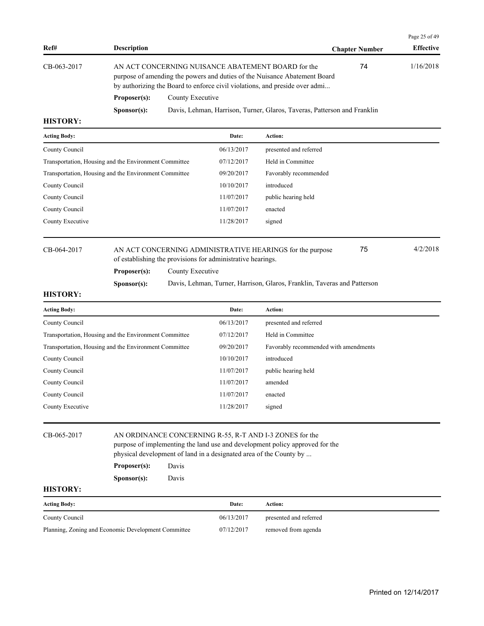|             |                      |                                                                                                                                                                                                                |                       | Page 25 of 49    |
|-------------|----------------------|----------------------------------------------------------------------------------------------------------------------------------------------------------------------------------------------------------------|-----------------------|------------------|
| Ref#        | <b>Description</b>   |                                                                                                                                                                                                                | <b>Chapter Number</b> | <b>Effective</b> |
| CB-063-2017 |                      | AN ACT CONCERNING NUISANCE ABATEMENT BOARD for the<br>purpose of amending the powers and duties of the Nuisance Abatement Board<br>by authorizing the Board to enforce civil violations, and preside over admi |                       | 1/16/2018        |
|             | Proposer(s):         | County Executive                                                                                                                                                                                               |                       |                  |
|             | S <b>p</b> onsor(s): | Davis, Lehman, Harrison, Turner, Glaros, Taveras, Patterson and Franklin                                                                                                                                       |                       |                  |

| <b>Acting Body:</b>                                   | Date:      | Action:                |
|-------------------------------------------------------|------------|------------------------|
| County Council                                        | 06/13/2017 | presented and referred |
| Transportation, Housing and the Environment Committee | 07/12/2017 | Held in Committee      |
| Transportation, Housing and the Environment Committee | 09/20/2017 | Favorably recommended  |
| County Council                                        | 10/10/2017 | introduced             |
| County Council                                        | 11/07/2017 | public hearing held    |
| County Council                                        | 11/07/2017 | enacted                |
| County Executive                                      | 11/28/2017 | signed                 |
|                                                       |            |                        |

## CB-064-2017 AN ACT CONCERNING ADMINISTRATIVE HEARINGS for the purpose 4/2/2018 of establishing the provisions for administrative hearings.

**Proposer(s):** County Executive

**Sponsor(s):** Davis, Lehman, Turner, Harrison, Glaros, Franklin, Taveras and Patterson

### **HISTORY:**

| <b>Acting Body:</b>                                   | Date:      | Action:                               |
|-------------------------------------------------------|------------|---------------------------------------|
| County Council                                        | 06/13/2017 | presented and referred                |
| Transportation, Housing and the Environment Committee | 07/12/2017 | Held in Committee                     |
| Transportation, Housing and the Environment Committee | 09/20/2017 | Favorably recommended with amendments |
| County Council                                        | 10/10/2017 | introduced                            |
| County Council                                        | 11/07/2017 | public hearing held                   |
| County Council                                        | 11/07/2017 | amended                               |
| County Council                                        | 11/07/2017 | enacted                               |
| County Executive                                      | 11/28/2017 | signed                                |

## CB-065-2017 AN ORDINANCE CONCERNING R-55, R-T AND I-3 ZONES for the purpose of implementing the land use and development policy approved for the physical development of land in a designated area of the County by ...

| Proposer(s): | Davis |
|--------------|-------|
|--------------|-------|

**Sponsor(s):** Davis

## **HISTORY:**

| <b>Acting Body:</b>                                 | Date:      | Action:                |
|-----------------------------------------------------|------------|------------------------|
| County Council                                      | 06/13/2017 | presented and referred |
| Planning, Zoning and Economic Development Committee | 07/12/2017 | removed from agenda    |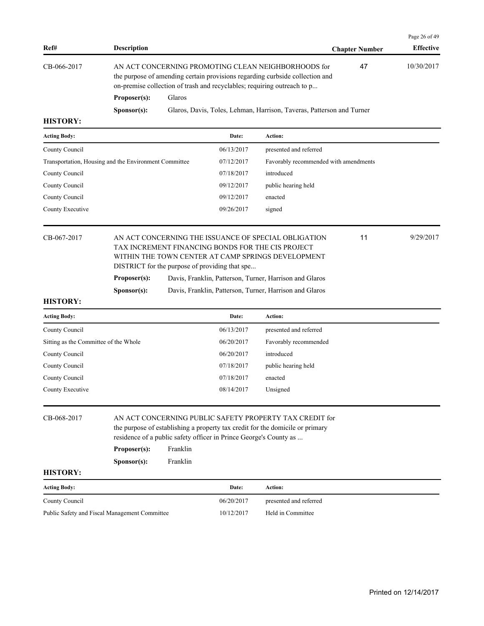|                     |                                                       |        |            |                                                                                                                                                                                                                |                       | Page 26 of 49    |
|---------------------|-------------------------------------------------------|--------|------------|----------------------------------------------------------------------------------------------------------------------------------------------------------------------------------------------------------------|-----------------------|------------------|
| Ref#                | <b>Description</b>                                    |        |            |                                                                                                                                                                                                                | <b>Chapter Number</b> | <b>Effective</b> |
| CB-066-2017         |                                                       |        |            | AN ACT CONCERNING PROMOTING CLEAN NEIGHBORHOODS for<br>the purpose of amending certain provisions regarding curbside collection and<br>on-premise collection of trash and recyclables; requiring outreach to p | 47                    | 10/30/2017       |
|                     | Proposer(s):                                          | Glaros |            |                                                                                                                                                                                                                |                       |                  |
|                     | S <b>p</b> onsor(s):                                  |        |            | Glaros, Davis, Toles, Lehman, Harrison, Taveras, Patterson and Turner                                                                                                                                          |                       |                  |
| <b>HISTORY:</b>     |                                                       |        |            |                                                                                                                                                                                                                |                       |                  |
| <b>Acting Body:</b> |                                                       |        | Date:      | Action:                                                                                                                                                                                                        |                       |                  |
| County Council      |                                                       |        | 06/13/2017 | presented and referred                                                                                                                                                                                         |                       |                  |
|                     | Transportation, Housing and the Environment Committee |        | 07/12/2017 | Favorably recommended with amendments                                                                                                                                                                          |                       |                  |
| County Council      |                                                       |        | 07/18/2017 | introduced                                                                                                                                                                                                     |                       |                  |
| County Council      |                                                       |        | 09/12/2017 | public hearing held                                                                                                                                                                                            |                       |                  |
| County Council      |                                                       |        | 09/12/2017 | enacted                                                                                                                                                                                                        |                       |                  |
| County Executive    |                                                       |        | 09/26/2017 | signed                                                                                                                                                                                                         |                       |                  |
|                     |                                                       |        |            |                                                                                                                                                                                                                |                       |                  |
| CB-067-2017         |                                                       |        |            | AN ACT CONCERNING THE ISSUANCE OF SPECIAL OBLIGATION<br>THE BLOBEL CHIP BBL LIGHTO BOURG BOB THE GIG BB OUGHT                                                                                                  | 11                    | 9/29/2017        |

| TAX INCREMENT FINANCING BONDS FOR THE CIS PROJECT  |
|----------------------------------------------------|
| WITHIN THE TOWN CENTER AT CAMP SPRINGS DEVELOPMENT |
| DISTRICT for the purpose of providing that spe     |

| <b>Proposer(s):</b><br>Davis, Franklin, Patterson, Turner, Harrison and Glaros |  |
|--------------------------------------------------------------------------------|--|
|--------------------------------------------------------------------------------|--|

| Sponsor(s): | Davis, Franklin, Patterson, Turner, Harrison and Glaros |  |  |
|-------------|---------------------------------------------------------|--|--|
|             |                                                         |  |  |

| <b>Acting Body:</b>                   | Date:      | <b>Action:</b>         |
|---------------------------------------|------------|------------------------|
| County Council                        | 06/13/2017 | presented and referred |
| Sitting as the Committee of the Whole | 06/20/2017 | Favorably recommended  |
| County Council                        | 06/20/2017 | introduced             |
| County Council                        | 07/18/2017 | public hearing held    |
| County Council                        | 07/18/2017 | enacted                |
| County Executive                      | 08/14/2017 | Unsigned               |

| CB-068-2017 |                      | AN ACT CONCERNING PUBLIC SAFETY PROPERTY TAX CREDIT for<br>the purpose of establishing a property tax credit for the domicile or primary<br>residence of a public safety officer in Prince George's County as |  |  |
|-------------|----------------------|---------------------------------------------------------------------------------------------------------------------------------------------------------------------------------------------------------------|--|--|
|             | Proposer(s):         | Franklin                                                                                                                                                                                                      |  |  |
|             | S <b>p</b> onsor(s): | <b>Franklin</b>                                                                                                                                                                                               |  |  |

| <b>Acting Body:</b>                           | Date:      | Action:                |
|-----------------------------------------------|------------|------------------------|
| County Council                                | 06/20/2017 | presented and referred |
| Public Safety and Fiscal Management Committee | 10/12/2017 | Held in Committee      |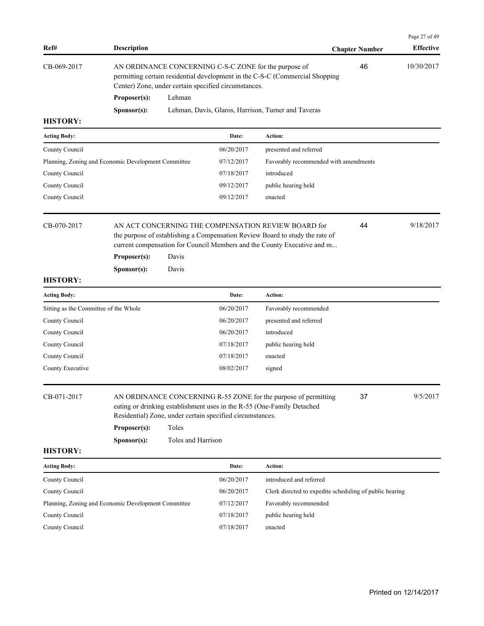| Ref#                                                | <b>Description</b>                                                                                                                                                                            |                             |                                                           |                                                                                                                                                                                                                | <b>Chapter Number</b> | Page 27 of 49<br><b>Effective</b> |
|-----------------------------------------------------|-----------------------------------------------------------------------------------------------------------------------------------------------------------------------------------------------|-----------------------------|-----------------------------------------------------------|----------------------------------------------------------------------------------------------------------------------------------------------------------------------------------------------------------------|-----------------------|-----------------------------------|
| CB-069-2017                                         | AN ORDINANCE CONCERNING C-S-C ZONE for the purpose of<br>permitting certain residential development in the C-S-C (Commercial Shopping<br>Center) Zone, under certain specified circumstances. |                             | 46                                                        | 10/30/2017                                                                                                                                                                                                     |                       |                                   |
|                                                     | Proposer(s):                                                                                                                                                                                  | Lehman                      |                                                           |                                                                                                                                                                                                                |                       |                                   |
|                                                     | Sponsor(s):                                                                                                                                                                                   |                             |                                                           | Lehman, Davis, Glaros, Harrison, Turner and Taveras                                                                                                                                                            |                       |                                   |
| <b>HISTORY:</b>                                     |                                                                                                                                                                                               |                             |                                                           |                                                                                                                                                                                                                |                       |                                   |
| <b>Acting Body:</b>                                 |                                                                                                                                                                                               |                             | Date:                                                     | Action:                                                                                                                                                                                                        |                       |                                   |
| County Council                                      |                                                                                                                                                                                               |                             | 06/20/2017                                                | presented and referred                                                                                                                                                                                         |                       |                                   |
| Planning, Zoning and Economic Development Committee |                                                                                                                                                                                               |                             | 07/12/2017                                                | Favorably recommended with amendments                                                                                                                                                                          |                       |                                   |
| County Council                                      |                                                                                                                                                                                               |                             | 07/18/2017                                                | introduced                                                                                                                                                                                                     |                       |                                   |
| County Council                                      |                                                                                                                                                                                               |                             | 09/12/2017                                                | public hearing held                                                                                                                                                                                            |                       |                                   |
| County Council                                      |                                                                                                                                                                                               |                             | 09/12/2017                                                | enacted                                                                                                                                                                                                        |                       |                                   |
| CB-070-2017                                         | Proposer(s):<br>Sponsor(s):                                                                                                                                                                   | Davis<br>Davis              |                                                           | AN ACT CONCERNING THE COMPENSATION REVIEW BOARD for<br>the purpose of establishing a Compensation Review Board to study the rate of<br>current compensation for Council Members and the County Executive and m | 44                    | 9/18/2017                         |
| <b>HISTORY:</b>                                     |                                                                                                                                                                                               |                             |                                                           |                                                                                                                                                                                                                |                       |                                   |
| <b>Acting Body:</b>                                 |                                                                                                                                                                                               |                             | Date:                                                     | Action:                                                                                                                                                                                                        |                       |                                   |
| Sitting as the Committee of the Whole               |                                                                                                                                                                                               |                             | 06/20/2017                                                | Favorably recommended                                                                                                                                                                                          |                       |                                   |
| County Council                                      |                                                                                                                                                                                               |                             | 06/20/2017                                                | presented and referred                                                                                                                                                                                         |                       |                                   |
| County Council                                      |                                                                                                                                                                                               |                             | 06/20/2017                                                | introduced                                                                                                                                                                                                     |                       |                                   |
| County Council                                      |                                                                                                                                                                                               |                             | 07/18/2017                                                | public hearing held                                                                                                                                                                                            |                       |                                   |
| County Council                                      |                                                                                                                                                                                               |                             | 07/18/2017                                                | enacted                                                                                                                                                                                                        |                       |                                   |
| County Executive                                    |                                                                                                                                                                                               |                             | 08/02/2017                                                | signed                                                                                                                                                                                                         |                       |                                   |
| CB-071-2017                                         | Proposer(s):<br>Sponsor(s):                                                                                                                                                                   | Toles<br>Toles and Harrison | Residential) Zone, under certain specified circumstances. | AN ORDINANCE CONCERNING R-55 ZONE for the purpose of permitting<br>eating or drinking establishment uses in the R-55 (One-Family Detached                                                                      | 37                    | 9/5/2017                          |
| <b>HISTORY:</b>                                     |                                                                                                                                                                                               |                             |                                                           |                                                                                                                                                                                                                |                       |                                   |
| <b>Acting Body:</b>                                 |                                                                                                                                                                                               |                             | Date:                                                     | Action:                                                                                                                                                                                                        |                       |                                   |
| County Council                                      |                                                                                                                                                                                               |                             | 06/20/2017                                                | introduced and referred                                                                                                                                                                                        |                       |                                   |
| County Council                                      |                                                                                                                                                                                               |                             | 06/20/2017                                                | Clerk directed to expedite scheduling of public hearing                                                                                                                                                        |                       |                                   |
|                                                     |                                                                                                                                                                                               |                             | 07/12/2017                                                | Favorably recommended                                                                                                                                                                                          |                       |                                   |
| Planning, Zoning and Economic Development Committee |                                                                                                                                                                                               |                             |                                                           |                                                                                                                                                                                                                |                       |                                   |
| County Council                                      |                                                                                                                                                                                               |                             | 07/18/2017                                                | public hearing held                                                                                                                                                                                            |                       |                                   |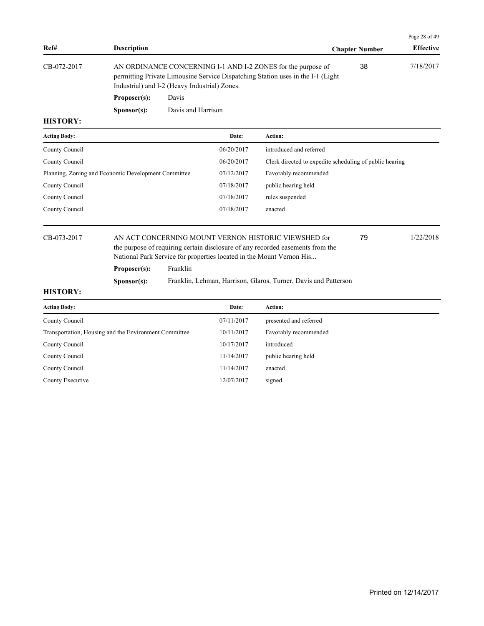|             |                    |                                                                                                                                                                                                  |                       | Page 28 of 49    |
|-------------|--------------------|--------------------------------------------------------------------------------------------------------------------------------------------------------------------------------------------------|-----------------------|------------------|
| Ref#        | <b>Description</b> |                                                                                                                                                                                                  | <b>Chapter Number</b> | <b>Effective</b> |
| CB-072-2017 |                    | AN ORDINANCE CONCERNING I-1 AND I-2 ZONES for the purpose of<br>permitting Private Limousine Service Dispatching Station uses in the I-1 (Light<br>Industrial) and I-2 (Heavy Industrial) Zones. | 38                    | 7/18/2017        |
|             | Proposer(s):       | Davis                                                                                                                                                                                            |                       |                  |

**Sponsor(s):** Davis and Harrison

### **HISTORY:**

| <b>Acting Body:</b>                                 | Date:      | <b>Action:</b>                                          |
|-----------------------------------------------------|------------|---------------------------------------------------------|
| County Council                                      | 06/20/2017 | introduced and referred                                 |
| County Council                                      | 06/20/2017 | Clerk directed to expedite scheduling of public hearing |
| Planning, Zoning and Economic Development Committee | 07/12/2017 | Favorably recommended                                   |
| County Council                                      | 07/18/2017 | public hearing held                                     |
| County Council                                      | 07/18/2017 | rules suspended                                         |
| County Council                                      | 07/18/2017 | enacted                                                 |
|                                                     |            |                                                         |

## CB-073-2017 AN ACT CONCERNING MOUNT VERNON HISTORIC VIEWSHED for 79 1/22/2018 the purpose of requiring certain disclosure of any recorded easements from the National Park Service for properties located in the Mount Vernon His...

**Proposer(s):** Franklin

**Sponsor(s):** Franklin, Lehman, Harrison, Glaros, Turner, Davis and Patterson

**HISTORY:**

| <b>Acting Body:</b>                                   | Date:      | <b>Action:</b>         |
|-------------------------------------------------------|------------|------------------------|
| County Council                                        | 07/11/2017 | presented and referred |
| Transportation, Housing and the Environment Committee | 10/11/2017 | Favorably recommended  |
| County Council                                        | 10/17/2017 | introduced             |
| County Council                                        | 11/14/2017 | public hearing held    |
| County Council                                        | 11/14/2017 | enacted                |
| County Executive                                      | 12/07/2017 | signed                 |
|                                                       |            |                        |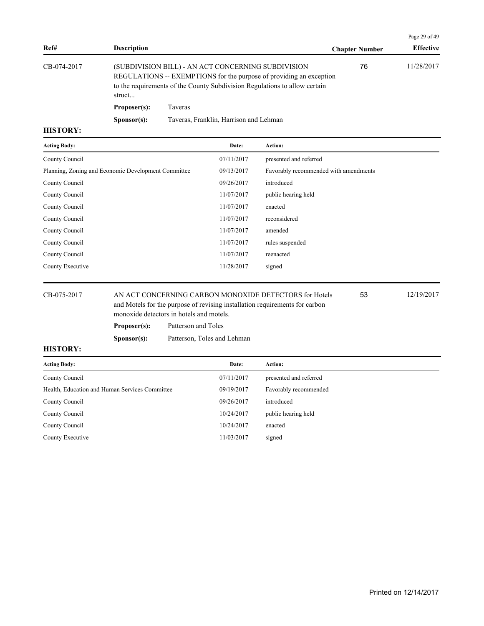|             |                      |                                                                                                                                                                                                         |                       | Page 29 of 49    |
|-------------|----------------------|---------------------------------------------------------------------------------------------------------------------------------------------------------------------------------------------------------|-----------------------|------------------|
| Ref#        | <b>Description</b>   |                                                                                                                                                                                                         | <b>Chapter Number</b> | <b>Effective</b> |
| CB-074-2017 | struct               | (SUBDIVISION BILL) - AN ACT CONCERNING SUBDIVISION<br>REGULATIONS -- EXEMPTIONS for the purpose of providing an exception<br>to the requirements of the County Subdivision Regulations to allow certain | 76                    | 11/28/2017       |
|             | Proposer(s):         | Taveras                                                                                                                                                                                                 |                       |                  |
|             | S <b>p</b> onsor(s): | Taveras, Franklin, Harrison and Lehman                                                                                                                                                                  |                       |                  |

| <b>Acting Body:</b>                                 | Date:      | Action:                               |
|-----------------------------------------------------|------------|---------------------------------------|
| County Council                                      | 07/11/2017 | presented and referred                |
| Planning, Zoning and Economic Development Committee | 09/13/2017 | Favorably recommended with amendments |
| County Council                                      | 09/26/2017 | introduced                            |
| County Council                                      | 11/07/2017 | public hearing held                   |
| County Council                                      | 11/07/2017 | enacted                               |
| County Council                                      | 11/07/2017 | reconsidered                          |
| County Council                                      | 11/07/2017 | amended                               |
| County Council                                      | 11/07/2017 | rules suspended                       |
| County Council                                      | 11/07/2017 | reenacted                             |
| County Executive                                    | 11/28/2017 | signed                                |
|                                                     |            |                                       |

CB-075-2017 AN ACT CONCERNING CARBON MONOXIDE DETECTORS for Hotels 53 12/19/2017 and Motels for the purpose of revising installation requirements for carbon monoxide detectors in hotels and motels.

**Proposer(s):** Patterson and Toles

**Sponsor(s):** Patterson, Toles and Lehman

### **HISTORY:**

| <b>Acting Body:</b>                            | Date:      | <b>Action:</b>         |
|------------------------------------------------|------------|------------------------|
| County Council                                 | 07/11/2017 | presented and referred |
| Health, Education and Human Services Committee | 09/19/2017 | Favorably recommended  |
| County Council                                 | 09/26/2017 | introduced             |
| County Council                                 | 10/24/2017 | public hearing held    |
| County Council                                 | 10/24/2017 | enacted                |
| County Executive                               | 11/03/2017 | signed                 |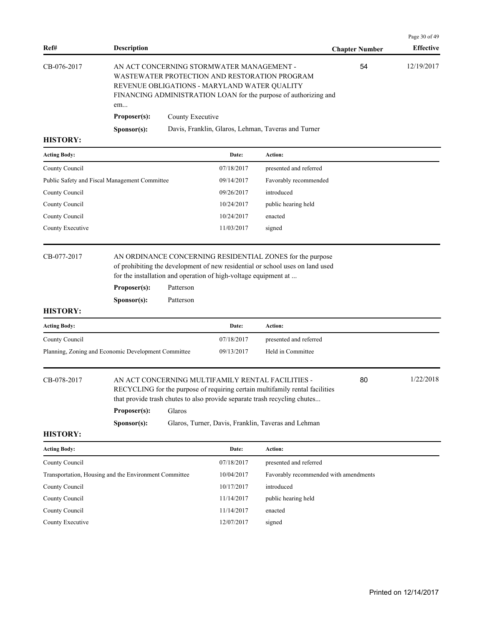Page 30 of 49 **Ref# Description Chapter Number Effective**  CB-076-2017 AN ACT CONCERNING STORMWATER MANAGEMENT - 54 12/19/2017 WASTEWATER PROTECTION AND RESTORATION PROGRAM REVENUE OBLIGATIONS - MARYLAND WATER QUALITY FINANCING ADMINISTRATION LOAN for the purpose of authorizing and em... 54 **Proposer(s):** County Executive **Sponsor(s):** Davis, Franklin, Glaros, Lehman, Taveras and Turner

#### **HISTORY:**

| Action:                |
|------------------------|
| presented and referred |
| Favorably recommended  |
| introduced             |
| public hearing held    |
| enacted                |
| signed                 |
|                        |

## CB-077-2017 AN ORDINANCE CONCERNING RESIDENTIAL ZONES for the purpose of prohibiting the development of new residential or school uses on land used

for the installation and operation of high-voltage equipment at ...

**Proposer(s):** Patterson

**Sponsor(s):** Patterson

#### **HISTORY:**

| <b>Acting Body:</b>                                 | Date:      | Action:                |
|-----------------------------------------------------|------------|------------------------|
| County Council                                      | 07/18/2017 | presented and referred |
| Planning, Zoning and Economic Development Committee | 09/13/2017 | Held in Committee      |

| CB-078-2017 |  |  |  |  |
|-------------|--|--|--|--|
|-------------|--|--|--|--|

#### AN ACT CONCERNING MULTIFAMILY RENTAL FACILITIES - 20 1/22/2018 80

RECYCLING for the purpose of requiring certain multifamily rental facilities that provide trash chutes to also provide separate trash recycling chutes...

**Proposer(s):** Glaros

**Sponsor(s):** Glaros, Turner, Davis, Franklin, Taveras and Lehman

| <b>Acting Body:</b>                                   | Date:      | Action:                               |
|-------------------------------------------------------|------------|---------------------------------------|
| County Council                                        | 07/18/2017 | presented and referred                |
| Transportation, Housing and the Environment Committee | 10/04/2017 | Favorably recommended with amendments |
| County Council                                        | 10/17/2017 | introduced                            |
| County Council                                        | 11/14/2017 | public hearing held                   |
| County Council                                        | 11/14/2017 | enacted                               |
| County Executive                                      | 12/07/2017 | signed                                |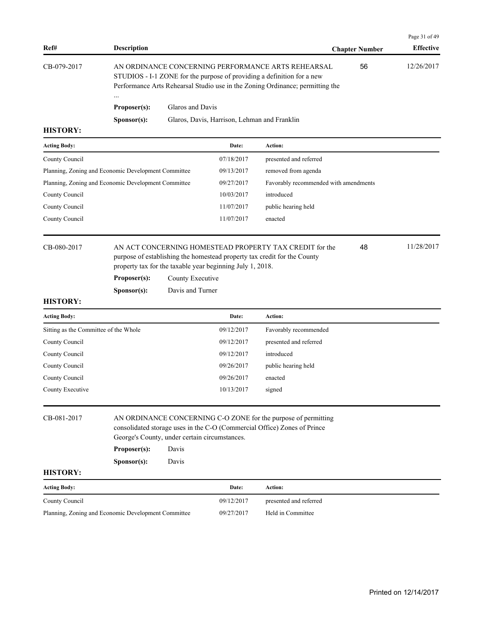| Ref#                                  | <b>Description</b>                                                                                                                                                                                                   |                                                                                                                                                                                                                     |                                              |                                                                                                                                     | <b>Chapter Number</b> | Page 31 of 49<br><b>Effective</b> |
|---------------------------------------|----------------------------------------------------------------------------------------------------------------------------------------------------------------------------------------------------------------------|---------------------------------------------------------------------------------------------------------------------------------------------------------------------------------------------------------------------|----------------------------------------------|-------------------------------------------------------------------------------------------------------------------------------------|-----------------------|-----------------------------------|
| CB-079-2017                           |                                                                                                                                                                                                                      | 56<br>AN ORDINANCE CONCERNING PERFORMANCE ARTS REHEARSAL<br>STUDIOS - I-1 ZONE for the purpose of providing a definition for a new<br>Performance Arts Rehearsal Studio use in the Zoning Ordinance; permitting the |                                              |                                                                                                                                     |                       |                                   |
|                                       | Proposer(s):                                                                                                                                                                                                         | Glaros and Davis                                                                                                                                                                                                    |                                              |                                                                                                                                     |                       |                                   |
|                                       | Sponsor(s):                                                                                                                                                                                                          |                                                                                                                                                                                                                     | Glaros, Davis, Harrison, Lehman and Franklin |                                                                                                                                     |                       |                                   |
| <b>HISTORY:</b>                       |                                                                                                                                                                                                                      |                                                                                                                                                                                                                     |                                              |                                                                                                                                     |                       |                                   |
| <b>Acting Body:</b>                   |                                                                                                                                                                                                                      |                                                                                                                                                                                                                     | Date:                                        | Action:                                                                                                                             |                       |                                   |
| County Council                        |                                                                                                                                                                                                                      |                                                                                                                                                                                                                     | 07/18/2017                                   | presented and referred                                                                                                              |                       |                                   |
|                                       | Planning, Zoning and Economic Development Committee                                                                                                                                                                  |                                                                                                                                                                                                                     | 09/13/2017                                   | removed from agenda                                                                                                                 |                       |                                   |
|                                       | Planning, Zoning and Economic Development Committee                                                                                                                                                                  |                                                                                                                                                                                                                     | 09/27/2017                                   | Favorably recommended with amendments                                                                                               |                       |                                   |
| County Council                        |                                                                                                                                                                                                                      |                                                                                                                                                                                                                     | 10/03/2017                                   | introduced                                                                                                                          |                       |                                   |
| County Council                        |                                                                                                                                                                                                                      |                                                                                                                                                                                                                     | 11/07/2017                                   | public hearing held                                                                                                                 |                       |                                   |
| County Council                        |                                                                                                                                                                                                                      |                                                                                                                                                                                                                     | 11/07/2017                                   | enacted                                                                                                                             |                       |                                   |
| CB-080-2017<br><b>HISTORY:</b>        | property tax for the taxable year beginning July 1, 2018.<br>Proposer(s):<br>S <b>p</b> onsor(s):                                                                                                                    | County Executive<br>Davis and Turner                                                                                                                                                                                |                                              | AN ACT CONCERNING HOMESTEAD PROPERTY TAX CREDIT for the<br>purpose of establishing the homestead property tax credit for the County | 48                    | 11/28/2017                        |
| <b>Acting Body:</b>                   |                                                                                                                                                                                                                      |                                                                                                                                                                                                                     | Date:                                        | Action:                                                                                                                             |                       |                                   |
| Sitting as the Committee of the Whole |                                                                                                                                                                                                                      |                                                                                                                                                                                                                     | 09/12/2017                                   | Favorably recommended                                                                                                               |                       |                                   |
| County Council                        |                                                                                                                                                                                                                      |                                                                                                                                                                                                                     | 09/12/2017                                   | presented and referred                                                                                                              |                       |                                   |
| County Council                        |                                                                                                                                                                                                                      |                                                                                                                                                                                                                     | 09/12/2017                                   | introduced                                                                                                                          |                       |                                   |
| County Council                        |                                                                                                                                                                                                                      |                                                                                                                                                                                                                     | 09/26/2017                                   | public hearing held                                                                                                                 |                       |                                   |
| County Council                        |                                                                                                                                                                                                                      |                                                                                                                                                                                                                     | 09/26/2017                                   | enacted                                                                                                                             |                       |                                   |
| County Executive                      |                                                                                                                                                                                                                      |                                                                                                                                                                                                                     | 10/13/2017                                   | signed                                                                                                                              |                       |                                   |
| CB-081-2017                           | AN ORDINANCE CONCERNING C-O ZONE for the purpose of permitting<br>consolidated storage uses in the C-O (Commercial Office) Zones of Prince<br>George's County, under certain circumstances.<br>Proposer(s):<br>Davis |                                                                                                                                                                                                                     |                                              |                                                                                                                                     |                       |                                   |
|                                       |                                                                                                                                                                                                                      |                                                                                                                                                                                                                     |                                              |                                                                                                                                     |                       |                                   |
| <b>HISTORY:</b>                       | S <b>p</b> onsor(s):                                                                                                                                                                                                 | Davis                                                                                                                                                                                                               |                                              |                                                                                                                                     |                       |                                   |
| <b>Acting Body:</b>                   |                                                                                                                                                                                                                      |                                                                                                                                                                                                                     | Date:                                        | Action:                                                                                                                             |                       |                                   |
| County Council                        |                                                                                                                                                                                                                      |                                                                                                                                                                                                                     | 09/12/2017                                   | presented and referred                                                                                                              |                       |                                   |
|                                       | Planning, Zoning and Economic Development Committee                                                                                                                                                                  |                                                                                                                                                                                                                     | 09/27/2017                                   | Held in Committee                                                                                                                   |                       |                                   |
|                                       |                                                                                                                                                                                                                      |                                                                                                                                                                                                                     |                                              |                                                                                                                                     |                       |                                   |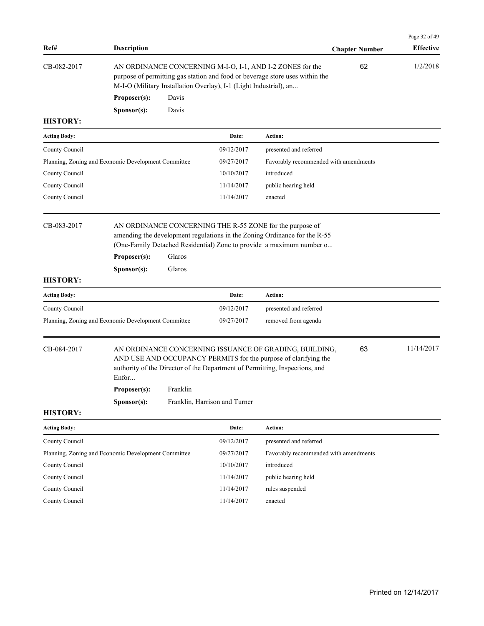| Ref#                           | <b>Description</b>                                                                                                                                                                                                                                               |                               | <b>Chapter Number</b>                 | Page 32 of 49<br><b>Effective</b> |
|--------------------------------|------------------------------------------------------------------------------------------------------------------------------------------------------------------------------------------------------------------------------------------------------------------|-------------------------------|---------------------------------------|-----------------------------------|
| CB-082-2017                    | AN ORDINANCE CONCERNING M-I-O, I-1, AND I-2 ZONES for the<br>purpose of permitting gas station and food or beverage store uses within the<br>M-I-O (Military Installation Overlay), I-1 (Light Industrial), an                                                   |                               | 62                                    | 1/2/2018                          |
|                                | Proposer(s):<br>Davis                                                                                                                                                                                                                                            |                               |                                       |                                   |
| <b>HISTORY:</b>                | Davis<br>Sponsor(s):                                                                                                                                                                                                                                             |                               |                                       |                                   |
| <b>Acting Body:</b>            |                                                                                                                                                                                                                                                                  | Date:                         | Action:                               |                                   |
| County Council                 |                                                                                                                                                                                                                                                                  | 09/12/2017                    | presented and referred                |                                   |
|                                | Planning, Zoning and Economic Development Committee                                                                                                                                                                                                              | 09/27/2017                    | Favorably recommended with amendments |                                   |
| County Council                 |                                                                                                                                                                                                                                                                  | 10/10/2017                    | introduced                            |                                   |
| County Council                 |                                                                                                                                                                                                                                                                  | 11/14/2017                    | public hearing held                   |                                   |
| County Council                 |                                                                                                                                                                                                                                                                  | 11/14/2017                    | enacted                               |                                   |
| CB-083-2017<br><b>HISTORY:</b> | AN ORDINANCE CONCERNING THE R-55 ZONE for the purpose of<br>amending the development regulations in the Zoning Ordinance for the R-55<br>(One-Family Detached Residential) Zone to provide a maximum number o<br>Glaros<br>Proposer(s):<br>Sponsor(s):<br>Glaros |                               |                                       |                                   |
| <b>Acting Body:</b>            |                                                                                                                                                                                                                                                                  | Date:                         | Action:                               |                                   |
| County Council                 |                                                                                                                                                                                                                                                                  | 09/12/2017                    | presented and referred                |                                   |
|                                | Planning, Zoning and Economic Development Committee                                                                                                                                                                                                              | 09/27/2017                    | removed from agenda                   |                                   |
| CB-084-2017                    | AN ORDINANCE CONCERNING ISSUANCE OF GRADING, BUILDING,<br>AND USE AND OCCUPANCY PERMITS for the purpose of clarifying the<br>authority of the Director of the Department of Permitting, Inspections, and<br>Enfor<br>Proposer(s):<br>Franklin<br>Sponsor(s):     | Franklin, Harrison and Turner | 63                                    | 11/14/2017                        |
| <b>HISTORY:</b>                |                                                                                                                                                                                                                                                                  |                               |                                       |                                   |
| <b>Acting Body:</b>            |                                                                                                                                                                                                                                                                  | Date:                         | Action:                               |                                   |
| County Council                 |                                                                                                                                                                                                                                                                  | 09/12/2017                    | presented and referred                |                                   |
|                                | Planning, Zoning and Economic Development Committee                                                                                                                                                                                                              | 09/27/2017                    | Favorably recommended with amendments |                                   |
| County Council                 |                                                                                                                                                                                                                                                                  | 10/10/2017                    | introduced                            |                                   |
| County Council                 |                                                                                                                                                                                                                                                                  | 11/14/2017                    | public hearing held                   |                                   |
| County Council                 |                                                                                                                                                                                                                                                                  | 11/14/2017                    | rules suspended                       |                                   |
| County Council                 |                                                                                                                                                                                                                                                                  | 11/14/2017                    | enacted                               |                                   |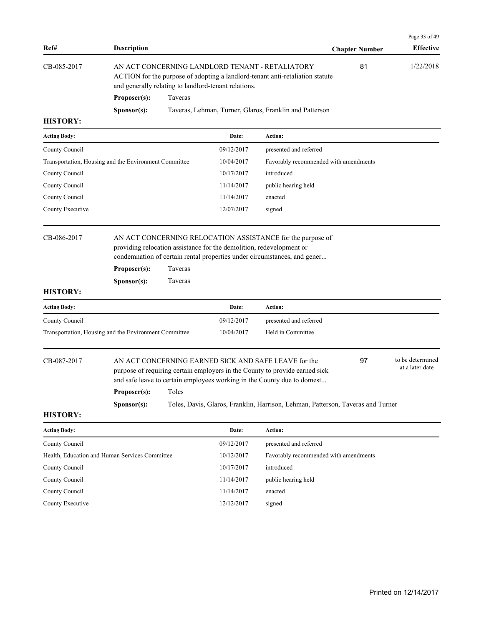| Ref#                           | <b>Description</b>                                    |                                                                                                                                                                                                             |                                                                      | <b>Chapter Number</b>                                                                                                                                                                                                                                                                                   | Page 33 of 49<br><b>Effective</b>   |  |
|--------------------------------|-------------------------------------------------------|-------------------------------------------------------------------------------------------------------------------------------------------------------------------------------------------------------------|----------------------------------------------------------------------|---------------------------------------------------------------------------------------------------------------------------------------------------------------------------------------------------------------------------------------------------------------------------------------------------------|-------------------------------------|--|
| CB-085-2017                    |                                                       | 1/22/2018<br>AN ACT CONCERNING LANDLORD TENANT - RETALIATORY<br>81<br>ACTION for the purpose of adopting a landlord-tenant anti-retaliation statute<br>and generally relating to landlord-tenant relations. |                                                                      |                                                                                                                                                                                                                                                                                                         |                                     |  |
|                                | Proposer(s):                                          | Taveras                                                                                                                                                                                                     |                                                                      |                                                                                                                                                                                                                                                                                                         |                                     |  |
|                                | Sponsor(s):                                           |                                                                                                                                                                                                             |                                                                      | Taveras, Lehman, Turner, Glaros, Franklin and Patterson                                                                                                                                                                                                                                                 |                                     |  |
| <b>HISTORY:</b>                |                                                       |                                                                                                                                                                                                             |                                                                      |                                                                                                                                                                                                                                                                                                         |                                     |  |
| <b>Acting Body:</b>            |                                                       |                                                                                                                                                                                                             | Date:                                                                | Action:                                                                                                                                                                                                                                                                                                 |                                     |  |
| County Council                 |                                                       |                                                                                                                                                                                                             | 09/12/2017                                                           | presented and referred                                                                                                                                                                                                                                                                                  |                                     |  |
|                                | Transportation, Housing and the Environment Committee |                                                                                                                                                                                                             | 10/04/2017                                                           | Favorably recommended with amendments                                                                                                                                                                                                                                                                   |                                     |  |
| County Council                 |                                                       |                                                                                                                                                                                                             | 10/17/2017                                                           | introduced                                                                                                                                                                                                                                                                                              |                                     |  |
| County Council                 |                                                       |                                                                                                                                                                                                             | 11/14/2017                                                           | public hearing held                                                                                                                                                                                                                                                                                     |                                     |  |
| County Council                 |                                                       |                                                                                                                                                                                                             | 11/14/2017                                                           | enacted                                                                                                                                                                                                                                                                                                 |                                     |  |
| County Executive               |                                                       |                                                                                                                                                                                                             | 12/07/2017                                                           | signed                                                                                                                                                                                                                                                                                                  |                                     |  |
| CB-086-2017<br><b>HISTORY:</b> | Proposer(s):<br>Sponsor(s):                           | Taveras<br>Taveras                                                                                                                                                                                          | providing relocation assistance for the demolition, redevelopment or | AN ACT CONCERNING RELOCATION ASSISTANCE for the purpose of<br>condemnation of certain rental properties under circumstances, and gener                                                                                                                                                                  |                                     |  |
| <b>Acting Body:</b>            |                                                       |                                                                                                                                                                                                             | Date:                                                                | Action:                                                                                                                                                                                                                                                                                                 |                                     |  |
| County Council                 |                                                       |                                                                                                                                                                                                             | 09/12/2017                                                           | presented and referred                                                                                                                                                                                                                                                                                  |                                     |  |
|                                | Transportation, Housing and the Environment Committee |                                                                                                                                                                                                             | 10/04/2017                                                           | Held in Committee                                                                                                                                                                                                                                                                                       |                                     |  |
| CB-087-2017<br><b>HISTORY:</b> | Proposer(s):<br>Sponsor(s):                           | Toles                                                                                                                                                                                                       |                                                                      | AN ACT CONCERNING EARNED SICK AND SAFE LEAVE for the<br>97<br>purpose of requiring certain employers in the County to provide earned sick<br>and safe leave to certain employees working in the County due to domest<br>Toles, Davis, Glaros, Franklin, Harrison, Lehman, Patterson, Taveras and Turner | to be determined<br>at a later date |  |
| <b>Acting Body:</b>            |                                                       |                                                                                                                                                                                                             | Date:                                                                | Action:                                                                                                                                                                                                                                                                                                 |                                     |  |
| County Council                 |                                                       |                                                                                                                                                                                                             | 09/12/2017                                                           | presented and referred                                                                                                                                                                                                                                                                                  |                                     |  |
|                                | Health, Education and Human Services Committee        |                                                                                                                                                                                                             | 10/12/2017                                                           | Favorably recommended with amendments                                                                                                                                                                                                                                                                   |                                     |  |
| County Council                 |                                                       |                                                                                                                                                                                                             | 10/17/2017                                                           | introduced                                                                                                                                                                                                                                                                                              |                                     |  |
| County Council                 |                                                       |                                                                                                                                                                                                             | 11/14/2017                                                           | public hearing held                                                                                                                                                                                                                                                                                     |                                     |  |
| County Council                 |                                                       |                                                                                                                                                                                                             | 11/14/2017                                                           | enacted                                                                                                                                                                                                                                                                                                 |                                     |  |
| County Executive               |                                                       |                                                                                                                                                                                                             | 12/12/2017                                                           | signed                                                                                                                                                                                                                                                                                                  |                                     |  |
|                                |                                                       |                                                                                                                                                                                                             |                                                                      |                                                                                                                                                                                                                                                                                                         |                                     |  |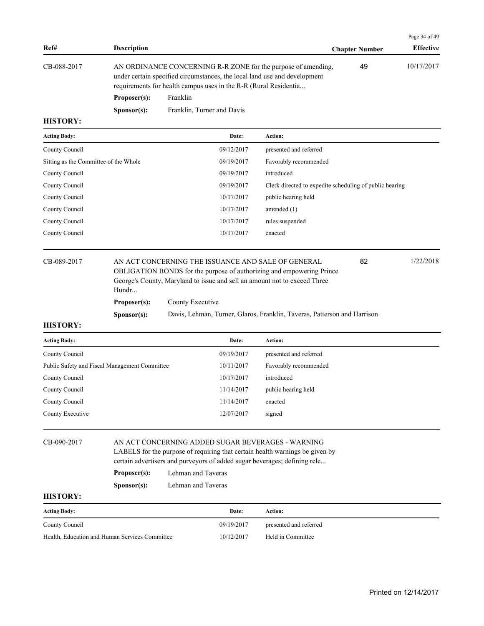|             |                      |                                                                                                                                                                                                                |                       | Page 34 of 49    |
|-------------|----------------------|----------------------------------------------------------------------------------------------------------------------------------------------------------------------------------------------------------------|-----------------------|------------------|
| Ref#        | <b>Description</b>   |                                                                                                                                                                                                                | <b>Chapter Number</b> | <b>Effective</b> |
| CB-088-2017 |                      | AN ORDINANCE CONCERNING R-R ZONE for the purpose of amending,<br>under certain specified circumstances, the local land use and development<br>requirements for health campus uses in the R-R (Rural Residentia | 49                    | 10/17/2017       |
|             | Proposer(s):         | Franklin                                                                                                                                                                                                       |                       |                  |
|             | S <b>p</b> onsor(s): | Franklin, Turner and Davis                                                                                                                                                                                     |                       |                  |

| <b>Acting Body:</b>                   | Date:      | <b>Action:</b>                                          |
|---------------------------------------|------------|---------------------------------------------------------|
| County Council                        | 09/12/2017 | presented and referred                                  |
| Sitting as the Committee of the Whole | 09/19/2017 | Favorably recommended                                   |
| County Council                        | 09/19/2017 | introduced                                              |
| County Council                        | 09/19/2017 | Clerk directed to expedite scheduling of public hearing |
| County Council                        | 10/17/2017 | public hearing held                                     |
| County Council                        | 10/17/2017 | amended $(1)$                                           |
| County Council                        | 10/17/2017 | rules suspended                                         |
| County Council                        | 10/17/2017 | enacted                                                 |
|                                       |            |                                                         |

CB-089-2017 AN ACT CONCERNING THE ISSUANCE AND SALE OF GENERAL 82 1/22/2018 OBLIGATION BONDS for the purpose of authorizing and empowering Prince George's County, Maryland to issue and sell an amount not to exceed Three Hundr... 82 **Proposer(s):** County Executive **Sponsor(s):** Davis, Lehman, Turner, Glaros, Franklin, Taveras, Patterson and Harrison

| <b>Acting Body:</b>                           | Date:      | <b>Action:</b>         |
|-----------------------------------------------|------------|------------------------|
| County Council                                | 09/19/2017 | presented and referred |
| Public Safety and Fiscal Management Committee | 10/11/2017 | Favorably recommended  |
| County Council                                | 10/17/2017 | introduced             |
| County Council                                | 11/14/2017 | public hearing held    |
| County Council                                | 11/14/2017 | enacted                |
| County Executive                              | 12/07/2017 | signed                 |

| CB-090-2017     | AN ACT CONCERNING ADDED SUGAR BEVERAGES - WARNING<br>LABELS for the purpose of requiring that certain health warnings be given by<br>certain advertisers and purveyors of added sugar beverages; defining rele |                    |  |  |  |
|-----------------|----------------------------------------------------------------------------------------------------------------------------------------------------------------------------------------------------------------|--------------------|--|--|--|
|                 | Lehman and Taveras<br>Proposer(s):                                                                                                                                                                             |                    |  |  |  |
|                 | S <b>p</b> onsor(s):                                                                                                                                                                                           | Lehman and Taveras |  |  |  |
| <b>HISTORY:</b> |                                                                                                                                                                                                                |                    |  |  |  |
|                 |                                                                                                                                                                                                                |                    |  |  |  |

| <b>Acting Body:</b>                            | Date:      | Action:                |
|------------------------------------------------|------------|------------------------|
| County Council                                 | 09/19/2017 | presented and referred |
| Health. Education and Human Services Committee | 10/12/2017 | Held in Committee      |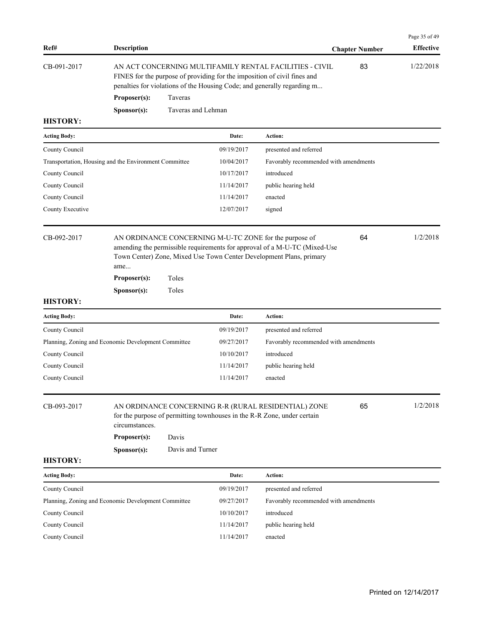| Ref#                                                                  | <b>Description</b>                            |                           |                          |                                                                                                                                                                                                                | <b>Chapter Number</b> | Page 35 of 49<br><b>Effective</b> |
|-----------------------------------------------------------------------|-----------------------------------------------|---------------------------|--------------------------|----------------------------------------------------------------------------------------------------------------------------------------------------------------------------------------------------------------|-----------------------|-----------------------------------|
| CB-091-2017                                                           |                                               |                           |                          | AN ACT CONCERNING MULTIFAMILY RENTAL FACILITIES - CIVIL<br>FINES for the purpose of providing for the imposition of civil fines and<br>penalties for violations of the Housing Code; and generally regarding m | 83                    | 1/22/2018                         |
|                                                                       | Proposer(s):                                  | Taveras                   |                          |                                                                                                                                                                                                                |                       |                                   |
|                                                                       | Sponsor(s):                                   | Taveras and Lehman        |                          |                                                                                                                                                                                                                |                       |                                   |
| <b>HISTORY:</b>                                                       |                                               |                           |                          |                                                                                                                                                                                                                |                       |                                   |
| <b>Acting Body:</b>                                                   |                                               |                           | Date:                    | Action:                                                                                                                                                                                                        |                       |                                   |
| County Council                                                        |                                               |                           | 09/19/2017               | presented and referred                                                                                                                                                                                         |                       |                                   |
| Transportation, Housing and the Environment Committee                 |                                               |                           | 10/04/2017               | Favorably recommended with amendments                                                                                                                                                                          |                       |                                   |
| County Council                                                        |                                               |                           | 10/17/2017               | introduced                                                                                                                                                                                                     |                       |                                   |
| County Council                                                        |                                               |                           | 11/14/2017               | public hearing held                                                                                                                                                                                            |                       |                                   |
| County Council                                                        |                                               |                           | 11/14/2017               | enacted                                                                                                                                                                                                        |                       |                                   |
| County Executive                                                      |                                               |                           | 12/07/2017               | signed                                                                                                                                                                                                         |                       |                                   |
| CB-092-2017                                                           | ame<br>Proposer(s):                           | Toles                     |                          | AN ORDINANCE CONCERNING M-U-TC ZONE for the purpose of<br>amending the permissible requirements for approval of a M-U-TC (Mixed-Use<br>Town Center) Zone, Mixed Use Town Center Development Plans, primary     | 64                    | 1/2/2018                          |
| <b>HISTORY:</b>                                                       | Sponsor(s):                                   | Toles                     |                          |                                                                                                                                                                                                                |                       |                                   |
|                                                                       |                                               |                           | Date:                    | Action:                                                                                                                                                                                                        |                       |                                   |
| <b>Acting Body:</b>                                                   |                                               |                           |                          |                                                                                                                                                                                                                |                       |                                   |
| County Council<br>Planning, Zoning and Economic Development Committee |                                               |                           | 09/19/2017<br>09/27/2017 | presented and referred<br>Favorably recommended with amendments                                                                                                                                                |                       |                                   |
| County Council                                                        |                                               |                           | 10/10/2017               | introduced                                                                                                                                                                                                     |                       |                                   |
| County Council                                                        |                                               |                           | 11/14/2017               | public hearing held                                                                                                                                                                                            |                       |                                   |
| County Council                                                        |                                               |                           | 11/14/2017               | enacted                                                                                                                                                                                                        |                       |                                   |
| CB-093-2017<br><b>HISTORY:</b>                                        | circumstances.<br>Proposer(s):<br>Sponsor(s): | Davis<br>Davis and Turner |                          | AN ORDINANCE CONCERNING R-R (RURAL RESIDENTIAL) ZONE<br>for the purpose of permitting townhouses in the R-R Zone, under certain                                                                                | 65                    | 1/2/2018                          |
| <b>Acting Body:</b>                                                   |                                               |                           | Date:                    | Action:                                                                                                                                                                                                        |                       |                                   |
| County Council                                                        |                                               |                           | 09/19/2017               | presented and referred                                                                                                                                                                                         |                       |                                   |
| Planning, Zoning and Economic Development Committee                   |                                               |                           | 09/27/2017               | Favorably recommended with amendments                                                                                                                                                                          |                       |                                   |
| County Council                                                        |                                               |                           | 10/10/2017               | introduced                                                                                                                                                                                                     |                       |                                   |
| County Council                                                        |                                               |                           | 11/14/2017               | public hearing held                                                                                                                                                                                            |                       |                                   |
| County Council                                                        |                                               |                           | 11/14/2017               | enacted                                                                                                                                                                                                        |                       |                                   |
|                                                                       |                                               |                           |                          |                                                                                                                                                                                                                |                       |                                   |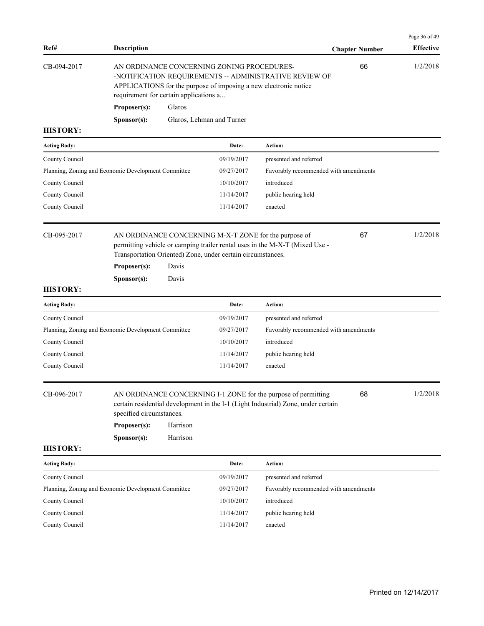| Ref#                | <b>Description</b>                                      |                      |                                                             |                                                                                                                                                     | <b>Chapter Number</b> | Page 36 of 49<br><b>Effective</b> |
|---------------------|---------------------------------------------------------|----------------------|-------------------------------------------------------------|-----------------------------------------------------------------------------------------------------------------------------------------------------|-----------------------|-----------------------------------|
| CB-094-2017         | requirement for certain applications a                  |                      | AN ORDINANCE CONCERNING ZONING PROCEDURES-                  | -NOTIFICATION REQUIREMENTS -- ADMINISTRATIVE REVIEW OF<br>APPLICATIONS for the purpose of imposing a new electronic notice                          | 66                    | 1/2/2018                          |
|                     | Proposer(s):                                            | Glaros               |                                                             |                                                                                                                                                     |                       |                                   |
|                     | Sponsor(s):                                             |                      | Glaros, Lehman and Turner                                   |                                                                                                                                                     |                       |                                   |
| <b>HISTORY:</b>     |                                                         |                      |                                                             |                                                                                                                                                     |                       |                                   |
| Acting Body:        |                                                         |                      | Date:                                                       | Action:                                                                                                                                             |                       |                                   |
| County Council      |                                                         |                      | 09/19/2017                                                  | presented and referred                                                                                                                              |                       |                                   |
|                     | Planning, Zoning and Economic Development Committee     |                      | 09/27/2017                                                  | Favorably recommended with amendments                                                                                                               |                       |                                   |
| County Council      |                                                         |                      | 10/10/2017                                                  | introduced                                                                                                                                          |                       |                                   |
| County Council      |                                                         |                      | 11/14/2017                                                  | public hearing held                                                                                                                                 |                       |                                   |
| County Council      |                                                         |                      | 11/14/2017                                                  | enacted                                                                                                                                             |                       |                                   |
| CB-095-2017         |                                                         |                      | Transportation Oriented) Zone, under certain circumstances. | AN ORDINANCE CONCERNING M-X-T ZONE for the purpose of<br>permitting vehicle or camping trailer rental uses in the M-X-T (Mixed Use -                | 67                    | 1/2/2018                          |
|                     | Proposer(s):                                            | Davis                |                                                             |                                                                                                                                                     |                       |                                   |
| <b>HISTORY:</b>     | Sponsor(s):                                             | Davis                |                                                             |                                                                                                                                                     |                       |                                   |
| <b>Acting Body:</b> |                                                         |                      | Date:                                                       | Action:                                                                                                                                             |                       |                                   |
| County Council      |                                                         |                      | 09/19/2017                                                  | presented and referred                                                                                                                              |                       |                                   |
|                     | Planning, Zoning and Economic Development Committee     |                      | 09/27/2017                                                  | Favorably recommended with amendments                                                                                                               |                       |                                   |
| County Council      |                                                         |                      | 10/10/2017                                                  | introduced                                                                                                                                          |                       |                                   |
| County Council      |                                                         |                      | 11/14/2017                                                  | public hearing held                                                                                                                                 |                       |                                   |
| County Council      |                                                         |                      | 11/14/2017                                                  | enacted                                                                                                                                             |                       |                                   |
| CB-096-2017         | specified circumstances.<br>Proposer(s):<br>Sponsor(s): | Harrison<br>Harrison |                                                             | AN ORDINANCE CONCERNING I-1 ZONE for the purpose of permitting<br>certain residential development in the I-1 (Light Industrial) Zone, under certain | 68                    | 1/2/2018                          |
| <b>HISTORY:</b>     |                                                         |                      |                                                             |                                                                                                                                                     |                       |                                   |
| <b>Acting Body:</b> |                                                         |                      | Date:                                                       | Action:                                                                                                                                             |                       |                                   |
| County Council      |                                                         |                      | 09/19/2017                                                  | presented and referred                                                                                                                              |                       |                                   |
|                     | Planning, Zoning and Economic Development Committee     |                      | 09/27/2017                                                  | Favorably recommended with amendments                                                                                                               |                       |                                   |
| County Council      |                                                         |                      | 10/10/2017                                                  | introduced                                                                                                                                          |                       |                                   |
|                     |                                                         |                      |                                                             |                                                                                                                                                     |                       |                                   |
| County Council      |                                                         |                      | 11/14/2017                                                  | public hearing held                                                                                                                                 |                       |                                   |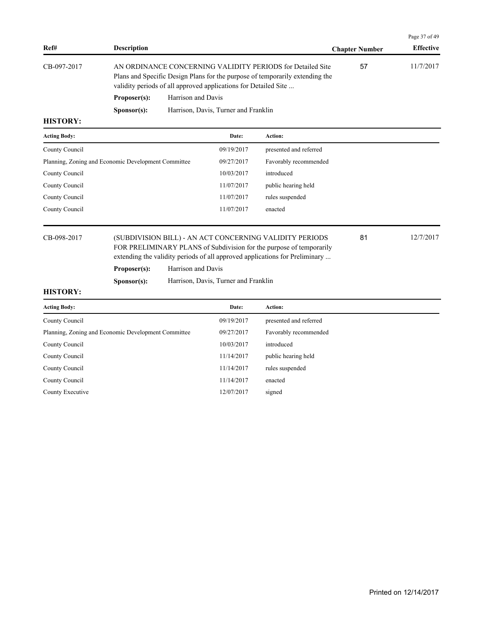|                     |                      |                                                                                                                                                                                                               |                       | Page 37 of 49    |
|---------------------|----------------------|---------------------------------------------------------------------------------------------------------------------------------------------------------------------------------------------------------------|-----------------------|------------------|
| Ref#                | <b>Description</b>   |                                                                                                                                                                                                               | <b>Chapter Number</b> | <b>Effective</b> |
| CB-097-2017         |                      | AN ORDINANCE CONCERNING VALIDITY PERIODS for Detailed Site<br>Plans and Specific Design Plans for the purpose of temporarily extending the<br>validity periods of all approved applications for Detailed Site | 57                    | 11/7/2017        |
|                     | Proposer(s):         | Harrison and Davis                                                                                                                                                                                            |                       |                  |
|                     | S <b>p</b> onsor(s): | Harrison, Davis, Turner and Franklin                                                                                                                                                                          |                       |                  |
| <b>HISTORY:</b>     |                      |                                                                                                                                                                                                               |                       |                  |
| <b>Acting Body:</b> |                      | <b>Action:</b><br>Date:                                                                                                                                                                                       |                       |                  |

|                |                                                                                                                                                                                                               | .          | .                      |    |           |
|----------------|---------------------------------------------------------------------------------------------------------------------------------------------------------------------------------------------------------------|------------|------------------------|----|-----------|
| County Council |                                                                                                                                                                                                               | 09/19/2017 | presented and referred |    |           |
|                | Planning, Zoning and Economic Development Committee                                                                                                                                                           | 09/27/2017 | Favorably recommended  |    |           |
| County Council |                                                                                                                                                                                                               | 10/03/2017 | introduced             |    |           |
| County Council |                                                                                                                                                                                                               | 11/07/2017 | public hearing held    |    |           |
| County Council |                                                                                                                                                                                                               | 11/07/2017 | rules suspended        |    |           |
| County Council |                                                                                                                                                                                                               | 11/07/2017 | enacted                |    |           |
|                |                                                                                                                                                                                                               |            |                        |    |           |
| CB-098-2017    | (SUBDIVISION BILL) - AN ACT CONCERNING VALIDITY PERIODS<br>FOR PRELIMINARY PLANS of Subdivision for the purpose of temporarily<br>extending the validity periods of all approved applications for Preliminary |            |                        | 81 | 12/7/2017 |
|                |                                                                                                                                                                                                               |            |                        |    |           |

Proposer(s): Harrison and Davis

**Sponsor(s):** Harrison, Davis, Turner and Franklin

| <b>Acting Body:</b>                                 | Date:      | Action:                |
|-----------------------------------------------------|------------|------------------------|
| County Council                                      | 09/19/2017 | presented and referred |
| Planning, Zoning and Economic Development Committee | 09/27/2017 | Favorably recommended  |
| County Council                                      | 10/03/2017 | introduced             |
| County Council                                      | 11/14/2017 | public hearing held    |
| County Council                                      | 11/14/2017 | rules suspended        |
| County Council                                      | 11/14/2017 | enacted                |
| County Executive                                    | 12/07/2017 | signed                 |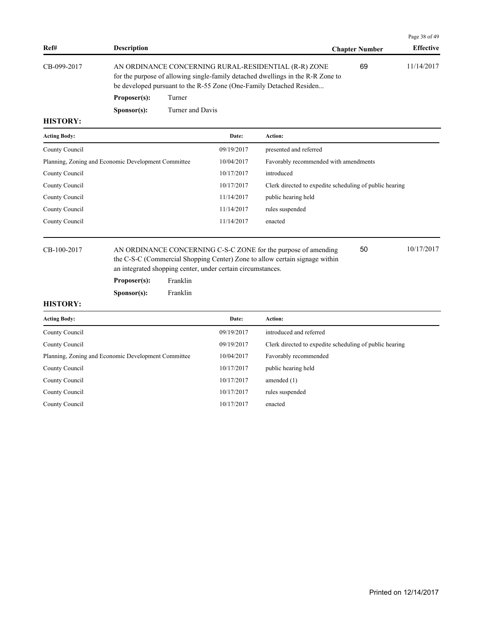|             |                      |                                                                                                                                                                                                                |                       | Page 38 of 49    |
|-------------|----------------------|----------------------------------------------------------------------------------------------------------------------------------------------------------------------------------------------------------------|-----------------------|------------------|
| Ref#        | <b>Description</b>   |                                                                                                                                                                                                                | <b>Chapter Number</b> | <b>Effective</b> |
| CB-099-2017 |                      | AN ORDINANCE CONCERNING RURAL-RESIDENTIAL (R-R) ZONE<br>for the purpose of allowing single-family detached dwellings in the R-R Zone to<br>be developed pursuant to the R-55 Zone (One-Family Detached Residen | 69                    | 11/14/2017       |
|             | Proposer(s):         | Turner                                                                                                                                                                                                         |                       |                  |
|             | S <b>p</b> onsor(s): | Turner and Davis                                                                                                                                                                                               |                       |                  |

| <b>Acting Body:</b>                                 | Date:      | <b>Action:</b>                                          |
|-----------------------------------------------------|------------|---------------------------------------------------------|
| County Council                                      | 09/19/2017 | presented and referred                                  |
| Planning, Zoning and Economic Development Committee | 10/04/2017 | Favorably recommended with amendments                   |
| County Council                                      | 10/17/2017 | introduced                                              |
| County Council                                      | 10/17/2017 | Clerk directed to expedite scheduling of public hearing |
| County Council                                      | 11/14/2017 | public hearing held                                     |
| County Council                                      | 11/14/2017 | rules suspended                                         |
| County Council                                      | 11/14/2017 | enacted                                                 |
|                                                     |            |                                                         |

CB-100-2017 AN ORDINANCE CONCERNING C-S-C ZONE for the purpose of amending 50 10/17/2017 the C-S-C (Commercial Shopping Center) Zone to allow certain signage within an integrated shopping center, under certain circumstances.

**Proposer(s):** Franklin

**Sponsor(s):** Franklin

### **HISTORY:**

| <b>Acting Body:</b>                                 | Date:      | <b>Action:</b>                                          |
|-----------------------------------------------------|------------|---------------------------------------------------------|
| County Council                                      | 09/19/2017 | introduced and referred                                 |
| County Council                                      | 09/19/2017 | Clerk directed to expedite scheduling of public hearing |
| Planning, Zoning and Economic Development Committee | 10/04/2017 | Favorably recommended                                   |
| County Council                                      | 10/17/2017 | public hearing held                                     |
| County Council                                      | 10/17/2017 | amended $(1)$                                           |
| County Council                                      | 10/17/2017 | rules suspended                                         |
| County Council                                      | 10/17/2017 | enacted                                                 |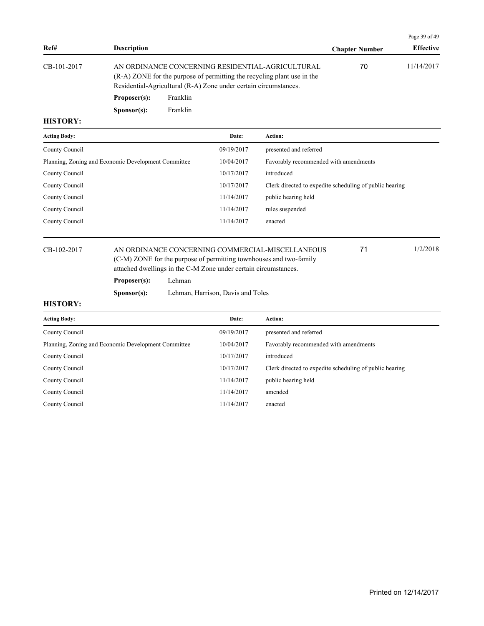|             |                    |                                                                                                                                                                                                 |                       | Page 39 of 49    |
|-------------|--------------------|-------------------------------------------------------------------------------------------------------------------------------------------------------------------------------------------------|-----------------------|------------------|
| Ref#        | <b>Description</b> |                                                                                                                                                                                                 | <b>Chapter Number</b> | <b>Effective</b> |
| CB-101-2017 |                    | AN ORDINANCE CONCERNING RESIDENTIAL-AGRICULTURAL<br>(R-A) ZONE for the purpose of permitting the recycling plant use in the<br>Residential-Agricultural (R-A) Zone under certain circumstances. | 70                    | 11/14/2017       |
|             | Proposer(s):       | Franklin                                                                                                                                                                                        |                       |                  |

**Sponsor(s):** Franklin

## **HISTORY:**

| <b>Acting Body:</b>                                 | Date:      | <b>Action:</b>                                          |
|-----------------------------------------------------|------------|---------------------------------------------------------|
| County Council                                      | 09/19/2017 | presented and referred                                  |
| Planning, Zoning and Economic Development Committee | 10/04/2017 | Favorably recommended with amendments                   |
| County Council                                      | 10/17/2017 | introduced                                              |
| County Council                                      | 10/17/2017 | Clerk directed to expedite scheduling of public hearing |
| County Council                                      | 11/14/2017 | public hearing held                                     |
| County Council                                      | 11/14/2017 | rules suspended                                         |
| County Council                                      | 11/14/2017 | enacted                                                 |
|                                                     |            |                                                         |

## CB-102-2017 AN ORDINANCE CONCERNING COMMERCIAL-MISCELLANEOUS 71 1/2/2018

(C-M) ZONE for the purpose of permitting townhouses and two-family attached dwellings in the C-M Zone under certain circumstances.

**Proposer(s):** Lehman

**Sponsor(s):** Lehman, Harrison, Davis and Toles

### **HISTORY:**

| <b>Acting Body:</b>                                 | Date:      | <b>Action:</b>                                          |
|-----------------------------------------------------|------------|---------------------------------------------------------|
| County Council                                      | 09/19/2017 | presented and referred                                  |
| Planning, Zoning and Economic Development Committee | 10/04/2017 | Favorably recommended with amendments                   |
| County Council                                      | 10/17/2017 | introduced                                              |
| County Council                                      | 10/17/2017 | Clerk directed to expedite scheduling of public hearing |
| County Council                                      | 11/14/2017 | public hearing held                                     |
| County Council                                      | 11/14/2017 | amended                                                 |
| County Council                                      | 11/14/2017 | enacted                                                 |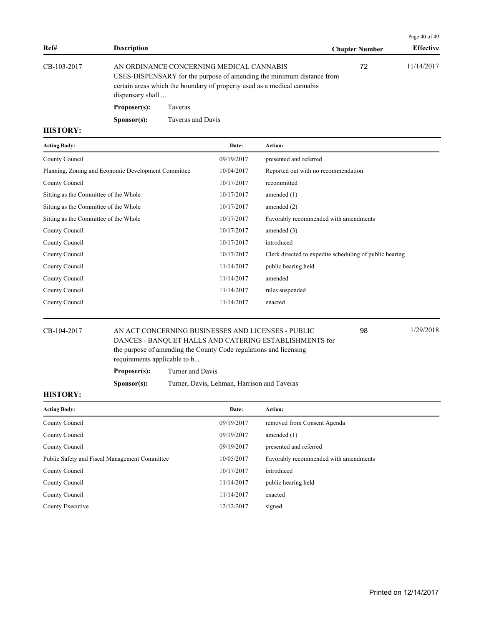|             |                      |                                                                                                                                                                                              |                       | Page 40 of 49    |
|-------------|----------------------|----------------------------------------------------------------------------------------------------------------------------------------------------------------------------------------------|-----------------------|------------------|
| Ref#        | <b>Description</b>   |                                                                                                                                                                                              | <b>Chapter Number</b> | <b>Effective</b> |
| CB-103-2017 | dispensary shall     | AN ORDINANCE CONCERNING MEDICAL CANNABIS<br>USES-DISPENSARY for the purpose of amending the minimum distance from<br>certain areas which the boundary of property used as a medical cannabis | 72                    | 11/14/2017       |
|             | Proposer(s):         | Taveras                                                                                                                                                                                      |                       |                  |
|             | S <b>p</b> onsor(s): | Taveras and Davis                                                                                                                                                                            |                       |                  |

| <b>Acting Body:</b>                                 | Date:      | Action:                                                 |
|-----------------------------------------------------|------------|---------------------------------------------------------|
| County Council                                      | 09/19/2017 | presented and referred                                  |
| Planning, Zoning and Economic Development Committee | 10/04/2017 | Reported out with no recommendation                     |
| County Council                                      | 10/17/2017 | recommitted                                             |
| Sitting as the Committee of the Whole               | 10/17/2017 | amended $(1)$                                           |
| Sitting as the Committee of the Whole               | 10/17/2017 | amended $(2)$                                           |
| Sitting as the Committee of the Whole               | 10/17/2017 | Favorably recommended with amendments                   |
| County Council                                      | 10/17/2017 | amended $(3)$                                           |
| County Council                                      | 10/17/2017 | introduced                                              |
| County Council                                      | 10/17/2017 | Clerk directed to expedite scheduling of public hearing |
| County Council                                      | 11/14/2017 | public hearing held                                     |
| County Council                                      | 11/14/2017 | amended                                                 |
| County Council                                      | 11/14/2017 | rules suspended                                         |
| County Council                                      | 11/14/2017 | enacted                                                 |

| CB-104-2017 | 1/29/2018<br>AN ACT CONCERNING BUSINESSES AND LICENSES - PUBLIC<br>98<br>DANCES - BANOUET HALLS AND CATERING ESTABLISHMENTS for |                                                                   |  |  |
|-------------|---------------------------------------------------------------------------------------------------------------------------------|-------------------------------------------------------------------|--|--|
|             | requirements applicable to b                                                                                                    | the purpose of amending the County Code regulations and licensing |  |  |
|             | Proposer(s):                                                                                                                    | Turner and Davis                                                  |  |  |

**Sponsor(s):** Turner, Davis, Lehman, Harrison and Taveras

| <b>Acting Body:</b>                           | Date:      | <b>Action:</b>                        |
|-----------------------------------------------|------------|---------------------------------------|
| County Council                                | 09/19/2017 | removed from Consent Agenda           |
| County Council                                | 09/19/2017 | amended $(1)$                         |
| County Council                                | 09/19/2017 | presented and referred                |
| Public Safety and Fiscal Management Committee | 10/05/2017 | Favorably recommended with amendments |
| County Council                                | 10/17/2017 | introduced                            |
| County Council                                | 11/14/2017 | public hearing held                   |
| County Council                                | 11/14/2017 | enacted                               |
| County Executive                              | 12/12/2017 | signed                                |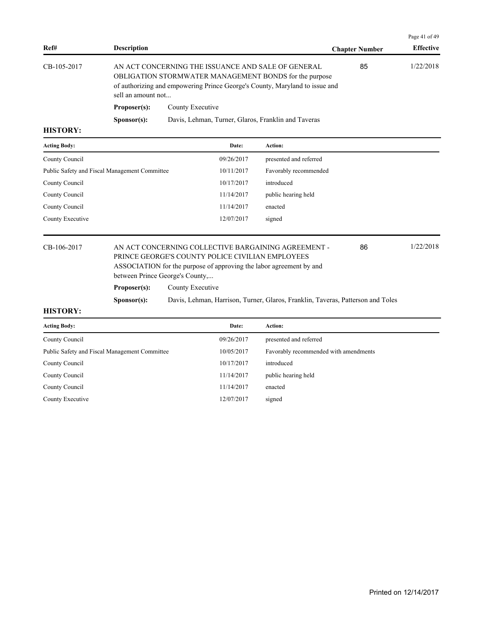| Ref#            | <b>Description</b>   |                                                                                                                                                                                             | <b>Chapter Number</b> | <b>Effective</b> |
|-----------------|----------------------|---------------------------------------------------------------------------------------------------------------------------------------------------------------------------------------------|-----------------------|------------------|
| CB-105-2017     | sell an amount not   | AN ACT CONCERNING THE ISSUANCE AND SALE OF GENERAL<br>OBLIGATION STORMWATER MANAGEMENT BONDS for the purpose<br>of authorizing and empowering Prince George's County, Maryland to issue and | 85                    | 1/22/2018        |
|                 | Proposer(s):         | County Executive                                                                                                                                                                            |                       |                  |
|                 | S <b>p</b> onsor(s): | Davis, Lehman, Turner, Glaros, Franklin and Taveras                                                                                                                                         |                       |                  |
| <b>HISTORY:</b> |                      |                                                                                                                                                                                             |                       |                  |

| <b>Acting Body:</b>                           | Date:      | Action:                |
|-----------------------------------------------|------------|------------------------|
| County Council                                | 09/26/2017 | presented and referred |
| Public Safety and Fiscal Management Committee | 10/11/2017 | Favorably recommended  |
| County Council                                | 10/17/2017 | introduced             |
| County Council                                | 11/14/2017 | public hearing held    |
| County Council                                | 11/14/2017 | enacted                |
| County Executive                              | 12/07/2017 | signed                 |
|                                               |            |                        |

## CB-106-2017 AN ACT CONCERNING COLLECTIVE BARGAINING AGREEMENT - 86 1/22/2018 PRINCE GEORGE'S COUNTY POLICE CIVILIAN EMPLOYEES ASSOCIATION for the purpose of approving the labor agreement by and

between Prince George's County,...

Proposer(s): County Executive

**Sponsor(s):** Davis, Lehman, Harrison, Turner, Glaros, Franklin, Taveras, Patterson and Toles

#### **HISTORY:**

| <b>Acting Body:</b>                           | Date:      | Action:                               |
|-----------------------------------------------|------------|---------------------------------------|
| County Council                                | 09/26/2017 | presented and referred                |
| Public Safety and Fiscal Management Committee | 10/05/2017 | Favorably recommended with amendments |
| County Council                                | 10/17/2017 | introduced                            |
| County Council                                | 11/14/2017 | public hearing held                   |
| County Council                                | 11/14/2017 | enacted                               |
| County Executive                              | 12/07/2017 | signed                                |
|                                               |            |                                       |

Page 41 of 49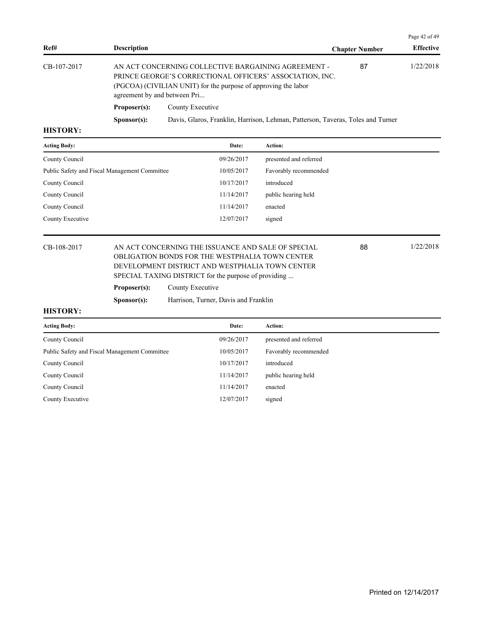|             |                                                                                                                                                                                                                   |                                                                                 |                       | Page $42$ of $49$ |
|-------------|-------------------------------------------------------------------------------------------------------------------------------------------------------------------------------------------------------------------|---------------------------------------------------------------------------------|-----------------------|-------------------|
| Ref#        | <b>Description</b>                                                                                                                                                                                                |                                                                                 | <b>Chapter Number</b> | <b>Effective</b>  |
| CB-107-2017 | AN ACT CONCERNING COLLECTIVE BARGAINING AGREEMENT -<br>PRINCE GEORGE'S CORRECTIONAL OFFICERS' ASSOCIATION, INC.<br>(PGCOA) (CIVILIAN UNIT) for the purpose of approving the labor<br>agreement by and between Pri |                                                                                 | 87                    | 1/22/2018         |
|             | Proposer(s):                                                                                                                                                                                                      | County Executive                                                                |                       |                   |
|             | S <b>p</b> onsor(s):                                                                                                                                                                                              | Davis, Glaros, Franklin, Harrison, Lehman, Patterson, Taveras, Toles and Turner |                       |                   |
| TTITQITQINT |                                                                                                                                                                                                                   |                                                                                 |                       |                   |

| <b>Acting Body:</b>                           | Date:      | Action:                |
|-----------------------------------------------|------------|------------------------|
| County Council                                | 09/26/2017 | presented and referred |
| Public Safety and Fiscal Management Committee | 10/05/2017 | Favorably recommended  |
| County Council                                | 10/17/2017 | introduced             |
| County Council                                | 11/14/2017 | public hearing held    |
| County Council                                | 11/14/2017 | enacted                |
| County Executive                              | 12/07/2017 | signed                 |

## CB-108-2017 AN ACT CONCERNING THE ISSUANCE AND SALE OF SPECIAL 88 1/22/2018 OBLIGATION BONDS FOR THE WESTPHALIA TOWN CENTER DEVELOPMENT DISTRICT AND WESTPHALIA TOWN CENTER SPECIAL TAXING DISTRICT for the purpose of providing ...

Proposer(s): County Executive

**Sponsor(s):** Harrison, Turner, Davis and Franklin

#### **HISTORY:**

| <b>Acting Body:</b>                           | Date:      | <b>Action:</b>         |
|-----------------------------------------------|------------|------------------------|
| County Council                                | 09/26/2017 | presented and referred |
| Public Safety and Fiscal Management Committee | 10/05/2017 | Favorably recommended  |
| County Council                                | 10/17/2017 | introduced             |
| County Council                                | 11/14/2017 | public hearing held    |
| County Council                                | 11/14/2017 | enacted                |
| County Executive                              | 12/07/2017 | signed                 |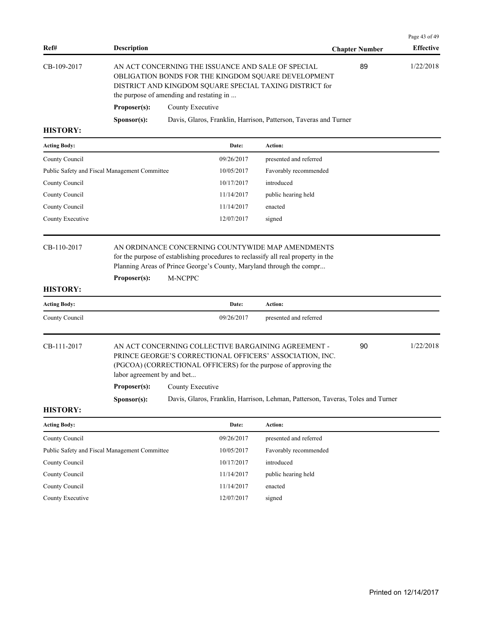| AN ACT CONCERNING THE ISSUANCE AND SALE OF SPECIAL<br>OBLIGATION BONDS FOR THE KINGDOM SQUARE DEVELOPMENT<br>DISTRICT AND KINGDOM SQUARE SPECIAL TAXING DISTRICT for<br>the purpose of amending and restating in<br>County Executive<br>Davis, Glaros, Franklin, Harrison, Patterson, Taveras and Turner<br>Date:<br>09/26/2017<br>10/05/2017<br>10/17/2017<br>11/14/2017<br>11/14/2017<br>12/07/2017 | Action:<br>presented and referred<br>Favorably recommended<br>introduced<br>public hearing held<br>enacted<br>signed<br>AN ORDINANCE CONCERNING COUNTYWIDE MAP AMENDMENTS | 89 | 1/22/2018             |
|-------------------------------------------------------------------------------------------------------------------------------------------------------------------------------------------------------------------------------------------------------------------------------------------------------------------------------------------------------------------------------------------------------|---------------------------------------------------------------------------------------------------------------------------------------------------------------------------|----|-----------------------|
|                                                                                                                                                                                                                                                                                                                                                                                                       |                                                                                                                                                                           |    |                       |
|                                                                                                                                                                                                                                                                                                                                                                                                       |                                                                                                                                                                           |    |                       |
|                                                                                                                                                                                                                                                                                                                                                                                                       |                                                                                                                                                                           |    |                       |
|                                                                                                                                                                                                                                                                                                                                                                                                       |                                                                                                                                                                           |    |                       |
|                                                                                                                                                                                                                                                                                                                                                                                                       |                                                                                                                                                                           |    |                       |
|                                                                                                                                                                                                                                                                                                                                                                                                       |                                                                                                                                                                           |    |                       |
|                                                                                                                                                                                                                                                                                                                                                                                                       |                                                                                                                                                                           |    |                       |
|                                                                                                                                                                                                                                                                                                                                                                                                       |                                                                                                                                                                           |    |                       |
|                                                                                                                                                                                                                                                                                                                                                                                                       |                                                                                                                                                                           |    |                       |
|                                                                                                                                                                                                                                                                                                                                                                                                       |                                                                                                                                                                           |    |                       |
| for the purpose of establishing procedures to reclassify all real property in the<br>Planning Areas of Prince George's County, Maryland through the compr<br>M-NCPPC                                                                                                                                                                                                                                  |                                                                                                                                                                           |    |                       |
| Date:                                                                                                                                                                                                                                                                                                                                                                                                 | Action:                                                                                                                                                                   |    |                       |
| 09/26/2017                                                                                                                                                                                                                                                                                                                                                                                            | presented and referred                                                                                                                                                    |    |                       |
| AN ACT CONCERNING COLLECTIVE BARGAINING AGREEMENT -<br>PRINCE GEORGE'S CORRECTIONAL OFFICERS' ASSOCIATION, INC.<br>(PGCOA) (CORRECTIONAL OFFICERS) for the purpose of approving the<br>labor agreement by and bet<br><b>Proposer(s):</b> County Executive<br>Davis, Glaros, Franklin, Harrison, Lehman, Patterson, Taveras, Toles and Turner                                                          |                                                                                                                                                                           | 90 | 1/22/2018             |
|                                                                                                                                                                                                                                                                                                                                                                                                       |                                                                                                                                                                           |    |                       |
|                                                                                                                                                                                                                                                                                                                                                                                                       | Action:                                                                                                                                                                   |    |                       |
|                                                                                                                                                                                                                                                                                                                                                                                                       | presented and referred                                                                                                                                                    |    |                       |
| 09/26/2017                                                                                                                                                                                                                                                                                                                                                                                            |                                                                                                                                                                           |    |                       |
| 10/05/2017                                                                                                                                                                                                                                                                                                                                                                                            | introduced                                                                                                                                                                |    |                       |
| 10/17/2017                                                                                                                                                                                                                                                                                                                                                                                            |                                                                                                                                                                           |    |                       |
| 11/14/2017                                                                                                                                                                                                                                                                                                                                                                                            | public hearing held                                                                                                                                                       |    |                       |
| 11/14/2017                                                                                                                                                                                                                                                                                                                                                                                            | enacted                                                                                                                                                                   |    |                       |
|                                                                                                                                                                                                                                                                                                                                                                                                       | Date:                                                                                                                                                                     |    | Favorably recommended |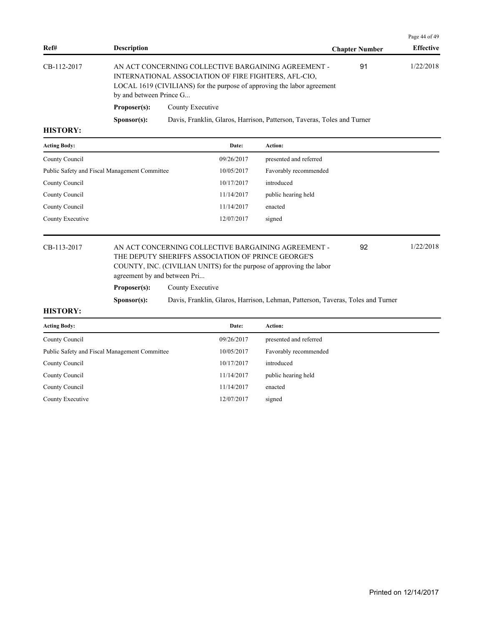|             |                         |                                                                                                                                                                                        |                       | Page 44 of 49    |
|-------------|-------------------------|----------------------------------------------------------------------------------------------------------------------------------------------------------------------------------------|-----------------------|------------------|
| Ref#        | <b>Description</b>      |                                                                                                                                                                                        | <b>Chapter Number</b> | <b>Effective</b> |
| CB-112-2017 | by and between Prince G | AN ACT CONCERNING COLLECTIVE BARGAINING AGREEMENT -<br>INTERNATIONAL ASSOCIATION OF FIRE FIGHTERS, AFL-CIO,<br>LOCAL 1619 (CIVILIANS) for the purpose of approving the labor agreement | 91                    | 1/22/2018        |
|             | Proposer(s):            | County Executive                                                                                                                                                                       |                       |                  |
|             | S <b>p</b> onsor(s):    | Davis, Franklin, Glaros, Harrison, Patterson, Taveras, Toles and Turner                                                                                                                |                       |                  |
| итетору.    |                         |                                                                                                                                                                                        |                       |                  |

| <b>Acting Body:</b>                           | Date:      | Action:                |
|-----------------------------------------------|------------|------------------------|
| County Council                                | 09/26/2017 | presented and referred |
| Public Safety and Fiscal Management Committee | 10/05/2017 | Favorably recommended  |
| County Council                                | 10/17/2017 | introduced             |
| County Council                                | 11/14/2017 | public hearing held    |
| County Council                                | 11/14/2017 | enacted                |
| County Executive                              | 12/07/2017 | signed                 |

## CB-113-2017 AN ACT CONCERNING COLLECTIVE BARGAINING AGREEMENT - 92 1/22/2018 THE DEPUTY SHERIFFS ASSOCIATION OF PRINCE GEORGE'S COUNTY, INC. (CIVILIAN UNITS) for the purpose of approving the labor agreement by and between Pri...

**Proposer(s):** County Executive

**Sponsor(s):** Davis, Franklin, Glaros, Harrison, Lehman, Patterson, Taveras, Toles and Turner

#### **HISTORY:**

| Date:      | Action:                |
|------------|------------------------|
| 09/26/2017 | presented and referred |
| 10/05/2017 | Favorably recommended  |
| 10/17/2017 | introduced             |
| 11/14/2017 | public hearing held    |
| 11/14/2017 | enacted                |
| 12/07/2017 | signed                 |
|            |                        |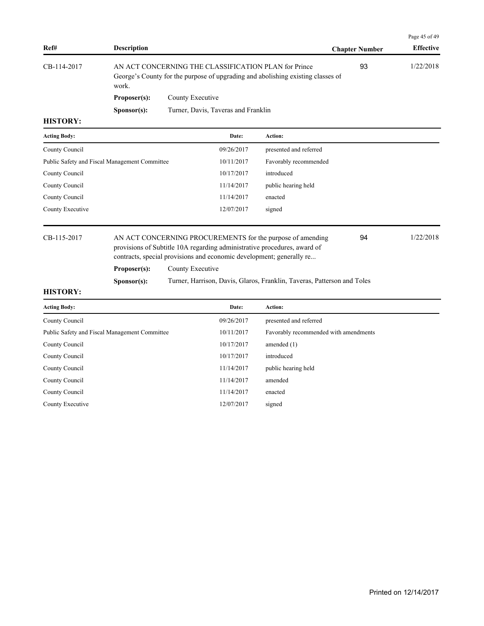|                 |                                                                                                                                                  |                                     |                       | Page 45 of 49    |
|-----------------|--------------------------------------------------------------------------------------------------------------------------------------------------|-------------------------------------|-----------------------|------------------|
| Ref#            | <b>Description</b>                                                                                                                               |                                     | <b>Chapter Number</b> | <b>Effective</b> |
| CB-114-2017     | AN ACT CONCERNING THE CLASSIFICATION PLAN for Prince<br>George's County for the purpose of upgrading and abolishing existing classes of<br>work. |                                     | 93                    | 1/22/2018        |
|                 | Proposer(s):                                                                                                                                     | County Executive                    |                       |                  |
|                 | S <b>p</b> onsor(s):                                                                                                                             | Turner, Davis, Taveras and Franklin |                       |                  |
| <b>HISTORY:</b> |                                                                                                                                                  |                                     |                       |                  |

# **Acting Body: Date: Action:**  County Council 09/26/2017 presented and referred Public Safety and Fiscal Management Committee 10/11/2017 Favorably recommended County Council 20/17/2017 introduced County Council 11/14/2017 public hearing held County Council 11/14/2017 enacted County Executive 12/07/2017 signed

CB-115-2017 AN ACT CONCERNING PROCUREMENTS for the purpose of amending 94 1/22/2018 provisions of Subtitle 10A regarding administrative procedures, award of contracts, special provisions and economic development; generally re... 94 Proposer(s): County Executive

**Sponsor(s):** Turner, Harrison, Davis, Glaros, Franklin, Taveras, Patterson and Toles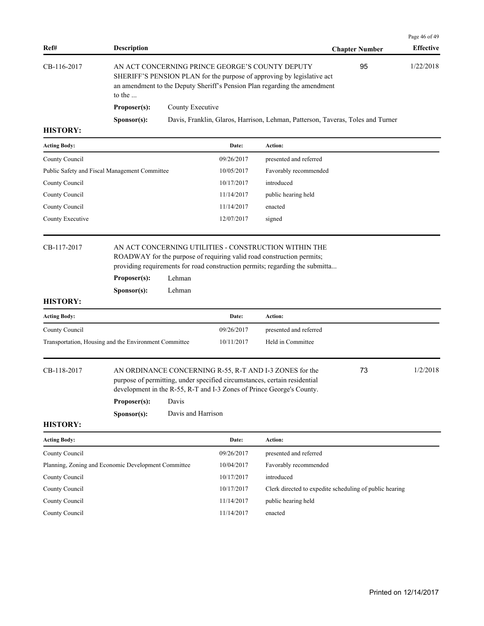|                     |                      |                                                                                                                                                                                                              |                       | Page 46 of 49    |
|---------------------|----------------------|--------------------------------------------------------------------------------------------------------------------------------------------------------------------------------------------------------------|-----------------------|------------------|
| Ref#                | <b>Description</b>   |                                                                                                                                                                                                              | <b>Chapter Number</b> | <b>Effective</b> |
| CB-116-2017         | to the $\dots$       | 95<br>AN ACT CONCERNING PRINCE GEORGE'S COUNTY DEPUTY<br>SHERIFF'S PENSION PLAN for the purpose of approving by legislative act<br>an amendment to the Deputy Sheriff's Pension Plan regarding the amendment |                       | 1/22/2018        |
|                     | Proposer(s):         | County Executive                                                                                                                                                                                             |                       |                  |
|                     | S <b>p</b> onsor(s): | Davis, Franklin, Glaros, Harrison, Lehman, Patterson, Taveras, Toles and Turner                                                                                                                              |                       |                  |
| <b>HISTORY:</b>     |                      |                                                                                                                                                                                                              |                       |                  |
| <b>Acting Body:</b> |                      | Date:<br>Action:                                                                                                                                                                                             |                       |                  |

| County Council                                | 09/26/2017 | presented and referred |
|-----------------------------------------------|------------|------------------------|
| Public Safety and Fiscal Management Committee | 10/05/2017 | Favorably recommended  |
| County Council                                | 10/17/2017 | introduced             |
| County Council                                | 11/14/2017 | public hearing held    |
| County Council                                | 11/14/2017 | enacted                |
| County Executive                              | 12/07/2017 | signed                 |
|                                               |            |                        |

## CB-117-2017 AN ACT CONCERNING UTILITIES - CONSTRUCTION WITHIN THE ROADWAY for the purpose of requiring valid road construction permits; providing requirements for road construction permits; regarding the submitta...

| Proposer(s): | Lehman |
|--------------|--------|
|--------------|--------|

**Sponsor(s):** Lehman

## **HISTORY:**

| <b>Acting Body:</b>                                   | Date:      | <b>Action:</b>         |
|-------------------------------------------------------|------------|------------------------|
| County Council                                        | 09/26/2017 | presented and referred |
| Transportation, Housing and the Environment Committee | 10/11/2017 | Held in Committee      |

CB-118-2017 AN ORDINANCE CONCERNING R-55, R-T AND I-3 ZONES for the 73 1/2/2018 purpose of permitting, under specified circumstances, certain residential development in the R-55, R-T and I-3 Zones of Prince George's County.

73

**Proposer(s):** Davis

**Sponsor(s):** Davis and Harrison

| <b>Acting Body:</b>                                 | Date:      | Action:                                                 |
|-----------------------------------------------------|------------|---------------------------------------------------------|
| County Council                                      | 09/26/2017 | presented and referred                                  |
| Planning, Zoning and Economic Development Committee | 10/04/2017 | Favorably recommended                                   |
| County Council                                      | 10/17/2017 | introduced                                              |
| County Council                                      | 10/17/2017 | Clerk directed to expedite scheduling of public hearing |
| County Council                                      | 11/14/2017 | public hearing held                                     |
| County Council                                      | 11/14/2017 | enacted                                                 |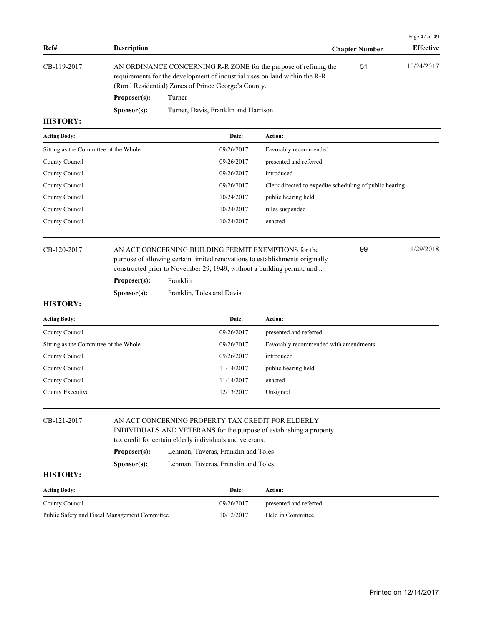| Ref#                                  | <b>Description</b>                                                                                                                                                                                     |                                                                        |            |                                                                 | <b>Chapter Number</b> | Page 47 of 49<br><b>Effective</b> |
|---------------------------------------|--------------------------------------------------------------------------------------------------------------------------------------------------------------------------------------------------------|------------------------------------------------------------------------|------------|-----------------------------------------------------------------|-----------------------|-----------------------------------|
| CB-119-2017                           | AN ORDINANCE CONCERNING R-R ZONE for the purpose of refining the<br>requirements for the development of industrial uses on land within the R-R<br>(Rural Residential) Zones of Prince George's County. |                                                                        |            |                                                                 | 51                    | 10/24/2017                        |
|                                       | Proposer(s):                                                                                                                                                                                           | Turner                                                                 |            |                                                                 |                       |                                   |
| <b>HISTORY:</b>                       | Sponsor(s):                                                                                                                                                                                            | Turner, Davis, Franklin and Harrison                                   |            |                                                                 |                       |                                   |
| <b>Acting Body:</b>                   |                                                                                                                                                                                                        |                                                                        | Date:      | Action:                                                         |                       |                                   |
|                                       |                                                                                                                                                                                                        |                                                                        | 09/26/2017 |                                                                 |                       |                                   |
| Sitting as the Committee of the Whole |                                                                                                                                                                                                        |                                                                        | 09/26/2017 | Favorably recommended                                           |                       |                                   |
| County Council                        |                                                                                                                                                                                                        |                                                                        | 09/26/2017 | presented and referred<br>introduced                            |                       |                                   |
| County Council                        |                                                                                                                                                                                                        |                                                                        | 09/26/2017 |                                                                 |                       |                                   |
| County Council                        |                                                                                                                                                                                                        |                                                                        | 10/24/2017 | Clerk directed to expedite scheduling of public hearing         |                       |                                   |
| County Council                        |                                                                                                                                                                                                        |                                                                        | 10/24/2017 | public hearing held                                             |                       |                                   |
| County Council<br>County Council      |                                                                                                                                                                                                        |                                                                        | 10/24/2017 | rules suspended<br>enacted                                      |                       |                                   |
| CB-120-2017                           | 1/29/2018<br>99<br>AN ACT CONCERNING BUILDING PERMIT EXEMPTIONS for the<br>purpose of allowing certain limited renovations to establishments originally                                                |                                                                        |            |                                                                 |                       |                                   |
|                                       |                                                                                                                                                                                                        | constructed prior to November 29, 1949, without a building permit, und |            |                                                                 |                       |                                   |
|                                       | Proposer(s):                                                                                                                                                                                           | Franklin                                                               |            |                                                                 |                       |                                   |
| <b>HISTORY:</b>                       | Sponsor(s):                                                                                                                                                                                            | Franklin, Toles and Davis                                              |            |                                                                 |                       |                                   |
| <b>Acting Body:</b>                   |                                                                                                                                                                                                        |                                                                        | Date:      | Action:                                                         |                       |                                   |
| County Council                        |                                                                                                                                                                                                        |                                                                        | 09/26/2017 |                                                                 |                       |                                   |
| Sitting as the Committee of the Whole |                                                                                                                                                                                                        |                                                                        | 09/26/2017 | presented and referred<br>Favorably recommended with amendments |                       |                                   |
| County Council                        |                                                                                                                                                                                                        |                                                                        | 09/26/2017 | introduced                                                      |                       |                                   |
| County Council                        |                                                                                                                                                                                                        |                                                                        | 11/14/2017 | public hearing held                                             |                       |                                   |
| County Council                        |                                                                                                                                                                                                        |                                                                        | 11/14/2017 | enacted                                                         |                       |                                   |
| County Executive                      |                                                                                                                                                                                                        |                                                                        | 12/13/2017 | Unsigned                                                        |                       |                                   |
|                                       |                                                                                                                                                                                                        |                                                                        |            |                                                                 |                       |                                   |
| CB-121-2017                           | AN ACT CONCERNING PROPERTY TAX CREDIT FOR ELDERLY<br>INDIVIDUALS AND VETERANS for the purpose of establishing a property<br>tax credit for certain elderly individuals and veterans.                   |                                                                        |            |                                                                 |                       |                                   |
|                                       | Proposer(s):                                                                                                                                                                                           | Lehman, Taveras, Franklin and Toles                                    |            |                                                                 |                       |                                   |
|                                       | Sponsor(s):                                                                                                                                                                                            | Lehman, Taveras, Franklin and Toles                                    |            |                                                                 |                       |                                   |
| $\mathbf{H}$                          |                                                                                                                                                                                                        |                                                                        |            |                                                                 |                       |                                   |

| <b>Acting Body:</b>                           | Date:      | Action:                |
|-----------------------------------------------|------------|------------------------|
| County Council                                | 09/26/2017 | presented and referred |
| Public Safety and Fiscal Management Committee | 10/12/2017 | Held in Committee      |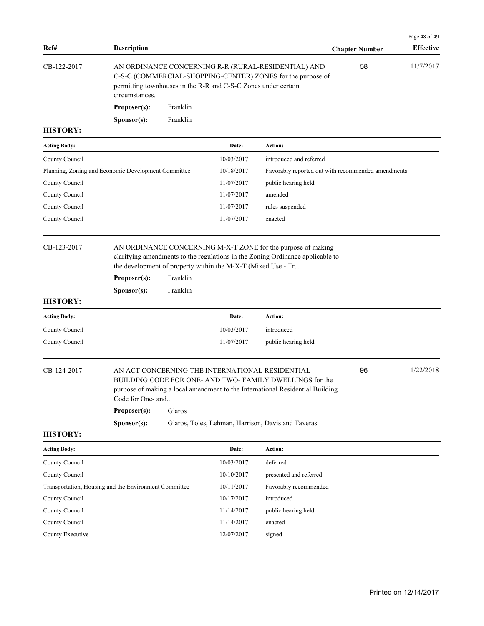| Ref#                                                  | <b>Description</b>                                                                                                                                                                                     |                      |                                                              |                                                                                                                                                                                             | <b>Chapter Number</b>                              | Page 48 of 49<br><b>Effective</b> |
|-------------------------------------------------------|--------------------------------------------------------------------------------------------------------------------------------------------------------------------------------------------------------|----------------------|--------------------------------------------------------------|---------------------------------------------------------------------------------------------------------------------------------------------------------------------------------------------|----------------------------------------------------|-----------------------------------|
| CB-122-2017                                           | AN ORDINANCE CONCERNING R-R (RURAL-RESIDENTIAL) AND<br>C-S-C (COMMERCIAL-SHOPPING-CENTER) ZONES for the purpose of<br>permitting townhouses in the R-R and C-S-C Zones under certain<br>circumstances. |                      |                                                              |                                                                                                                                                                                             | 58                                                 | 11/7/2017                         |
|                                                       | Proposer(s):                                                                                                                                                                                           | Franklin             |                                                              |                                                                                                                                                                                             |                                                    |                                   |
|                                                       | Sponsor(s):                                                                                                                                                                                            | Franklin             |                                                              |                                                                                                                                                                                             |                                                    |                                   |
| <b>HISTORY:</b>                                       |                                                                                                                                                                                                        |                      |                                                              |                                                                                                                                                                                             |                                                    |                                   |
| <b>Acting Body:</b>                                   |                                                                                                                                                                                                        |                      | Date:                                                        | Action:                                                                                                                                                                                     |                                                    |                                   |
| County Council                                        |                                                                                                                                                                                                        |                      | 10/03/2017                                                   | introduced and referred                                                                                                                                                                     |                                                    |                                   |
| Planning, Zoning and Economic Development Committee   |                                                                                                                                                                                                        |                      | 10/18/2017                                                   |                                                                                                                                                                                             | Favorably reported out with recommended amendments |                                   |
| County Council                                        |                                                                                                                                                                                                        |                      | 11/07/2017                                                   | public hearing held                                                                                                                                                                         |                                                    |                                   |
| County Council                                        |                                                                                                                                                                                                        |                      | 11/07/2017                                                   | amended                                                                                                                                                                                     |                                                    |                                   |
| County Council                                        |                                                                                                                                                                                                        |                      | 11/07/2017                                                   | rules suspended                                                                                                                                                                             |                                                    |                                   |
| County Council                                        |                                                                                                                                                                                                        |                      | 11/07/2017                                                   | enacted                                                                                                                                                                                     |                                                    |                                   |
| CB-123-2017                                           | Proposer(s):<br>Sponsor(s):                                                                                                                                                                            | Franklin<br>Franklin | the development of property within the M-X-T (Mixed Use - Tr | AN ORDINANCE CONCERNING M-X-T ZONE for the purpose of making<br>clarifying amendments to the regulations in the Zoning Ordinance applicable to                                              |                                                    |                                   |
| <b>HISTORY:</b>                                       |                                                                                                                                                                                                        |                      |                                                              |                                                                                                                                                                                             |                                                    |                                   |
| <b>Acting Body:</b>                                   |                                                                                                                                                                                                        |                      | Date:                                                        | Action:                                                                                                                                                                                     |                                                    |                                   |
| County Council                                        |                                                                                                                                                                                                        |                      | 10/03/2017                                                   | introduced                                                                                                                                                                                  |                                                    |                                   |
| County Council                                        |                                                                                                                                                                                                        |                      | 11/07/2017                                                   | public hearing held                                                                                                                                                                         |                                                    |                                   |
| CB-124-2017                                           | Code for One- and<br>Proposer(s):                                                                                                                                                                      | Glaros               |                                                              | AN ACT CONCERNING THE INTERNATIONAL RESIDENTIAL<br>BUILDING CODE FOR ONE- AND TWO-FAMILY DWELLINGS for the<br>purpose of making a local amendment to the International Residential Building | 96                                                 | 1/22/2018                         |
| <b>HISTORY:</b>                                       | Sponsor(s):                                                                                                                                                                                            |                      |                                                              | Glaros, Toles, Lehman, Harrison, Davis and Taveras                                                                                                                                          |                                                    |                                   |
| <b>Acting Body:</b>                                   |                                                                                                                                                                                                        |                      | Date:                                                        | Action:                                                                                                                                                                                     |                                                    |                                   |
| County Council                                        |                                                                                                                                                                                                        |                      | 10/03/2017                                                   | deferred                                                                                                                                                                                    |                                                    |                                   |
| County Council                                        |                                                                                                                                                                                                        |                      | 10/10/2017                                                   | presented and referred                                                                                                                                                                      |                                                    |                                   |
| Transportation, Housing and the Environment Committee |                                                                                                                                                                                                        |                      | 10/11/2017                                                   | Favorably recommended                                                                                                                                                                       |                                                    |                                   |
| County Council                                        |                                                                                                                                                                                                        |                      | 10/17/2017                                                   | introduced                                                                                                                                                                                  |                                                    |                                   |
| County Council                                        |                                                                                                                                                                                                        |                      | 11/14/2017                                                   | public hearing held                                                                                                                                                                         |                                                    |                                   |
| County Council                                        |                                                                                                                                                                                                        |                      | 11/14/2017                                                   | enacted                                                                                                                                                                                     |                                                    |                                   |
| County Executive                                      |                                                                                                                                                                                                        |                      | 12/07/2017                                                   | signed                                                                                                                                                                                      |                                                    |                                   |